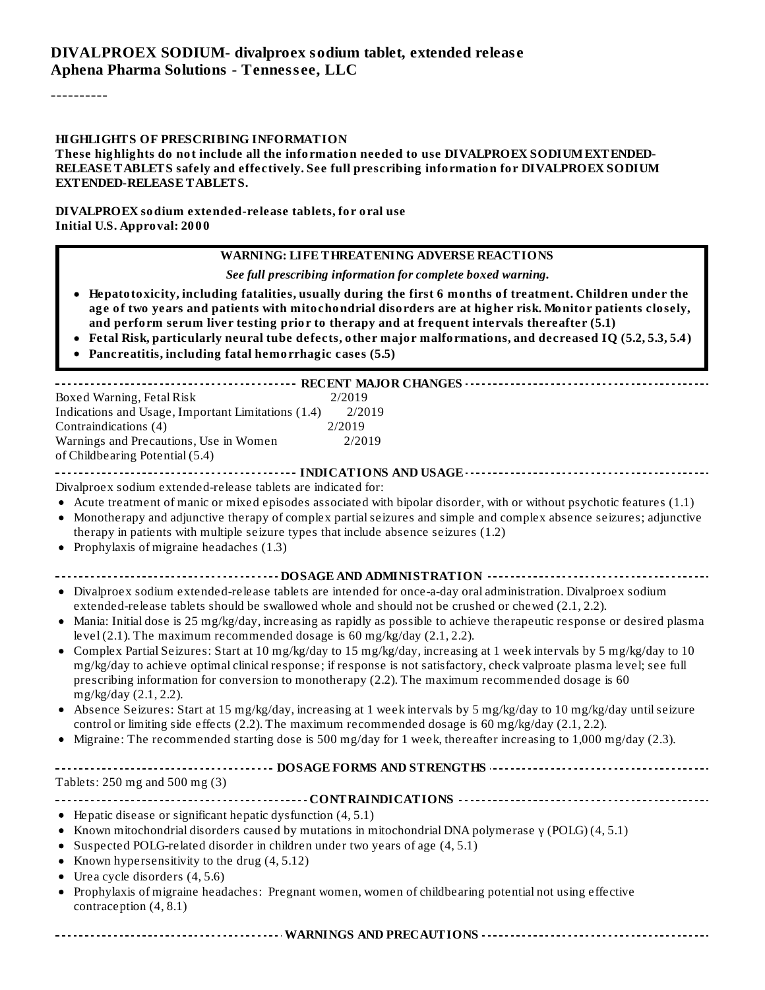#### **DIVALPROEX SODIUM- divalproex sodium tablet, extended releas e Aphena Pharma Solutions - Tenness ee, LLC**

----------

#### **HIGHLIGHTS OF PRESCRIBING INFORMATION**

**These highlights do not include all the information needed to use DIVALPROEX SODIUMEXTENDED-RELEASE TABLETS safely and effectively. See full prescribing information for DIVALPROEX SODIUM EXTENDED-RELEASE TABLETS.**

**DIVALPROEX sodium extended-release tablets, for oral use Initial U.S. Approval: 2000**

#### **WARNING: LIFE THREATENING ADVERSE REACTIONS**

*See full prescribing information for complete boxed warning.*

- **Hepatotoxicity, including fatalities, usually during the first 6 months of treatment. Children under the age of two years and patients with mitochondrial disorders are at higher risk. Monitor patients closely, and perform serum liver testing prior to therapy and at frequent intervals thereafter (5.1)**
- **Fetal Risk, particularly neural tube defects, other major malformations, and decreased IQ (5.2, 5.3, 5.4)**
- **Pancreatitis, including fatal hemorrhagic cases (5.5)**

| Boxed Warning, Fetal Risk<br>2/2019                                                                                                                                                                                                                   |
|-------------------------------------------------------------------------------------------------------------------------------------------------------------------------------------------------------------------------------------------------------|
| Indications and Usage, Important Limitations (1.4)<br>2/2019                                                                                                                                                                                          |
| Contraindications (4)<br>2/2019                                                                                                                                                                                                                       |
| Warnings and Precautions, Use in Women<br>2/2019                                                                                                                                                                                                      |
| of Childbearing Potential (5.4)                                                                                                                                                                                                                       |
|                                                                                                                                                                                                                                                       |
| Divalproex sodium extended-release tablets are indicated for:                                                                                                                                                                                         |
| • Acute treatment of manic or mixed episodes associated with bipolar disorder, with or without psychotic features (1.1)                                                                                                                               |
| • Monotherapy and adjunctive therapy of complex partial seizures and simple and complex absence seizures; adjunctive                                                                                                                                  |
| therapy in patients with multiple seizure types that include absence seizures (1.2)                                                                                                                                                                   |
| • Prophylaxis of migraine headaches $(1.3)$                                                                                                                                                                                                           |
| ------------------------------- DOSAGE AND ADMINISTRATION ----------------------------                                                                                                                                                                |
| • Divalproex sodium extended-release tablets are intended for once-a-day oral administration. Divalproex sodium                                                                                                                                       |
| extended-release tablets should be swallowed whole and should not be crushed or chewed (2.1, 2.2).                                                                                                                                                    |
| • Mania: Initial dose is 25 mg/kg/day, increasing as rapidly as possible to achieve therapeutic response or desired plasma<br>level (2.1). The maximum recommended dosage is $60$ mg/kg/day (2.1, 2.2).                                               |
| Complex Partial Seizures: Start at 10 mg/kg/day to 15 mg/kg/day, increasing at 1 week intervals by 5 mg/kg/day to 10<br>$\bullet$                                                                                                                     |
| mg/kg/day to achieve optimal clinical response; if response is not satisfactory, check valproate plasma level; see full<br>prescribing information for conversion to monotherapy (2.2). The maximum recommended dosage is 60<br>mg/kg/day (2.1, 2.2). |
| • Absence Seizures: Start at 15 mg/kg/day, increasing at 1 week intervals by 5 mg/kg/day to 10 mg/kg/day until seizure<br>control or limiting side effects (2.2). The maximum recommended dosage is 60 mg/kg/day (2.1, 2.2).                          |
| • Migraine: The recommended starting dose is 500 mg/day for 1 week, thereafter increasing to 1,000 mg/day (2.3).                                                                                                                                      |
|                                                                                                                                                                                                                                                       |
|                                                                                                                                                                                                                                                       |
| Tablets: 250 mg and 500 mg (3)                                                                                                                                                                                                                        |
|                                                                                                                                                                                                                                                       |
| • Hepatic disease or significant hepatic dysfunction (4, 5.1)                                                                                                                                                                                         |
| • Known mitochondrial disorders caused by mutations in mitochondrial DNA polymerase $\gamma$ (POLG) (4, 5.1)                                                                                                                                          |
| • Suspected POLG-related disorder in children under two years of age (4, 5.1)                                                                                                                                                                         |
| • Known hypersensitivity to the drug $(4, 5.12)$                                                                                                                                                                                                      |
| • Urea cycle disorders $(4, 5.6)$                                                                                                                                                                                                                     |
| • Prophylaxis of migraine headaches: Pregnant women, women of childbearing potential not using effective<br>contraception $(4, 8.1)$                                                                                                                  |
|                                                                                                                                                                                                                                                       |

**WARNINGS AND PRECAUTIONS**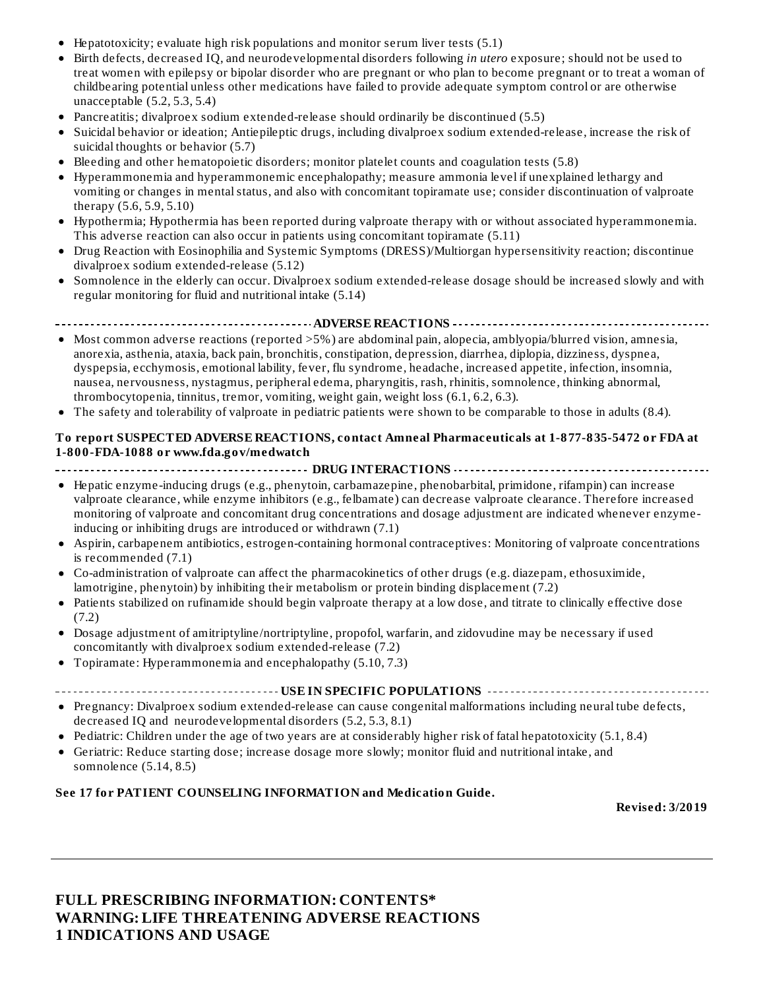- Hepatotoxicity; evaluate high risk populations and monitor serum liver tests (5.1)
- Birth defects, decreased IQ, and neurodevelopmental disorders following *in utero* exposure; should not be used to treat women with epilepsy or bipolar disorder who are pregnant or who plan to become pregnant or to treat a woman of childbearing potential unless other medications have failed to provide adequate symptom control or are otherwise unacceptable (5.2, 5.3, 5.4)
- Pancreatitis; divalproex sodium extended-release should ordinarily be discontinued (5.5)
- Suicidal behavior or ideation; Antiepileptic drugs, including divalproex sodium extended-release, increase the risk of suicidal thoughts or behavior (5.7)
- Bleeding and other hematopoietic disorders; monitor platelet counts and coagulation tests (5.8)
- Hyperammonemia and hyperammonemic encephalopathy; measure ammonia level if unexplained lethargy and vomiting or changes in mental status, and also with concomitant topiramate use; consider discontinuation of valproate therapy (5.6, 5.9, 5.10)
- Hypothermia; Hypothermia has been reported during valproate therapy with or without associated hyperammonemia. This adverse reaction can also occur in patients using concomitant topiramate (5.11)
- Drug Reaction with Eosinophilia and Systemic Symptoms (DRESS)/Multiorgan hypersensitivity reaction; discontinue divalproex sodium extended-release (5.12)
- Somnolence in the elderly can occur. Divalproex sodium extended-release dosage should be increased slowly and with regular monitoring for fluid and nutritional intake (5.14)

**ADVERSE REACTIONS**

- Most common adverse reactions (reported >5%) are abdominal pain, alopecia, amblyopia/blurred vision, amnesia, anorexia, asthenia, ataxia, back pain, bronchitis, constipation, depression, diarrhea, diplopia, dizziness, dyspnea, dyspepsia, ecchymosis, emotional lability, fever, flu syndrome, headache, increased appetite, infection, insomnia, nausea, nervousness, nystagmus, peripheral edema, pharyngitis, rash, rhinitis, somnolence, thinking abnormal, thrombocytopenia, tinnitus, tremor, vomiting, weight gain, weight loss (6.1, 6.2, 6.3).
- The safety and tolerability of valproate in pediatric patients were shown to be comparable to those in adults (8.4).

#### **To report SUSPECTED ADVERSE REACTIONS, contact Amneal Pharmaceuticals at 1-877-835-5472 or FDA at 1-800-FDA-1088 or www.fda.gov/medwatch**

**DRUG INTERACTIONS**

- Hepatic enzyme-inducing drugs (e.g., phenytoin, carbamazepine, phenobarbital, primidone, rifampin) can increase valproate clearance, while enzyme inhibitors (e.g., felbamate) can decrease valproate clearance. Therefore increased monitoring of valproate and concomitant drug concentrations and dosage adjustment are indicated whenever enzymeinducing or inhibiting drugs are introduced or withdrawn (7.1)
- Aspirin, carbapenem antibiotics, estrogen-containing hormonal contraceptives: Monitoring of valproate concentrations is recommended (7.1)
- Co-administration of valproate can affect the pharmacokinetics of other drugs (e.g. diazepam, ethosuximide, lamotrigine, phenytoin) by inhibiting their metabolism or protein binding displacement (7.2)
- $\bullet$ Patients stabilized on rufinamide should begin valproate therapy at a low dose, and titrate to clinically effective dose (7.2)
- Dosage adjustment of amitriptyline/nortriptyline, propofol, warfarin, and zidovudine may be necessary if used  $\bullet$ concomitantly with divalproex sodium extended-release (7.2)
- Topiramate: Hyperammonemia and encephalopathy (5.10, 7.3)
- **USE IN SPECIFIC POPULATIONS**
- Pregnancy: Divalproex sodium extended-release can cause congenital malformations including neural tube defects, decreased IQ and neurodevelopmental disorders (5.2, 5.3, 8.1)
- Pediatric: Children under the age of two years are at considerably higher risk of fatal hepatotoxicity (5.1, 8.4)
- Geriatric: Reduce starting dose; increase dosage more slowly; monitor fluid and nutritional intake, and somnolence (5.14, 8.5)

#### **See 17 for PATIENT COUNSELING INFORMATION and Medication Guide.**

**Revised: 3/2019**

#### **FULL PRESCRIBING INFORMATION: CONTENTS\* WARNING: LIFE THREATENING ADVERSE REACTIONS 1 INDICATIONS AND USAGE**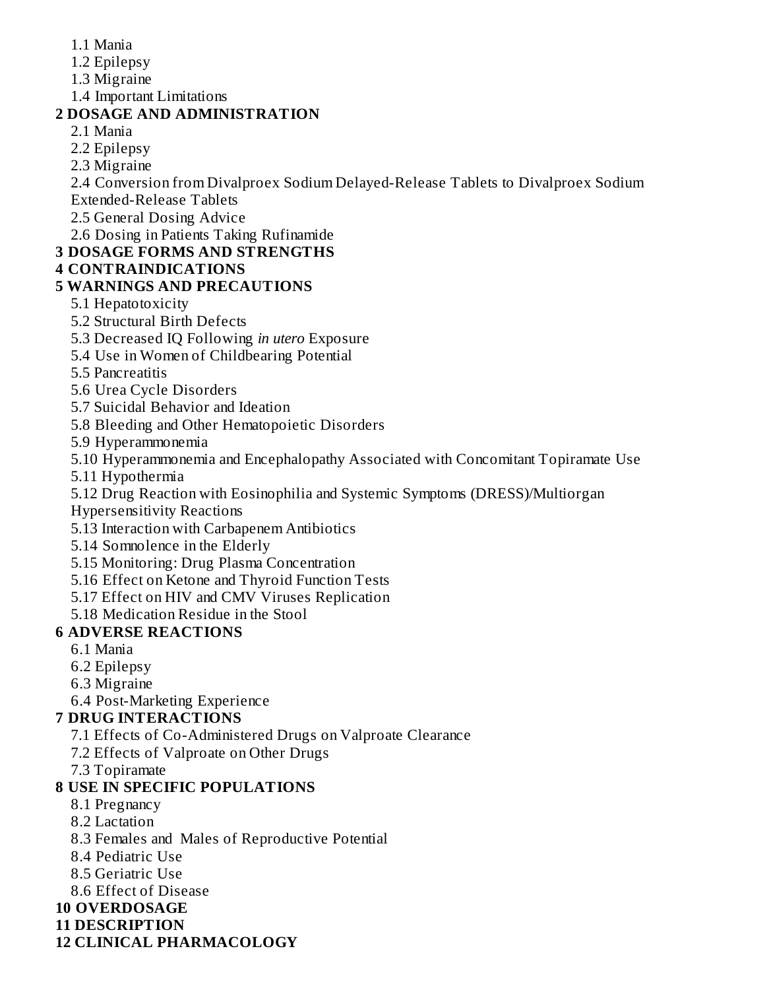- 1.1 Mania
- 1.2 Epilepsy
- 1.3 Migraine
- 1.4 Important Limitations

# **2 DOSAGE AND ADMINISTRATION**

- 2.1 Mania
- 2.2 Epilepsy
- 2.3 Migraine

2.4 Conversion from Divalproex Sodium Delayed-Release Tablets to Divalproex Sodium Extended-Release Tablets

2.5 General Dosing Advice

2.6 Dosing in Patients Taking Rufinamide

# **3 DOSAGE FORMS AND STRENGTHS**

### **4 CONTRAINDICATIONS**

### **5 WARNINGS AND PRECAUTIONS**

- 5.1 Hepatotoxicity
- 5.2 Structural Birth Defects
- 5.3 Decreased IQ Following *in utero* Exposure
- 5.4 Use in Women of Childbearing Potential
- 5.5 Pancreatitis
- 5.6 Urea Cycle Disorders
- 5.7 Suicidal Behavior and Ideation
- 5.8 Bleeding and Other Hematopoietic Disorders
- 5.9 Hyperammonemia
- 5.10 Hyperammonemia and Encephalopathy Associated with Concomitant Topiramate Use
- 5.11 Hypothermia
- 5.12 Drug Reaction with Eosinophilia and Systemic Symptoms (DRESS)/Multiorgan
- Hypersensitivity Reactions
- 5.13 Interaction with Carbapenem Antibiotics
- 5.14 Somnolence in the Elderly
- 5.15 Monitoring: Drug Plasma Concentration
- 5.16 Effect on Ketone and Thyroid Function Tests
- 5.17 Effect on HIV and CMV Viruses Replication
- 5.18 Medication Residue in the Stool

# **6 ADVERSE REACTIONS**

- 6.1 Mania
- 6.2 Epilepsy
- 6.3 Migraine
- 6.4 Post-Marketing Experience

# **7 DRUG INTERACTIONS**

- 7.1 Effects of Co-Administered Drugs on Valproate Clearance
- 7.2 Effects of Valproate on Other Drugs
- 7.3 Topiramate

# **8 USE IN SPECIFIC POPULATIONS**

- 8.1 Pregnancy
- 8.2 Lactation
- 8.3 Females and Males of Reproductive Potential
- 8.4 Pediatric Use
- 8.5 Geriatric Use
- 8.6 Effect of Disease
- **10 OVERDOSAGE**
- **11 DESCRIPTION**
- **12 CLINICAL PHARMACOLOGY**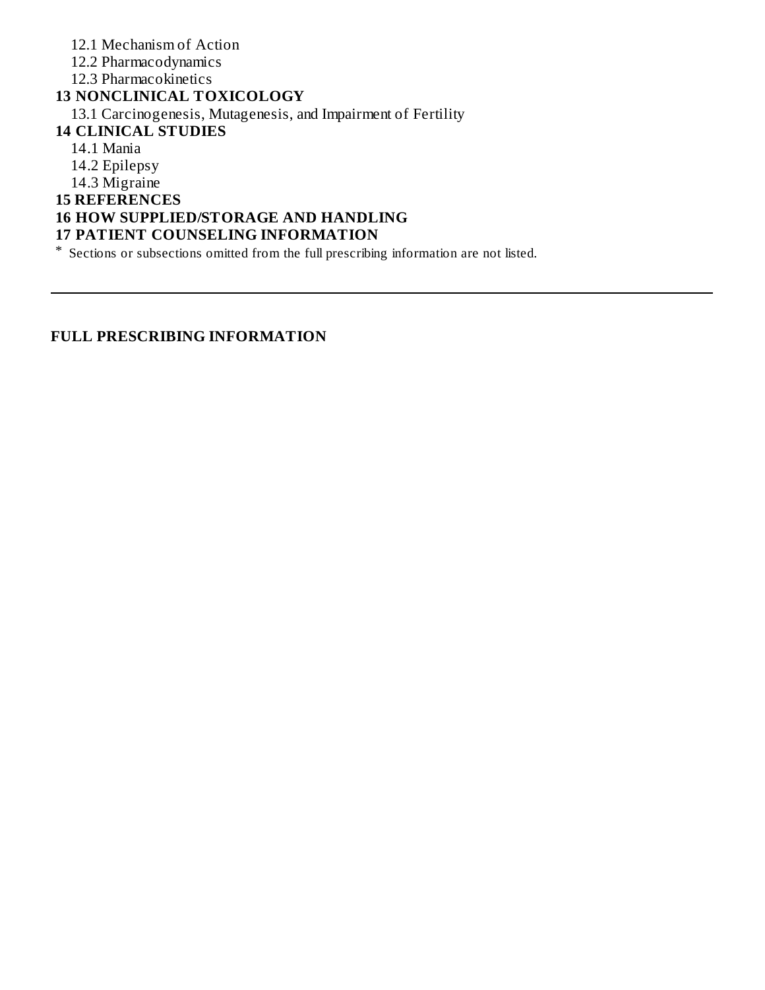12.1 Mechanism of Action 12.2 Pharmacodynamics 12.3 Pharmacokinetics **13 NONCLINICAL TOXICOLOGY** 13.1 Carcinogenesis, Mutagenesis, and Impairment of Fertility **14 CLINICAL STUDIES** 14.1 Mania 14.2 Epilepsy 14.3 Migraine **15 REFERENCES 16 HOW SUPPLIED/STORAGE AND HANDLING 17 PATIENT COUNSELING INFORMATION** \* Sections or subsections omitted from the full prescribing information are not listed.

**FULL PRESCRIBING INFORMATION**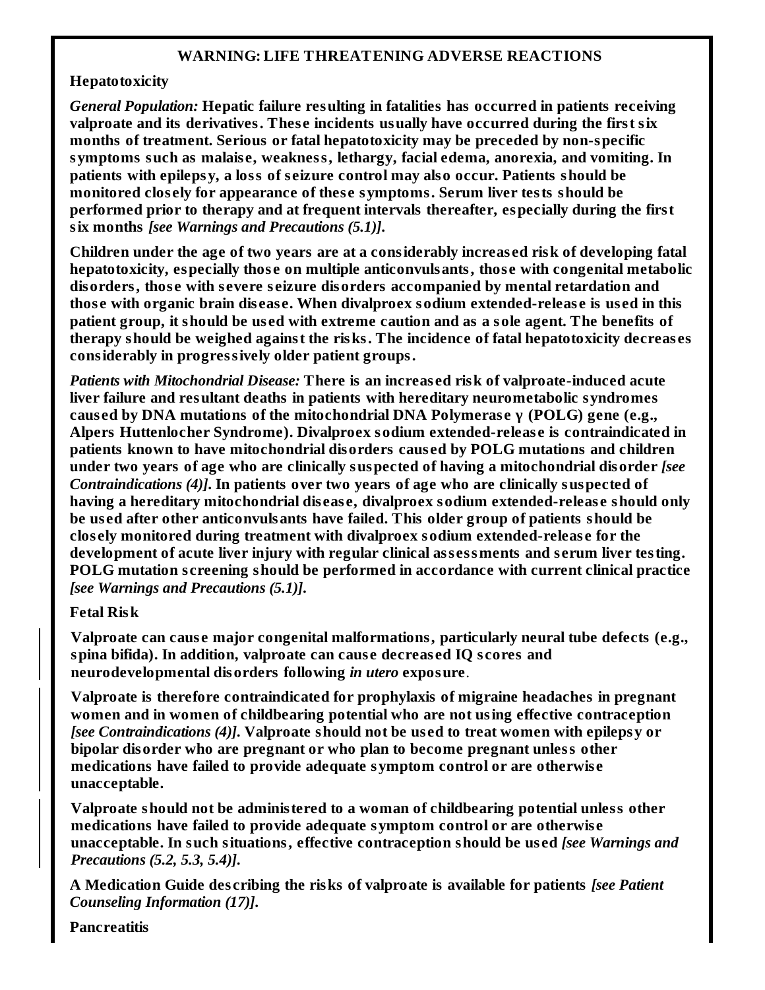#### **WARNING: LIFE THREATENING ADVERSE REACTIONS**

#### **Hepatotoxicity**

*General Population:* **Hepatic failure resulting in fatalities has occurred in patients receiving valproate and its derivatives. Thes e incidents usually have occurred during the first six months of treatment. Serious or fatal hepatotoxicity may be preceded by non-specific symptoms such as malais e, weakness, lethargy, facial edema, anorexia, and vomiting. In patients with epilepsy, a loss of s eizure control may also occur. Patients should be monitored clos ely for appearance of thes e symptoms. Serum liver tests should be performed prior to therapy and at frequent intervals thereafter, especially during the first six months** *[see Warnings and Precautions (5.1)]***.**

**Children under the age of two years are at a considerably increas ed risk of developing fatal hepatotoxicity, especially thos e on multiple anticonvulsants, thos e with congenital metabolic disorders, thos e with s evere s eizure disorders accompanied by mental retardation and thos e with organic brain dis eas e. When divalproex sodium extended-releas e is us ed in this patient group, it should be us ed with extreme caution and as a sole agent. The benefits of therapy should be weighed against the risks. The incidence of fatal hepatotoxicity decreas es considerably in progressively older patient groups.**

*Patients with Mitochondrial Disease:* **There is an increas ed risk of valproate-induced acute liver failure and resultant deaths in patients with hereditary neurometabolic syndromes caus ed by DNA mutations of the mitochondrial DNA Polymeras e γ (POLG) gene (e.g., Alpers Huttenlocher Syndrome). Divalproex sodium extended-releas e is contraindicated in patients known to have mitochondrial disorders caus ed by POLG mutations and children under two years of age who are clinically suspected of having a mitochondrial disorder** *[see Contraindications (4)]***. In patients over two years of age who are clinically suspected of having a hereditary mitochondrial dis eas e, divalproex sodium extended-releas e should only be us ed after other anticonvulsants have failed. This older group of patients should be clos ely monitored during treatment with divalproex sodium extended-releas e for the development of acute liver injury with regular clinical ass essments and s erum liver testing. POLG mutation s creening should be performed in accordance with current clinical practice** *[see Warnings and Precautions (5.1)]***.**

#### **Fetal Risk**

**Valproate can caus e major congenital malformations, particularly neural tube defects (e.g., spina bifida). In addition, valproate can caus e decreas ed IQ s cores and neurodevelopmental disorders following** *in utero* **exposure**.

**Valproate is therefore contraindicated for prophylaxis of migraine headaches in pregnant women and in women of childbearing potential who are not using effective contraception** *[see Contraindications (4)]***. Valproate should not be us ed to treat women with epilepsy or bipolar disorder who are pregnant or who plan to become pregnant unless other medications have failed to provide adequate symptom control or are otherwis e unacceptable.**

**Valproate should not be administered to a woman of childbearing potential unless other medications have failed to provide adequate symptom control or are otherwis e unacceptable. In such situations, effective contraception should be us ed** *[see Warnings and Precautions (5.2, 5.3, 5.4)]***.**

**A Medication Guide des cribing the risks of valproate is available for patients** *[see Patient Counseling Information (17)]***.**

**Pancreatitis**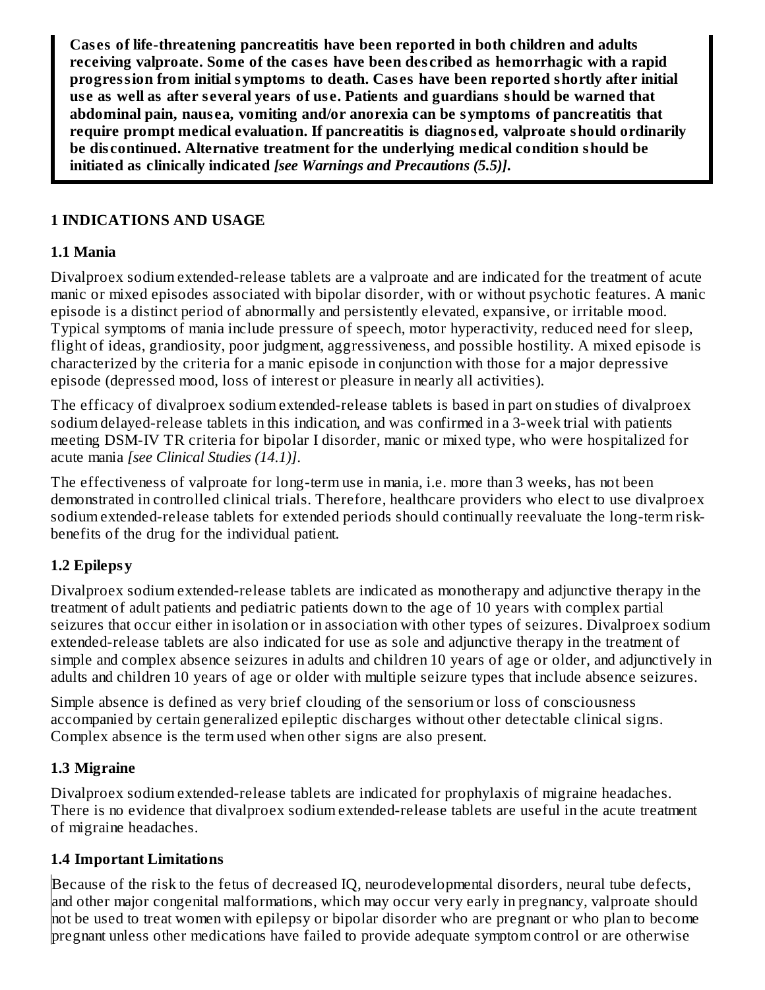**Cas es of life-threatening pancreatitis have been reported in both children and adults receiving valproate. Some of the cas es have been des cribed as hemorrhagic with a rapid progression from initial symptoms to death. Cas es have been reported shortly after initial us e as well as after s everal years of us e. Patients and guardians should be warned that abdominal pain, naus ea, vomiting and/or anorexia can be symptoms of pancreatitis that require prompt medical evaluation. If pancreatitis is diagnos ed, valproate should ordinarily be dis continued. Alternative treatment for the underlying medical condition should be initiated as clinically indicated** *[see Warnings and Precautions (5.5)]***.**

#### **1 INDICATIONS AND USAGE**

#### **1.1 Mania**

Divalproex sodium extended-release tablets are a valproate and are indicated for the treatment of acute manic or mixed episodes associated with bipolar disorder, with or without psychotic features. A manic episode is a distinct period of abnormally and persistently elevated, expansive, or irritable mood. Typical symptoms of mania include pressure of speech, motor hyperactivity, reduced need for sleep, flight of ideas, grandiosity, poor judgment, aggressiveness, and possible hostility. A mixed episode is characterized by the criteria for a manic episode in conjunction with those for a major depressive episode (depressed mood, loss of interest or pleasure in nearly all activities).

The efficacy of divalproex sodium extended-release tablets is based in part on studies of divalproex sodium delayed-release tablets in this indication, and was confirmed in a 3-week trial with patients meeting DSM-IV TR criteria for bipolar I disorder, manic or mixed type, who were hospitalized for acute mania *[see Clinical Studies (14.1)]*.

The effectiveness of valproate for long-term use in mania, i.e. more than 3 weeks, has not been demonstrated in controlled clinical trials. Therefore, healthcare providers who elect to use divalproex sodium extended-release tablets for extended periods should continually reevaluate the long-term riskbenefits of the drug for the individual patient.

### **1.2 Epilepsy**

Divalproex sodium extended-release tablets are indicated as monotherapy and adjunctive therapy in the treatment of adult patients and pediatric patients down to the age of 10 years with complex partial seizures that occur either in isolation or in association with other types of seizures. Divalproex sodium extended-release tablets are also indicated for use as sole and adjunctive therapy in the treatment of simple and complex absence seizures in adults and children 10 years of age or older, and adjunctively in adults and children 10 years of age or older with multiple seizure types that include absence seizures.

Simple absence is defined as very brief clouding of the sensorium or loss of consciousness accompanied by certain generalized epileptic discharges without other detectable clinical signs. Complex absence is the term used when other signs are also present.

#### **1.3 Migraine**

Divalproex sodium extended-release tablets are indicated for prophylaxis of migraine headaches. There is no evidence that divalproex sodium extended-release tablets are useful in the acute treatment of migraine headaches.

#### **1.4 Important Limitations**

Because of the risk to the fetus of decreased IQ, neurodevelopmental disorders, neural tube defects, and other major congenital malformations, which may occur very early in pregnancy, valproate should not be used to treat women with epilepsy or bipolar disorder who are pregnant or who plan to become pregnant unless other medications have failed to provide adequate symptom control or are otherwise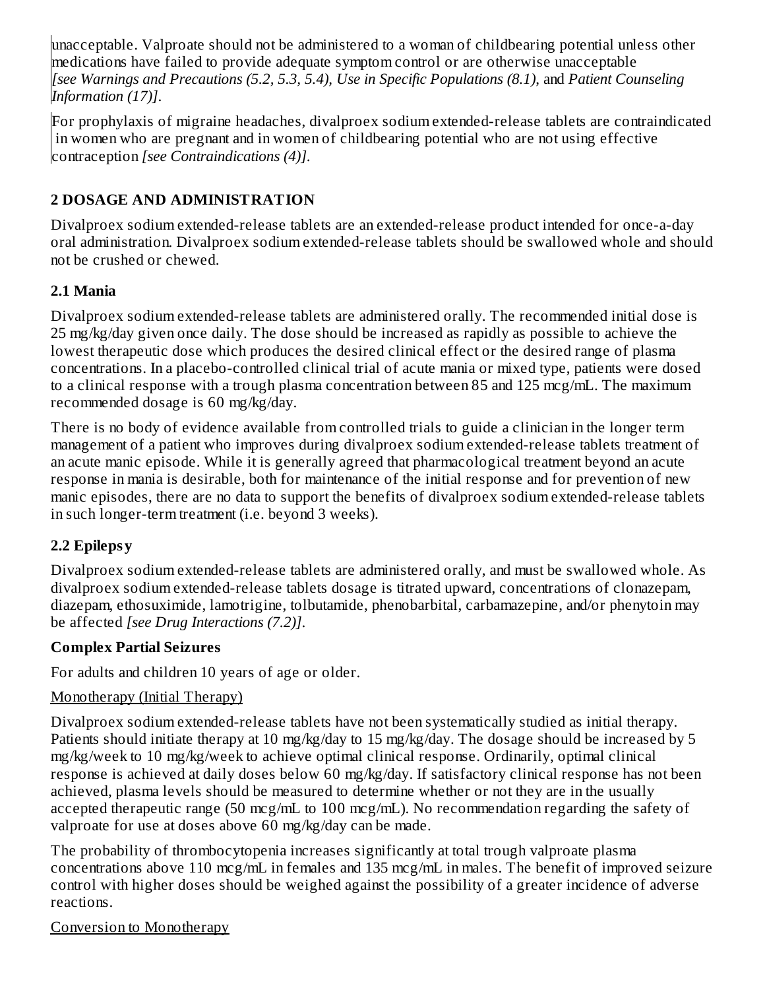unacceptable. Valproate should not be administered to a woman of childbearing potential unless other medications have failed to provide adequate symptom control or are otherwise unacceptable *[see Warnings and Precautions (5.2, 5.3, 5.4), Use in Specific Populations (8.1)*, and *Patient Counseling Information (17)]*.

For prophylaxis of migraine headaches, divalproex sodium extended-release tablets are contraindicated in women who are pregnant and in women of childbearing potential who are not using effective contraception *[see Contraindications (4)]*.

### **2 DOSAGE AND ADMINISTRATION**

Divalproex sodium extended-release tablets are an extended-release product intended for once-a-day oral administration. Divalproex sodium extended-release tablets should be swallowed whole and should not be crushed or chewed.

### **2.1 Mania**

Divalproex sodium extended-release tablets are administered orally. The recommended initial dose is 25 mg/kg/day given once daily. The dose should be increased as rapidly as possible to achieve the lowest therapeutic dose which produces the desired clinical effect or the desired range of plasma concentrations. In a placebo-controlled clinical trial of acute mania or mixed type, patients were dosed to a clinical response with a trough plasma concentration between 85 and 125 mcg/mL. The maximum recommended dosage is 60 mg/kg/day.

There is no body of evidence available from controlled trials to guide a clinician in the longer term management of a patient who improves during divalproex sodium extended-release tablets treatment of an acute manic episode. While it is generally agreed that pharmacological treatment beyond an acute response in mania is desirable, both for maintenance of the initial response and for prevention of new manic episodes, there are no data to support the benefits of divalproex sodium extended-release tablets in such longer-term treatment (i.e. beyond 3 weeks).

### **2.2 Epilepsy**

Divalproex sodium extended-release tablets are administered orally, and must be swallowed whole. As divalproex sodium extended-release tablets dosage is titrated upward, concentrations of clonazepam, diazepam, ethosuximide, lamotrigine, tolbutamide, phenobarbital, carbamazepine, and/or phenytoin may be affected *[see Drug Interactions (7.2)]*.

### **Complex Partial Seizures**

For adults and children 10 years of age or older.

### Monotherapy (Initial Therapy)

Divalproex sodium extended-release tablets have not been systematically studied as initial therapy. Patients should initiate therapy at 10 mg/kg/day to 15 mg/kg/day. The dosage should be increased by 5 mg/kg/week to 10 mg/kg/week to achieve optimal clinical response. Ordinarily, optimal clinical response is achieved at daily doses below 60 mg/kg/day. If satisfactory clinical response has not been achieved, plasma levels should be measured to determine whether or not they are in the usually accepted therapeutic range (50 mcg/mL to 100 mcg/mL). No recommendation regarding the safety of valproate for use at doses above 60 mg/kg/day can be made.

The probability of thrombocytopenia increases significantly at total trough valproate plasma concentrations above 110 mcg/mL in females and 135 mcg/mL in males. The benefit of improved seizure control with higher doses should be weighed against the possibility of a greater incidence of adverse reactions.

### Conversion to Monotherapy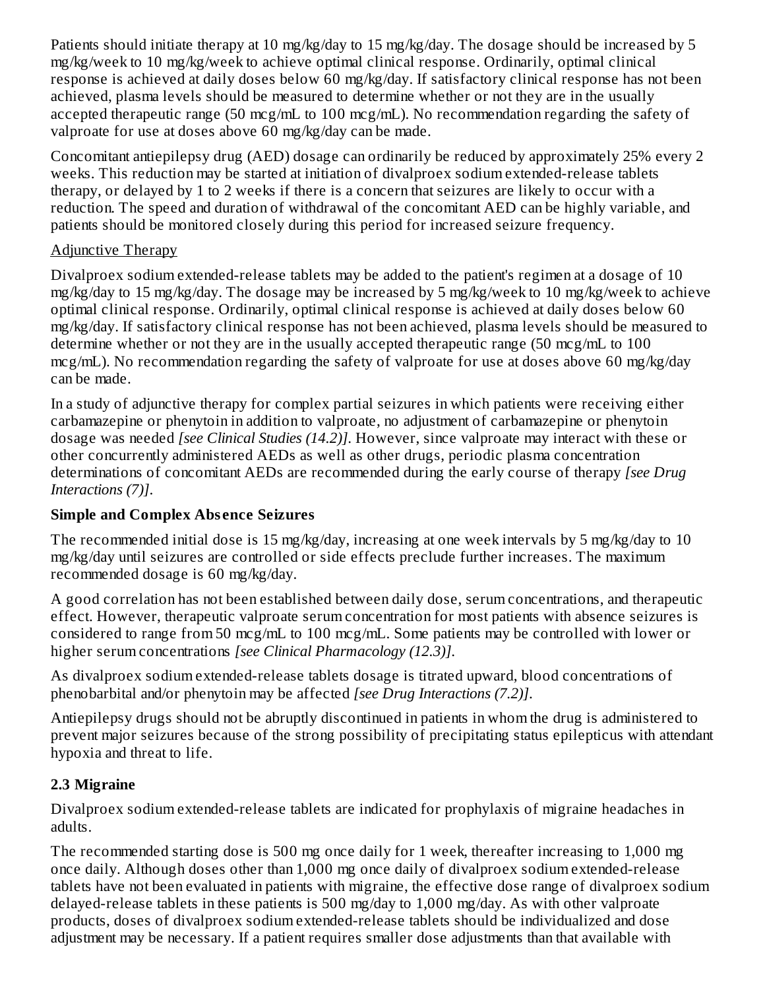Patients should initiate therapy at 10 mg/kg/day to 15 mg/kg/day. The dosage should be increased by 5 mg/kg/week to 10 mg/kg/week to achieve optimal clinical response. Ordinarily, optimal clinical response is achieved at daily doses below 60 mg/kg/day. If satisfactory clinical response has not been achieved, plasma levels should be measured to determine whether or not they are in the usually accepted therapeutic range (50 mcg/mL to 100 mcg/mL). No recommendation regarding the safety of valproate for use at doses above 60 mg/kg/day can be made.

Concomitant antiepilepsy drug (AED) dosage can ordinarily be reduced by approximately 25% every 2 weeks. This reduction may be started at initiation of divalproex sodium extended-release tablets therapy, or delayed by 1 to 2 weeks if there is a concern that seizures are likely to occur with a reduction. The speed and duration of withdrawal of the concomitant AED can be highly variable, and patients should be monitored closely during this period for increased seizure frequency.

### Adjunctive Therapy

Divalproex sodium extended-release tablets may be added to the patient's regimen at a dosage of 10 mg/kg/day to 15 mg/kg/day. The dosage may be increased by 5 mg/kg/week to 10 mg/kg/week to achieve optimal clinical response. Ordinarily, optimal clinical response is achieved at daily doses below 60 mg/kg/day. If satisfactory clinical response has not been achieved, plasma levels should be measured to determine whether or not they are in the usually accepted therapeutic range (50 mcg/mL to 100 mcg/mL). No recommendation regarding the safety of valproate for use at doses above 60 mg/kg/day can be made.

In a study of adjunctive therapy for complex partial seizures in which patients were receiving either carbamazepine or phenytoin in addition to valproate, no adjustment of carbamazepine or phenytoin dosage was needed *[see Clinical Studies (14.2)]*. However, since valproate may interact with these or other concurrently administered AEDs as well as other drugs, periodic plasma concentration determinations of concomitant AEDs are recommended during the early course of therapy *[see Drug Interactions (7)]*.

### **Simple and Complex Abs ence Seizures**

The recommended initial dose is 15 mg/kg/day, increasing at one week intervals by 5 mg/kg/day to 10 mg/kg/day until seizures are controlled or side effects preclude further increases. The maximum recommended dosage is 60 mg/kg/day.

A good correlation has not been established between daily dose, serum concentrations, and therapeutic effect. However, therapeutic valproate serum concentration for most patients with absence seizures is considered to range from 50 mcg/mL to 100 mcg/mL. Some patients may be controlled with lower or higher serum concentrations *[see Clinical Pharmacology (12.3)]*.

As divalproex sodium extended-release tablets dosage is titrated upward, blood concentrations of phenobarbital and/or phenytoin may be affected *[see Drug Interactions (7.2)]*.

Antiepilepsy drugs should not be abruptly discontinued in patients in whom the drug is administered to prevent major seizures because of the strong possibility of precipitating status epilepticus with attendant hypoxia and threat to life.

### **2.3 Migraine**

Divalproex sodium extended-release tablets are indicated for prophylaxis of migraine headaches in adults.

The recommended starting dose is 500 mg once daily for 1 week, thereafter increasing to 1,000 mg once daily. Although doses other than 1,000 mg once daily of divalproex sodium extended-release tablets have not been evaluated in patients with migraine, the effective dose range of divalproex sodium delayed-release tablets in these patients is 500 mg/day to 1,000 mg/day. As with other valproate products, doses of divalproex sodium extended-release tablets should be individualized and dose adjustment may be necessary. If a patient requires smaller dose adjustments than that available with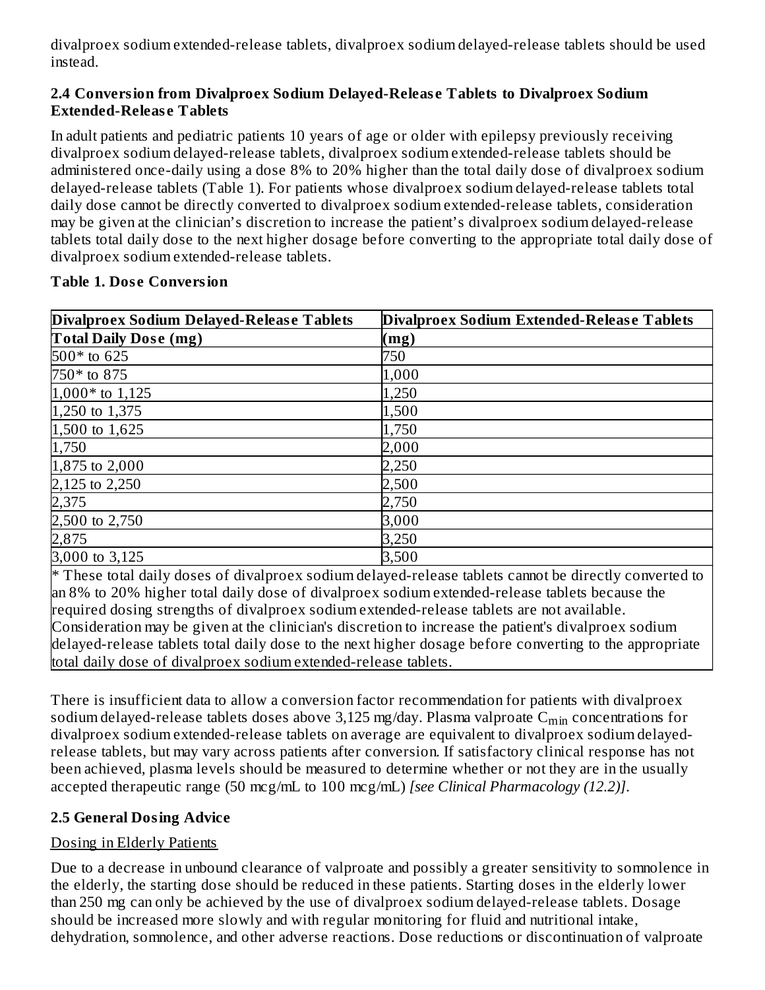divalproex sodium extended-release tablets, divalproex sodium delayed-release tablets should be used instead.

#### **2.4 Conversion from Divalproex Sodium Delayed-Releas e Tablets to Divalproex Sodium Extended-Releas e Tablets**

In adult patients and pediatric patients 10 years of age or older with epilepsy previously receiving divalproex sodium delayed-release tablets, divalproex sodium extended-release tablets should be administered once-daily using a dose 8% to 20% higher than the total daily dose of divalproex sodium delayed-release tablets (Table 1). For patients whose divalproex sodium delayed-release tablets total daily dose cannot be directly converted to divalproex sodium extended-release tablets, consideration may be given at the clinician's discretion to increase the patient's divalproex sodium delayed-release tablets total daily dose to the next higher dosage before converting to the appropriate total daily dose of divalproex sodium extended-release tablets.

| Divalproex Sodium Delayed-Release Tablets | Divalproex Sodium Extended-Release Tablets |
|-------------------------------------------|--------------------------------------------|
| <b>Total Daily Dose (mg)</b>              | (mg)                                       |
| 500* to 625                               | 750                                        |
| 750* to 875                               | 1,000                                      |
| $1,000*$ to $1,125$                       | 1,250                                      |
| 1,250 to 1,375                            | 1,500                                      |
| 1,500 to 1,625                            | 1,750                                      |
| 1,750                                     | 2,000                                      |
| 1,875 to 2,000                            | 2,250                                      |
| 2,125 to 2,250<br>2,375                   | 2,500                                      |
|                                           | 2,750                                      |
| 2,500 to 2,750                            | 3,000                                      |
| 2,875                                     | 3,250                                      |
| 3,000 to 3,125                            | 3,500                                      |

#### **Table 1. Dos e Conversion**

\* These total daily doses of divalproex sodium delayed-release tablets cannot be directly converted to an 8% to 20% higher total daily dose of divalproex sodium extended-release tablets because the required dosing strengths of divalproex sodium extended-release tablets are not available. Consideration may be given at the clinician's discretion to increase the patient's divalproex sodium delayed-release tablets total daily dose to the next higher dosage before converting to the appropriate total daily dose of divalproex sodium extended-release tablets.

There is insufficient data to allow a conversion factor recommendation for patients with divalproex sodium delayed-release tablets doses above 3,125 mg/day. Plasma valproate  $\mathsf{C}_{\min}$  concentrations for divalproex sodium extended-release tablets on average are equivalent to divalproex sodium delayedrelease tablets, but may vary across patients after conversion. If satisfactory clinical response has not been achieved, plasma levels should be measured to determine whether or not they are in the usually accepted therapeutic range (50 mcg/mL to 100 mcg/mL) *[see Clinical Pharmacology (12.2)]*.

### **2.5 General Dosing Advice**

### Dosing in Elderly Patients

Due to a decrease in unbound clearance of valproate and possibly a greater sensitivity to somnolence in the elderly, the starting dose should be reduced in these patients. Starting doses in the elderly lower than 250 mg can only be achieved by the use of divalproex sodium delayed-release tablets. Dosage should be increased more slowly and with regular monitoring for fluid and nutritional intake, dehydration, somnolence, and other adverse reactions. Dose reductions or discontinuation of valproate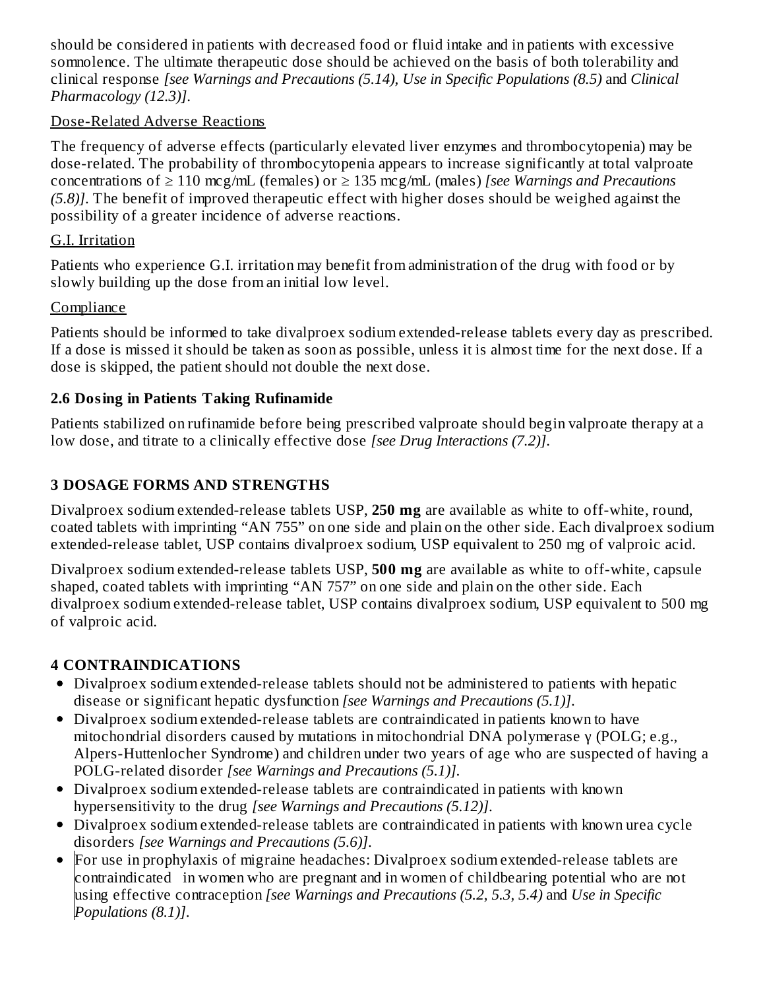should be considered in patients with decreased food or fluid intake and in patients with excessive somnolence. The ultimate therapeutic dose should be achieved on the basis of both tolerability and clinical response *[see Warnings and Precautions (5.14), Use in Specific Populations (8.5)* and *Clinical Pharmacology (12.3)]*.

#### Dose-Related Adverse Reactions

The frequency of adverse effects (particularly elevated liver enzymes and thrombocytopenia) may be dose-related. The probability of thrombocytopenia appears to increase significantly at total valproate concentrations of ≥ 110 mcg/mL (females) or ≥ 135 mcg/mL (males) *[see Warnings and Precautions (5.8)]*. The benefit of improved therapeutic effect with higher doses should be weighed against the possibility of a greater incidence of adverse reactions.

### G.I. Irritation

Patients who experience G.I. irritation may benefit from administration of the drug with food or by slowly building up the dose from an initial low level.

### **Compliance**

Patients should be informed to take divalproex sodium extended-release tablets every day as prescribed. If a dose is missed it should be taken as soon as possible, unless it is almost time for the next dose. If a dose is skipped, the patient should not double the next dose.

### **2.6 Dosing in Patients Taking Rufinamide**

Patients stabilized on rufinamide before being prescribed valproate should begin valproate therapy at a low dose, and titrate to a clinically effective dose *[see Drug Interactions (7.2)]*.

# **3 DOSAGE FORMS AND STRENGTHS**

Divalproex sodium extended-release tablets USP, **250 mg** are available as white to off-white, round, coated tablets with imprinting "AN 755" on one side and plain on the other side. Each divalproex sodium extended-release tablet, USP contains divalproex sodium, USP equivalent to 250 mg of valproic acid.

Divalproex sodium extended-release tablets USP, **500 mg** are available as white to off-white, capsule shaped, coated tablets with imprinting "AN 757" on one side and plain on the other side. Each divalproex sodium extended-release tablet, USP contains divalproex sodium, USP equivalent to 500 mg of valproic acid.

# **4 CONTRAINDICATIONS**

- Divalproex sodium extended-release tablets should not be administered to patients with hepatic disease or significant hepatic dysfunction *[see Warnings and Precautions (5.1)]*.
- Divalproex sodium extended-release tablets are contraindicated in patients known to have mitochondrial disorders caused by mutations in mitochondrial DNA polymerase γ (POLG; e.g., Alpers-Huttenlocher Syndrome) and children under two years of age who are suspected of having a POLG-related disorder *[see Warnings and Precautions (5.1)]*.
- Divalproex sodium extended-release tablets are contraindicated in patients with known hypersensitivity to the drug *[see Warnings and Precautions (5.12)]*.
- Divalproex sodium extended-release tablets are contraindicated in patients with known urea cycle disorders *[see Warnings and Precautions (5.6)]*.
- For use in prophylaxis of migraine headaches: Divalproex sodium extended-release tablets are  $\bullet$ contraindicated in women who are pregnant and in women of childbearing potential who are not using effective contraception *[see Warnings and Precautions (5.2, 5.3, 5.4)* and *Use in Specific Populations (8.1)]*.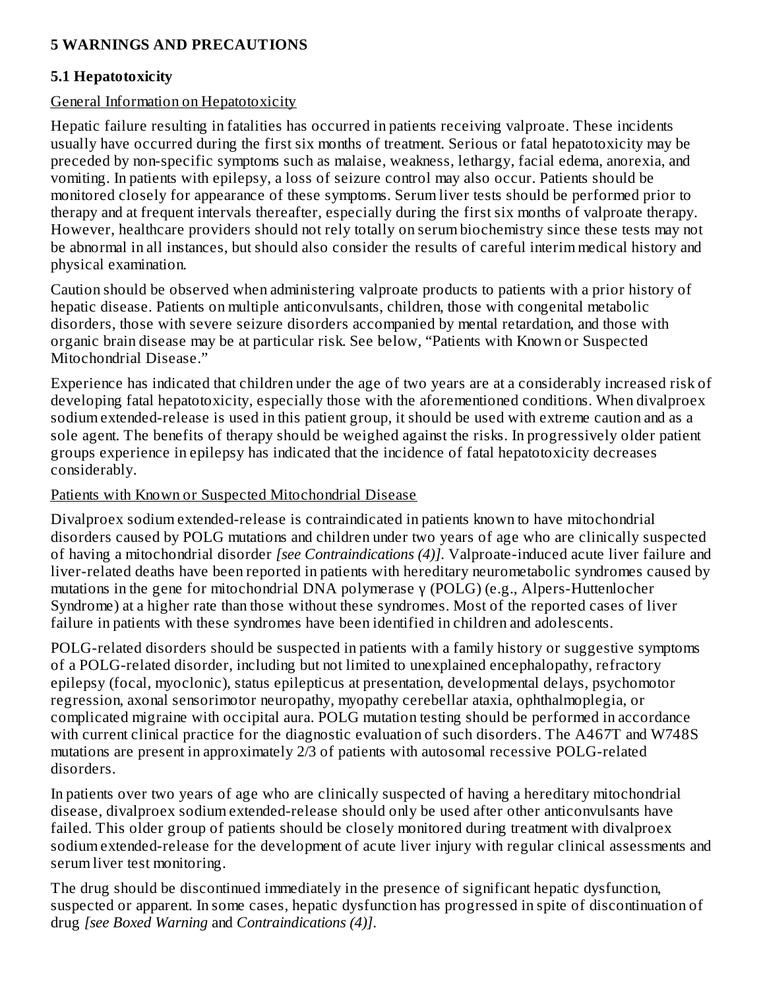#### **5 WARNINGS AND PRECAUTIONS**

#### **5.1 Hepatotoxicity**

#### General Information on Hepatotoxicity

Hepatic failure resulting in fatalities has occurred in patients receiving valproate. These incidents usually have occurred during the first six months of treatment. Serious or fatal hepatotoxicity may be preceded by non-specific symptoms such as malaise, weakness, lethargy, facial edema, anorexia, and vomiting. In patients with epilepsy, a loss of seizure control may also occur. Patients should be monitored closely for appearance of these symptoms. Serum liver tests should be performed prior to therapy and at frequent intervals thereafter, especially during the first six months of valproate therapy. However, healthcare providers should not rely totally on serum biochemistry since these tests may not be abnormal in all instances, but should also consider the results of careful interim medical history and physical examination.

Caution should be observed when administering valproate products to patients with a prior history of hepatic disease. Patients on multiple anticonvulsants, children, those with congenital metabolic disorders, those with severe seizure disorders accompanied by mental retardation, and those with organic brain disease may be at particular risk. See below, "Patients with Known or Suspected Mitochondrial Disease."

Experience has indicated that children under the age of two years are at a considerably increased risk of developing fatal hepatotoxicity, especially those with the aforementioned conditions. When divalproex sodium extended-release is used in this patient group, it should be used with extreme caution and as a sole agent. The benefits of therapy should be weighed against the risks. In progressively older patient groups experience in epilepsy has indicated that the incidence of fatal hepatotoxicity decreases considerably.

#### Patients with Known or Suspected Mitochondrial Disease

Divalproex sodium extended-release is contraindicated in patients known to have mitochondrial disorders caused by POLG mutations and children under two years of age who are clinically suspected of having a mitochondrial disorder *[see Contraindications (4)]*. Valproate-induced acute liver failure and liver-related deaths have been reported in patients with hereditary neurometabolic syndromes caused by mutations in the gene for mitochondrial DNA polymerase γ (POLG) (e.g., Alpers-Huttenlocher Syndrome) at a higher rate than those without these syndromes. Most of the reported cases of liver failure in patients with these syndromes have been identified in children and adolescents.

POLG-related disorders should be suspected in patients with a family history or suggestive symptoms of a POLG-related disorder, including but not limited to unexplained encephalopathy, refractory epilepsy (focal, myoclonic), status epilepticus at presentation, developmental delays, psychomotor regression, axonal sensorimotor neuropathy, myopathy cerebellar ataxia, ophthalmoplegia, or complicated migraine with occipital aura. POLG mutation testing should be performed in accordance with current clinical practice for the diagnostic evaluation of such disorders. The A467T and W748S mutations are present in approximately 2/3 of patients with autosomal recessive POLG-related disorders.

In patients over two years of age who are clinically suspected of having a hereditary mitochondrial disease, divalproex sodium extended-release should only be used after other anticonvulsants have failed. This older group of patients should be closely monitored during treatment with divalproex sodium extended-release for the development of acute liver injury with regular clinical assessments and serum liver test monitoring.

The drug should be discontinued immediately in the presence of significant hepatic dysfunction, suspected or apparent. In some cases, hepatic dysfunction has progressed in spite of discontinuation of drug *[see Boxed Warning* and *Contraindications (4)]*.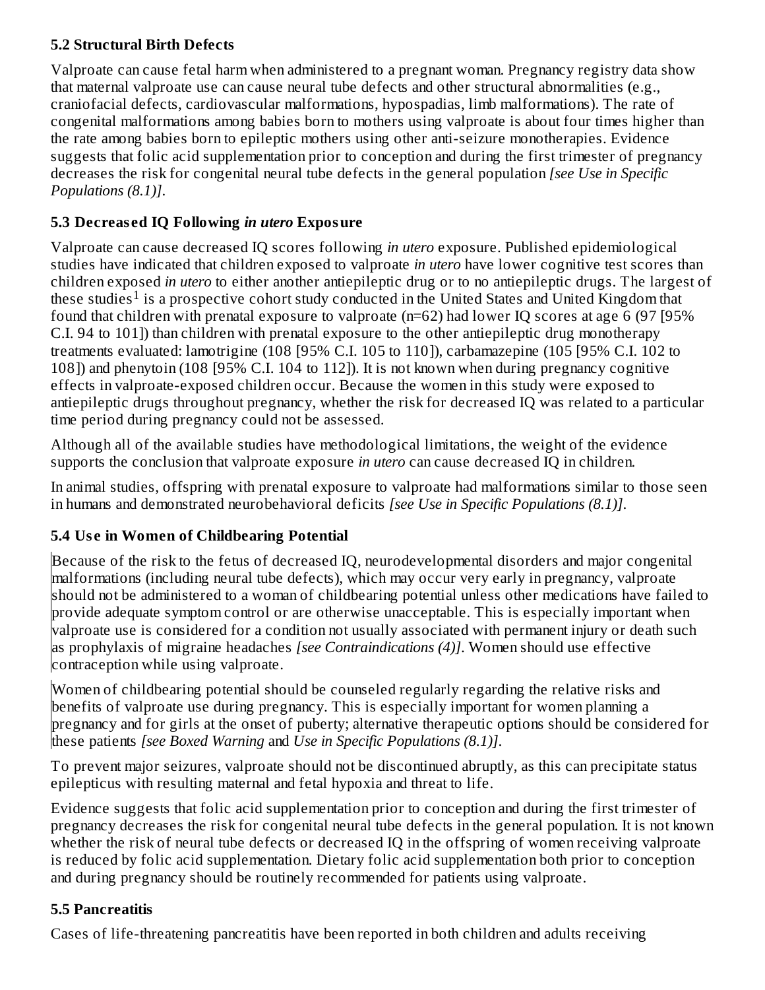### **5.2 Structural Birth Defects**

Valproate can cause fetal harm when administered to a pregnant woman. Pregnancy registry data show that maternal valproate use can cause neural tube defects and other structural abnormalities (e.g., craniofacial defects, cardiovascular malformations, hypospadias, limb malformations). The rate of congenital malformations among babies born to mothers using valproate is about four times higher than the rate among babies born to epileptic mothers using other anti-seizure monotherapies. Evidence suggests that folic acid supplementation prior to conception and during the first trimester of pregnancy decreases the risk for congenital neural tube defects in the general population *[see Use in Specific Populations (8.1)]*.

### **5.3 Decreas ed IQ Following** *in utero* **Exposure**

Valproate can cause decreased IQ scores following *in utero* exposure. Published epidemiological studies have indicated that children exposed to valproate *in utero* have lower cognitive test scores than children exposed *in utero* to either another antiepileptic drug or to no antiepileptic drugs. The largest of these studies<sup>1</sup> is a prospective cohort study conducted in the United States and United Kingdom that found that children with prenatal exposure to valproate (n=62) had lower IQ scores at age 6 (97 [95% C.I. 94 to 101]) than children with prenatal exposure to the other antiepileptic drug monotherapy treatments evaluated: lamotrigine (108 [95% C.I. 105 to 110]), carbamazepine (105 [95% C.I. 102 to 108]) and phenytoin (108 [95% C.I. 104 to 112]). It is not known when during pregnancy cognitive effects in valproate-exposed children occur. Because the women in this study were exposed to antiepileptic drugs throughout pregnancy, whether the risk for decreased IQ was related to a particular time period during pregnancy could not be assessed.

Although all of the available studies have methodological limitations, the weight of the evidence supports the conclusion that valproate exposure *in utero* can cause decreased IQ in children.

In animal studies, offspring with prenatal exposure to valproate had malformations similar to those seen in humans and demonstrated neurobehavioral deficits *[see Use in Specific Populations (8.1)]*.

### **5.4 Us e in Women of Childbearing Potential**

Because of the risk to the fetus of decreased IQ, neurodevelopmental disorders and major congenital malformations (including neural tube defects), which may occur very early in pregnancy, valproate should not be administered to a woman of childbearing potential unless other medications have failed to provide adequate symptom control or are otherwise unacceptable. This is especially important when valproate use is considered for a condition not usually associated with permanent injury or death such as prophylaxis of migraine headaches *[see Contraindications (4)]*. Women should use effective contraception while using valproate.

Women of childbearing potential should be counseled regularly regarding the relative risks and benefits of valproate use during pregnancy. This is especially important for women planning a pregnancy and for girls at the onset of puberty; alternative therapeutic options should be considered for these patients *[see Boxed Warning* and *Use in Specific Populations (8.1)]*.

To prevent major seizures, valproate should not be discontinued abruptly, as this can precipitate status epilepticus with resulting maternal and fetal hypoxia and threat to life.

Evidence suggests that folic acid supplementation prior to conception and during the first trimester of pregnancy decreases the risk for congenital neural tube defects in the general population. It is not known whether the risk of neural tube defects or decreased IQ in the offspring of women receiving valproate is reduced by folic acid supplementation. Dietary folic acid supplementation both prior to conception and during pregnancy should be routinely recommended for patients using valproate.

### **5.5 Pancreatitis**

Cases of life-threatening pancreatitis have been reported in both children and adults receiving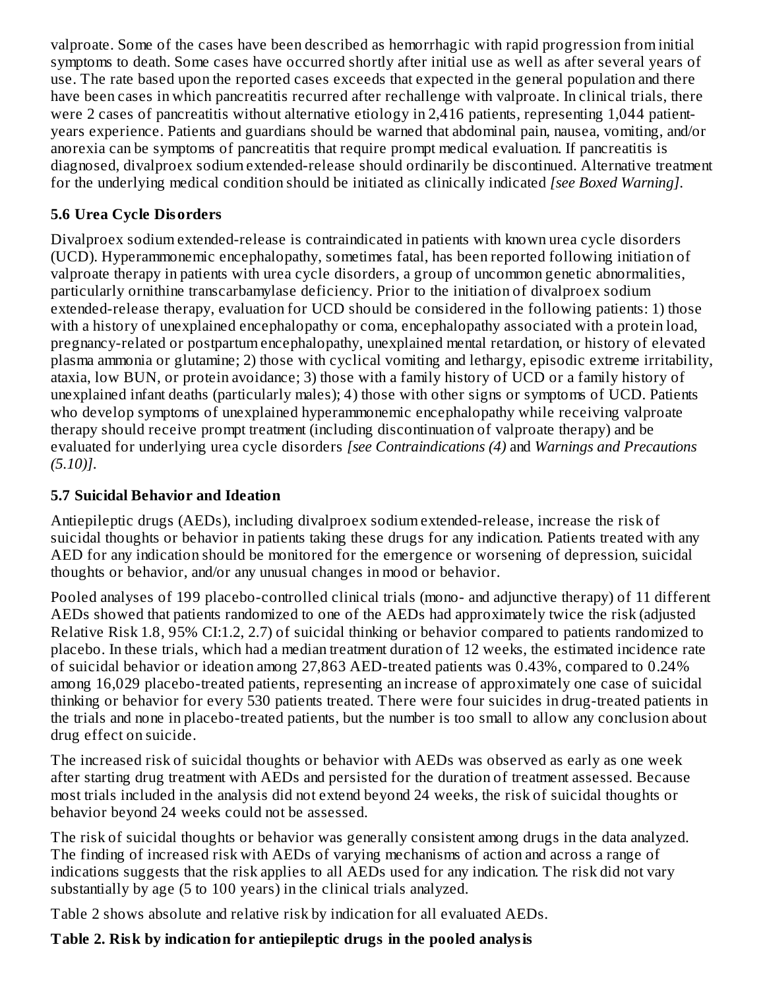valproate. Some of the cases have been described as hemorrhagic with rapid progression from initial symptoms to death. Some cases have occurred shortly after initial use as well as after several years of use. The rate based upon the reported cases exceeds that expected in the general population and there have been cases in which pancreatitis recurred after rechallenge with valproate. In clinical trials, there were 2 cases of pancreatitis without alternative etiology in 2,416 patients, representing 1,044 patientyears experience. Patients and guardians should be warned that abdominal pain, nausea, vomiting, and/or anorexia can be symptoms of pancreatitis that require prompt medical evaluation. If pancreatitis is diagnosed, divalproex sodium extended-release should ordinarily be discontinued. Alternative treatment for the underlying medical condition should be initiated as clinically indicated *[see Boxed Warning]*.

### **5.6 Urea Cycle Disorders**

Divalproex sodium extended-release is contraindicated in patients with known urea cycle disorders (UCD). Hyperammonemic encephalopathy, sometimes fatal, has been reported following initiation of valproate therapy in patients with urea cycle disorders, a group of uncommon genetic abnormalities, particularly ornithine transcarbamylase deficiency. Prior to the initiation of divalproex sodium extended-release therapy, evaluation for UCD should be considered in the following patients: 1) those with a history of unexplained encephalopathy or coma, encephalopathy associated with a protein load, pregnancy-related or postpartum encephalopathy, unexplained mental retardation, or history of elevated plasma ammonia or glutamine; 2) those with cyclical vomiting and lethargy, episodic extreme irritability, ataxia, low BUN, or protein avoidance; 3) those with a family history of UCD or a family history of unexplained infant deaths (particularly males); 4) those with other signs or symptoms of UCD. Patients who develop symptoms of unexplained hyperammonemic encephalopathy while receiving valproate therapy should receive prompt treatment (including discontinuation of valproate therapy) and be evaluated for underlying urea cycle disorders *[see Contraindications (4)* and *Warnings and Precautions (5.10)]*.

### **5.7 Suicidal Behavior and Ideation**

Antiepileptic drugs (AEDs), including divalproex sodium extended-release, increase the risk of suicidal thoughts or behavior in patients taking these drugs for any indication. Patients treated with any AED for any indication should be monitored for the emergence or worsening of depression, suicidal thoughts or behavior, and/or any unusual changes in mood or behavior.

Pooled analyses of 199 placebo-controlled clinical trials (mono- and adjunctive therapy) of 11 different AEDs showed that patients randomized to one of the AEDs had approximately twice the risk (adjusted Relative Risk 1.8, 95% CI:1.2, 2.7) of suicidal thinking or behavior compared to patients randomized to placebo. In these trials, which had a median treatment duration of 12 weeks, the estimated incidence rate of suicidal behavior or ideation among 27,863 AED-treated patients was 0.43%, compared to 0.24% among 16,029 placebo-treated patients, representing an increase of approximately one case of suicidal thinking or behavior for every 530 patients treated. There were four suicides in drug-treated patients in the trials and none in placebo-treated patients, but the number is too small to allow any conclusion about drug effect on suicide.

The increased risk of suicidal thoughts or behavior with AEDs was observed as early as one week after starting drug treatment with AEDs and persisted for the duration of treatment assessed. Because most trials included in the analysis did not extend beyond 24 weeks, the risk of suicidal thoughts or behavior beyond 24 weeks could not be assessed.

The risk of suicidal thoughts or behavior was generally consistent among drugs in the data analyzed. The finding of increased risk with AEDs of varying mechanisms of action and across a range of indications suggests that the risk applies to all AEDs used for any indication. The risk did not vary substantially by age (5 to 100 years) in the clinical trials analyzed.

Table 2 shows absolute and relative risk by indication for all evaluated AEDs.

# **Table 2. Risk by indication for antiepileptic drugs in the pooled analysis**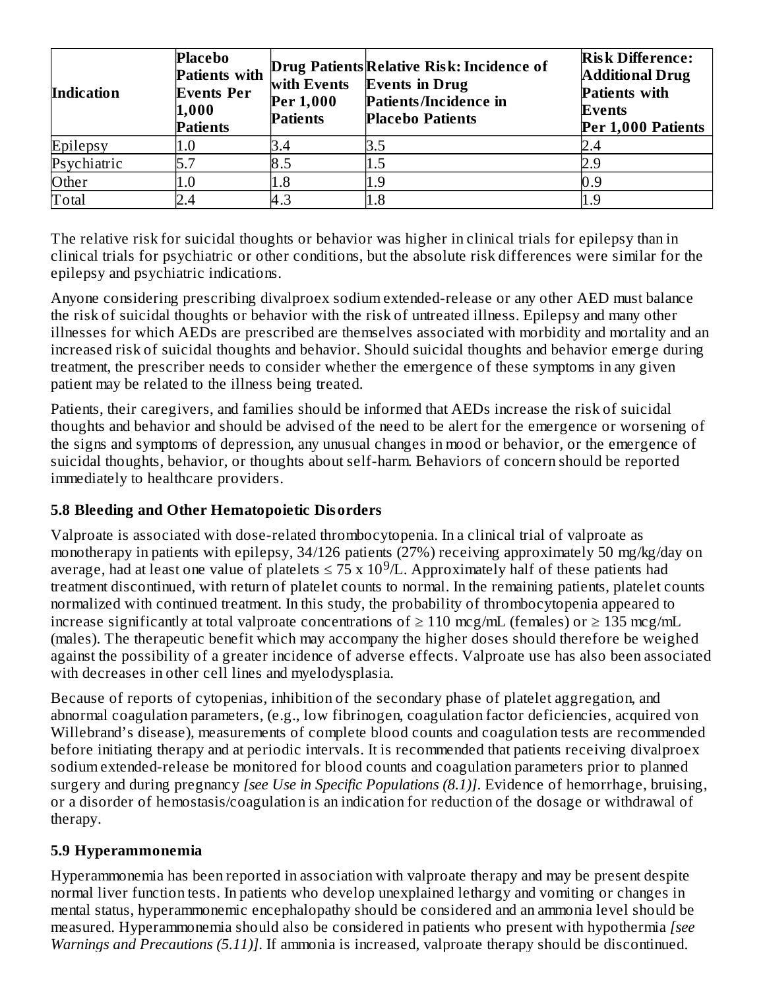| <b>Indication</b> | <b>Placebo</b><br><b>Patients with</b><br><b>Events Per</b><br>1,000<br><b>Patients</b> | with Events<br>Per 1,000<br><b>Patients</b> | Drug Patients Relative Risk: Incidence of<br><b>Events in Drug</b><br>Patients/Incidence in<br><b>Placebo Patients</b> | <b>Risk Difference:</b><br><b>Additional Drug</b><br><b>Patients with</b><br>Events<br>Per 1,000 Patients |
|-------------------|-----------------------------------------------------------------------------------------|---------------------------------------------|------------------------------------------------------------------------------------------------------------------------|-----------------------------------------------------------------------------------------------------------|
| Epilepsy          | $1.0\,$                                                                                 | 3.4                                         | 3.5                                                                                                                    |                                                                                                           |
| Psychiatric       |                                                                                         | 8.5                                         |                                                                                                                        |                                                                                                           |
| Other             | $1.0\,$                                                                                 | 1.8                                         |                                                                                                                        |                                                                                                           |
| Total             |                                                                                         | 4.3                                         | $1.8\,$                                                                                                                |                                                                                                           |

The relative risk for suicidal thoughts or behavior was higher in clinical trials for epilepsy than in clinical trials for psychiatric or other conditions, but the absolute risk differences were similar for the epilepsy and psychiatric indications.

Anyone considering prescribing divalproex sodium extended-release or any other AED must balance the risk of suicidal thoughts or behavior with the risk of untreated illness. Epilepsy and many other illnesses for which AEDs are prescribed are themselves associated with morbidity and mortality and an increased risk of suicidal thoughts and behavior. Should suicidal thoughts and behavior emerge during treatment, the prescriber needs to consider whether the emergence of these symptoms in any given patient may be related to the illness being treated.

Patients, their caregivers, and families should be informed that AEDs increase the risk of suicidal thoughts and behavior and should be advised of the need to be alert for the emergence or worsening of the signs and symptoms of depression, any unusual changes in mood or behavior, or the emergence of suicidal thoughts, behavior, or thoughts about self-harm. Behaviors of concern should be reported immediately to healthcare providers.

### **5.8 Bleeding and Other Hematopoietic Disorders**

Valproate is associated with dose-related thrombocytopenia. In a clinical trial of valproate as monotherapy in patients with epilepsy, 34/126 patients (27%) receiving approximately 50 mg/kg/day on average, had at least one value of platelets  $\leq$  75 x 10<sup>9</sup>/L. Approximately half of these patients had treatment discontinued, with return of platelet counts to normal. In the remaining patients, platelet counts normalized with continued treatment. In this study, the probability of thrombocytopenia appeared to increase significantly at total valproate concentrations of  $\geq 110$  mcg/mL (females) or  $\geq 135$  mcg/mL (males). The therapeutic benefit which may accompany the higher doses should therefore be weighed against the possibility of a greater incidence of adverse effects. Valproate use has also been associated with decreases in other cell lines and myelodysplasia.

Because of reports of cytopenias, inhibition of the secondary phase of platelet aggregation, and abnormal coagulation parameters, (e.g., low fibrinogen, coagulation factor deficiencies, acquired von Willebrand's disease), measurements of complete blood counts and coagulation tests are recommended before initiating therapy and at periodic intervals. It is recommended that patients receiving divalproex sodium extended-release be monitored for blood counts and coagulation parameters prior to planned surgery and during pregnancy *[see Use in Specific Populations (8.1)]*. Evidence of hemorrhage, bruising, or a disorder of hemostasis/coagulation is an indication for reduction of the dosage or withdrawal of therapy.

#### **5.9 Hyperammonemia**

Hyperammonemia has been reported in association with valproate therapy and may be present despite normal liver function tests. In patients who develop unexplained lethargy and vomiting or changes in mental status, hyperammonemic encephalopathy should be considered and an ammonia level should be measured. Hyperammonemia should also be considered in patients who present with hypothermia *[see Warnings and Precautions (5.11)]*. If ammonia is increased, valproate therapy should be discontinued.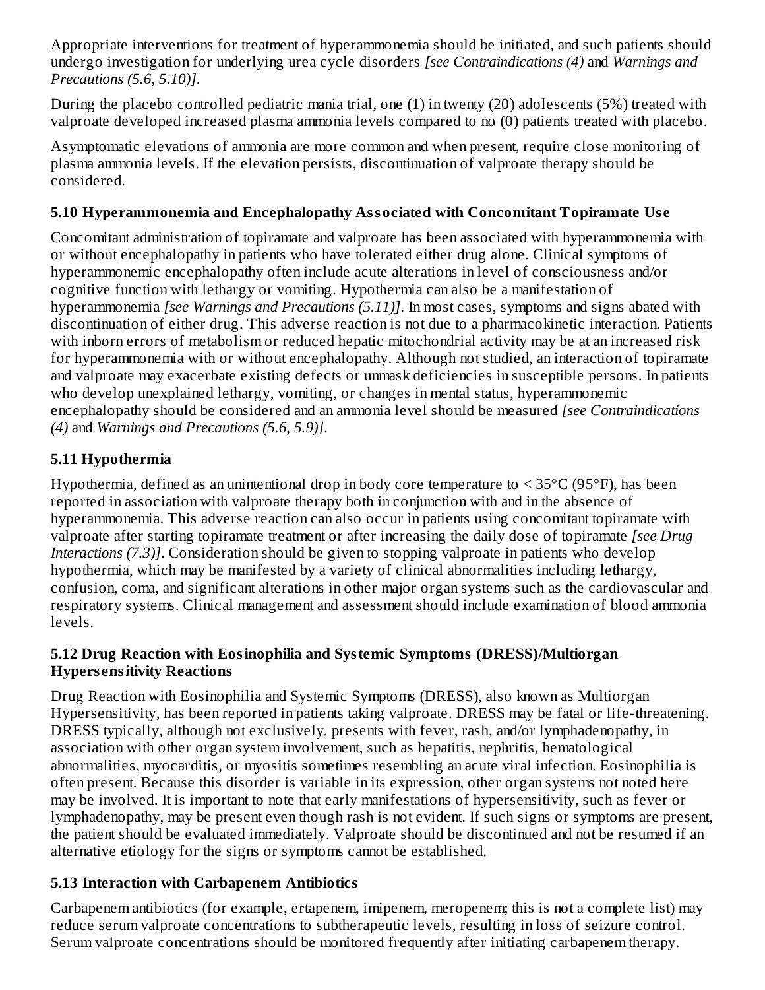Appropriate interventions for treatment of hyperammonemia should be initiated, and such patients should undergo investigation for underlying urea cycle disorders *[see Contraindications (4)* and *Warnings and Precautions (5.6, 5.10)]*.

During the placebo controlled pediatric mania trial, one (1) in twenty (20) adolescents (5%) treated with valproate developed increased plasma ammonia levels compared to no (0) patients treated with placebo.

Asymptomatic elevations of ammonia are more common and when present, require close monitoring of plasma ammonia levels. If the elevation persists, discontinuation of valproate therapy should be considered.

### **5.10 Hyperammonemia and Encephalopathy Associated with Concomitant Topiramate Us e**

Concomitant administration of topiramate and valproate has been associated with hyperammonemia with or without encephalopathy in patients who have tolerated either drug alone. Clinical symptoms of hyperammonemic encephalopathy often include acute alterations in level of consciousness and/or cognitive function with lethargy or vomiting. Hypothermia can also be a manifestation of hyperammonemia *[see Warnings and Precautions (5.11)]*. In most cases, symptoms and signs abated with discontinuation of either drug. This adverse reaction is not due to a pharmacokinetic interaction. Patients with inborn errors of metabolism or reduced hepatic mitochondrial activity may be at an increased risk for hyperammonemia with or without encephalopathy. Although not studied, an interaction of topiramate and valproate may exacerbate existing defects or unmask deficiencies in susceptible persons. In patients who develop unexplained lethargy, vomiting, or changes in mental status, hyperammonemic encephalopathy should be considered and an ammonia level should be measured *[see Contraindications (4)* and *Warnings and Precautions (5.6, 5.9)]*.

### **5.11 Hypothermia**

Hypothermia, defined as an unintentional drop in body core temperature to < 35°C (95°F), has been reported in association with valproate therapy both in conjunction with and in the absence of hyperammonemia. This adverse reaction can also occur in patients using concomitant topiramate with valproate after starting topiramate treatment or after increasing the daily dose of topiramate *[see Drug Interactions (7.3)]*. Consideration should be given to stopping valproate in patients who develop hypothermia, which may be manifested by a variety of clinical abnormalities including lethargy, confusion, coma, and significant alterations in other major organ systems such as the cardiovascular and respiratory systems. Clinical management and assessment should include examination of blood ammonia levels.

#### **5.12 Drug Reaction with Eosinophilia and Systemic Symptoms (DRESS)/Multiorgan Hypers ensitivity Reactions**

Drug Reaction with Eosinophilia and Systemic Symptoms (DRESS), also known as Multiorgan Hypersensitivity, has been reported in patients taking valproate. DRESS may be fatal or life-threatening. DRESS typically, although not exclusively, presents with fever, rash, and/or lymphadenopathy, in association with other organ system involvement, such as hepatitis, nephritis, hematological abnormalities, myocarditis, or myositis sometimes resembling an acute viral infection. Eosinophilia is often present. Because this disorder is variable in its expression, other organ systems not noted here may be involved. It is important to note that early manifestations of hypersensitivity, such as fever or lymphadenopathy, may be present even though rash is not evident. If such signs or symptoms are present, the patient should be evaluated immediately. Valproate should be discontinued and not be resumed if an alternative etiology for the signs or symptoms cannot be established.

### **5.13 Interaction with Carbapenem Antibiotics**

Carbapenem antibiotics (for example, ertapenem, imipenem, meropenem; this is not a complete list) may reduce serum valproate concentrations to subtherapeutic levels, resulting in loss of seizure control. Serum valproate concentrations should be monitored frequently after initiating carbapenem therapy.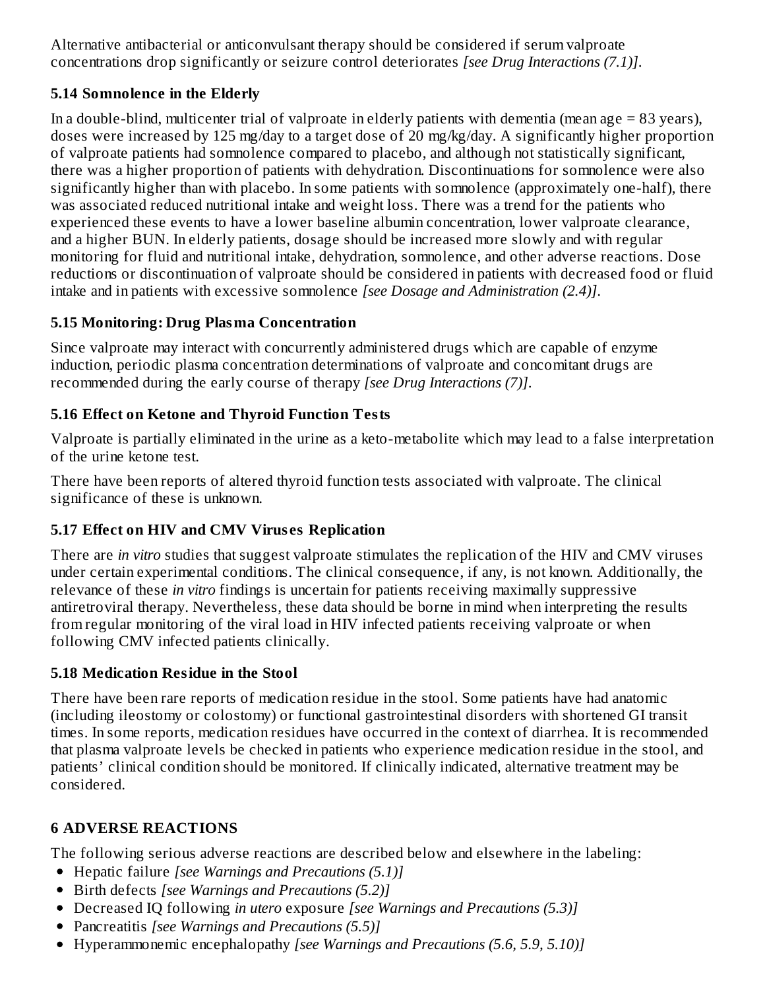Alternative antibacterial or anticonvulsant therapy should be considered if serum valproate concentrations drop significantly or seizure control deteriorates *[see Drug Interactions (7.1)]*.

### **5.14 Somnolence in the Elderly**

In a double-blind, multicenter trial of valproate in elderly patients with dementia (mean age  $= 83$  years), doses were increased by 125 mg/day to a target dose of 20 mg/kg/day. A significantly higher proportion of valproate patients had somnolence compared to placebo, and although not statistically significant, there was a higher proportion of patients with dehydration. Discontinuations for somnolence were also significantly higher than with placebo. In some patients with somnolence (approximately one-half), there was associated reduced nutritional intake and weight loss. There was a trend for the patients who experienced these events to have a lower baseline albumin concentration, lower valproate clearance, and a higher BUN. In elderly patients, dosage should be increased more slowly and with regular monitoring for fluid and nutritional intake, dehydration, somnolence, and other adverse reactions. Dose reductions or discontinuation of valproate should be considered in patients with decreased food or fluid intake and in patients with excessive somnolence *[see Dosage and Administration (2.4)]*.

# **5.15 Monitoring: Drug Plasma Concentration**

Since valproate may interact with concurrently administered drugs which are capable of enzyme induction, periodic plasma concentration determinations of valproate and concomitant drugs are recommended during the early course of therapy *[see Drug Interactions (7)]*.

### **5.16 Effect on Ketone and Thyroid Function Tests**

Valproate is partially eliminated in the urine as a keto-metabolite which may lead to a false interpretation of the urine ketone test.

There have been reports of altered thyroid function tests associated with valproate. The clinical significance of these is unknown.

### **5.17 Effect on HIV and CMV Virus es Replication**

There are *in vitro* studies that suggest valproate stimulates the replication of the HIV and CMV viruses under certain experimental conditions. The clinical consequence, if any, is not known. Additionally, the relevance of these *in vitro* findings is uncertain for patients receiving maximally suppressive antiretroviral therapy. Nevertheless, these data should be borne in mind when interpreting the results from regular monitoring of the viral load in HIV infected patients receiving valproate or when following CMV infected patients clinically.

### **5.18 Medication Residue in the Stool**

There have been rare reports of medication residue in the stool. Some patients have had anatomic (including ileostomy or colostomy) or functional gastrointestinal disorders with shortened GI transit times. In some reports, medication residues have occurred in the context of diarrhea. It is recommended that plasma valproate levels be checked in patients who experience medication residue in the stool, and patients' clinical condition should be monitored. If clinically indicated, alternative treatment may be considered.

# **6 ADVERSE REACTIONS**

The following serious adverse reactions are described below and elsewhere in the labeling:

- Hepatic failure *[see Warnings and Precautions (5.1)]*
- Birth defects *[see Warnings and Precautions (5.2)]*
- Decreased IQ following *in utero* exposure *[see Warnings and Precautions (5.3)]*
- Pancreatitis *[see Warnings and Precautions (5.5)]*
- Hyperammonemic encephalopathy *[see Warnings and Precautions (5.6, 5.9, 5.10)]*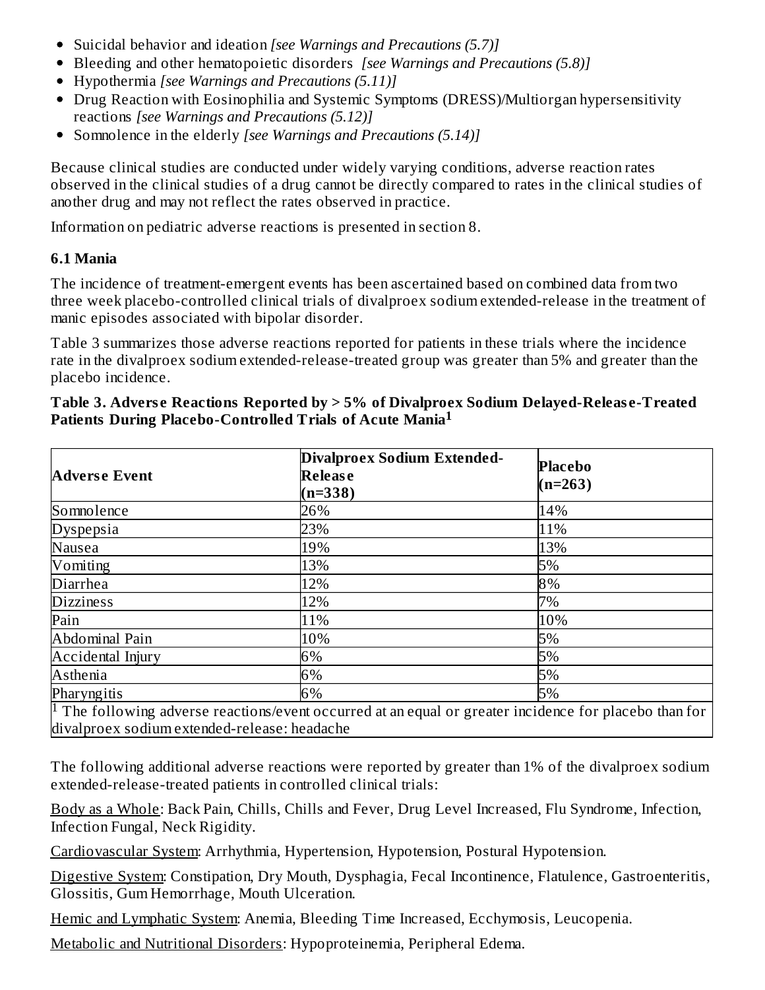- Suicidal behavior and ideation *[see Warnings and Precautions (5.7)]*
- Bleeding and other hematopoietic disorders *[see Warnings and Precautions (5.8)]*
- Hypothermia *[see Warnings and Precautions (5.11)]*
- Drug Reaction with Eosinophilia and Systemic Symptoms (DRESS)/Multiorgan hypersensitivity reactions *[see Warnings and Precautions (5.12)]*
- Somnolence in the elderly *[see Warnings and Precautions (5.14)]*

Because clinical studies are conducted under widely varying conditions, adverse reaction rates observed in the clinical studies of a drug cannot be directly compared to rates in the clinical studies of another drug and may not reflect the rates observed in practice.

Information on pediatric adverse reactions is presented in section 8.

### **6.1 Mania**

The incidence of treatment-emergent events has been ascertained based on combined data from two three week placebo-controlled clinical trials of divalproex sodium extended-release in the treatment of manic episodes associated with bipolar disorder.

Table 3 summarizes those adverse reactions reported for patients in these trials where the incidence rate in the divalproex sodium extended-release-treated group was greater than 5% and greater than the placebo incidence.

| <b>Adverse Event</b>                         | Divalproex Sodium Extended-<br><b>Release</b><br>$(n=338)$                                                                | <b>Placebo</b><br>$(n=263)$ |
|----------------------------------------------|---------------------------------------------------------------------------------------------------------------------------|-----------------------------|
| Somnolence                                   | 26%                                                                                                                       | 14%                         |
| <b>Dyspepsia</b>                             | 23%                                                                                                                       | 11%                         |
| Nausea                                       | 19%                                                                                                                       | 13%                         |
| Vomiting                                     | 13%                                                                                                                       | 5%                          |
| Diarrhea                                     | 12%                                                                                                                       | 8%                          |
| <b>Dizziness</b>                             | 12%                                                                                                                       | 7%                          |
| Pain                                         | 11%                                                                                                                       | 10%                         |
| Abdominal Pain                               | 10%                                                                                                                       | 5%                          |
| Accidental Injury                            | 6%                                                                                                                        | 5%                          |
| Asthenia                                     | 6%                                                                                                                        | 5%                          |
| Pharyngitis                                  | 6%                                                                                                                        | 5%                          |
| divalproex sodium extended-release: headache | $\vert$ <sup>1</sup> The following adverse reactions/event occurred at an equal or greater incidence for placebo than for |                             |

#### **Table 3. Advers e Reactions Reported by > 5% of Divalproex Sodium Delayed-Releas e-Treated Patients During Placebo-Controlled Trials of Acute Mania 1**

The following additional adverse reactions were reported by greater than 1% of the divalproex sodium extended-release-treated patients in controlled clinical trials:

Body as a Whole: Back Pain, Chills, Chills and Fever, Drug Level Increased, Flu Syndrome, Infection, Infection Fungal, Neck Rigidity.

Cardiovascular System: Arrhythmia, Hypertension, Hypotension, Postural Hypotension.

Digestive System: Constipation, Dry Mouth, Dysphagia, Fecal Incontinence, Flatulence, Gastroenteritis, Glossitis, Gum Hemorrhage, Mouth Ulceration.

Hemic and Lymphatic System: Anemia, Bleeding Time Increased, Ecchymosis, Leucopenia.

Metabolic and Nutritional Disorders: Hypoproteinemia, Peripheral Edema.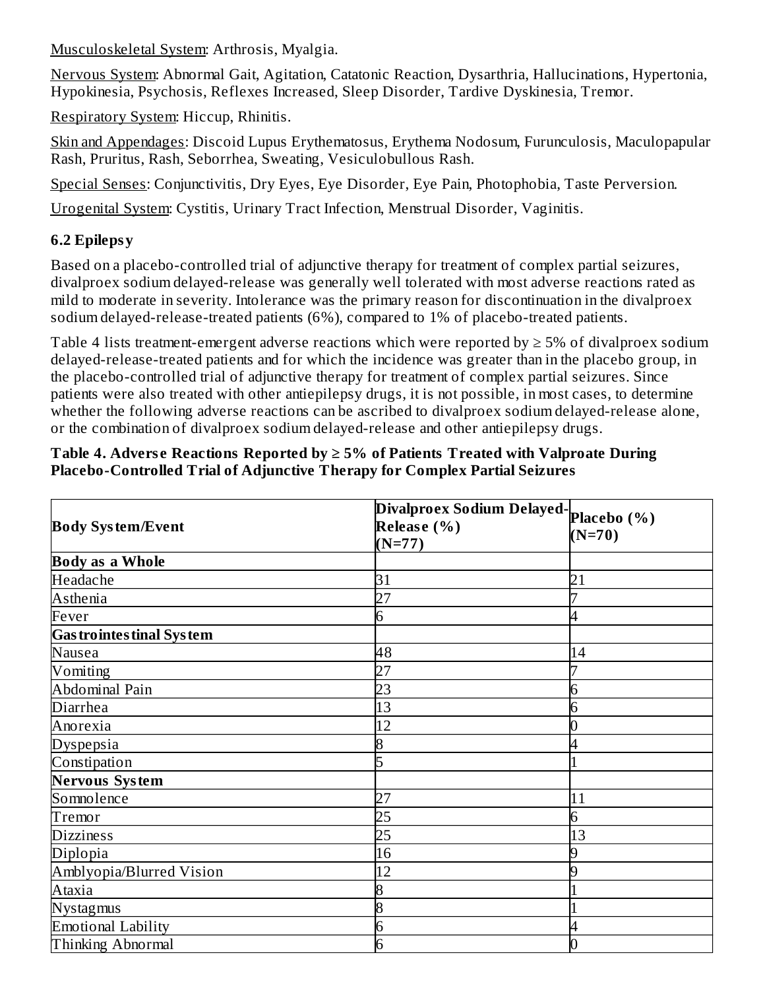Musculoskeletal System: Arthrosis, Myalgia.

Nervous System: Abnormal Gait, Agitation, Catatonic Reaction, Dysarthria, Hallucinations, Hypertonia, Hypokinesia, Psychosis, Reflexes Increased, Sleep Disorder, Tardive Dyskinesia, Tremor.

Respiratory System: Hiccup, Rhinitis.

Skin and Appendages: Discoid Lupus Erythematosus, Erythema Nodosum, Furunculosis, Maculopapular Rash, Pruritus, Rash, Seborrhea, Sweating, Vesiculobullous Rash.

Special Senses: Conjunctivitis, Dry Eyes, Eye Disorder, Eye Pain, Photophobia, Taste Perversion.

Urogenital System: Cystitis, Urinary Tract Infection, Menstrual Disorder, Vaginitis.

# **6.2 Epilepsy**

Based on a placebo-controlled trial of adjunctive therapy for treatment of complex partial seizures, divalproex sodium delayed-release was generally well tolerated with most adverse reactions rated as mild to moderate in severity. Intolerance was the primary reason for discontinuation in the divalproex sodium delayed-release-treated patients (6%), compared to 1% of placebo-treated patients.

Table 4 lists treatment-emergent adverse reactions which were reported by  $\geq$  5% of divalproex sodium delayed-release-treated patients and for which the incidence was greater than in the placebo group, in the placebo-controlled trial of adjunctive therapy for treatment of complex partial seizures. Since patients were also treated with other antiepilepsy drugs, it is not possible, in most cases, to determine whether the following adverse reactions can be ascribed to divalproex sodium delayed-release alone, or the combination of divalproex sodium delayed-release and other antiepilepsy drugs.

#### **Table 4. Advers e Reactions Reported by ≥ 5% of Patients Treated with Valproate During Placebo-Controlled Trial of Adjunctive Therapy for Complex Partial Seizures**

|                                  | Divalproex Sodium Delayed-placebo (%) |          |  |
|----------------------------------|---------------------------------------|----------|--|
| <b>Body System/Event</b>         | Release (%)                           | $(N=70)$ |  |
|                                  | $(N=77)$                              |          |  |
| <b>Body as a Whole</b>           |                                       |          |  |
| Headache                         | 31                                    | 21       |  |
| Asthenia                         | 27                                    |          |  |
| Fever                            |                                       |          |  |
| <b>Gas trointes tinal System</b> |                                       |          |  |
| Nausea                           | 48                                    | 14       |  |
| Vomiting                         | 27                                    |          |  |
| Abdominal Pain                   | 23                                    | 6        |  |
| Diarrhea                         | 13                                    | 6        |  |
| Anorexia                         | 12                                    |          |  |
| <b>Dyspepsia</b>                 | 8                                     |          |  |
| Constipation                     | ר                                     |          |  |
| Nervous System                   |                                       |          |  |
| Somnolence                       | 27                                    | 11       |  |
| Tremor                           | 25                                    | 6        |  |
| <b>Dizziness</b>                 | 25                                    | 13       |  |
| Diplopia                         | 16                                    | 9        |  |
| Amblyopia/Blurred Vision         | 12                                    |          |  |
| Ataxia                           | 8                                     |          |  |
| <b>Nystagmus</b>                 |                                       |          |  |
| <b>Emotional Lability</b>        | n                                     |          |  |
| Thinking Abnormal                | 6                                     |          |  |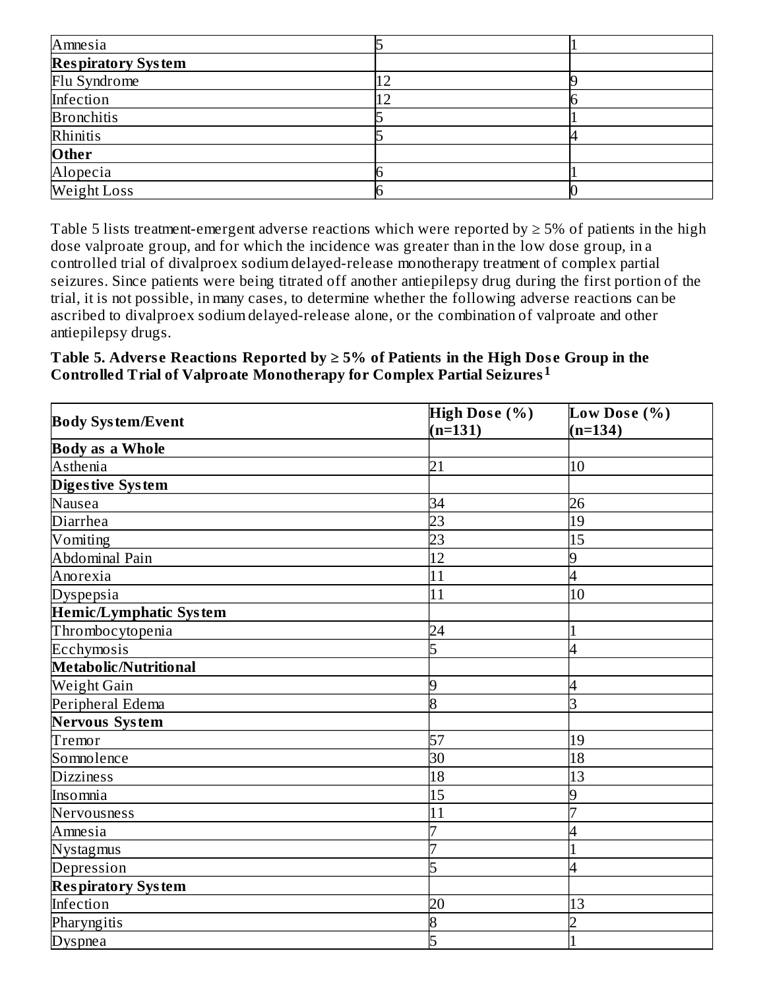| Amnesia                   |  |
|---------------------------|--|
| <b>Respiratory System</b> |  |
| Flu Syndrome              |  |
| Infection                 |  |
| <b>Bronchitis</b>         |  |
| Rhinitis                  |  |
| Other                     |  |
| Alopecia                  |  |
| Weight Loss               |  |

Table 5 lists treatment-emergent adverse reactions which were reported by  $\geq$  5% of patients in the high dose valproate group, and for which the incidence was greater than in the low dose group, in a controlled trial of divalproex sodium delayed-release monotherapy treatment of complex partial seizures. Since patients were being titrated off another antiepilepsy drug during the first portion of the trial, it is not possible, in many cases, to determine whether the following adverse reactions can be ascribed to divalproex sodium delayed-release alone, or the combination of valproate and other antiepilepsy drugs.

#### **Table 5. Advers e Reactions Reported by ≥ 5% of Patients in the High Dos e Group in the Controlled Trial of Valproate Monotherapy for Complex Partial Seizures 1**

| <b>Body System/Event</b>      | High Dose (%) | Low Dose (%) |  |
|-------------------------------|---------------|--------------|--|
|                               | $(n=131)$     | $(n=134)$    |  |
| <b>Body as a Whole</b>        |               |              |  |
| Asthenia                      | 21            | 10           |  |
| Diges tive System             |               |              |  |
| Nausea                        | 34            | 26           |  |
| <b>Diarrhea</b>               | 23            | 19           |  |
| Vomiting                      | 23            | 15           |  |
| Abdominal Pain                | 12            | 9            |  |
| Anorexia                      | 11            | 4            |  |
| <b>Dyspepsia</b>              | 11            | 10           |  |
| <b>Hemic/Lymphatic System</b> |               |              |  |
| Thrombocytopenia              | 24            |              |  |
| Ecchymosis                    | 5             |              |  |
| Metabolic/Nutritional         |               |              |  |
| Weight Gain                   | 9             | 4            |  |
| Peripheral Edema              | 8             | З            |  |
| <b>Nervous System</b>         |               |              |  |
| Tremor                        | 57            | 19           |  |
| Somnolence                    | 30            | 18           |  |
| <b>Dizziness</b>              | 18            | 13           |  |
| Insomnia                      | 15            | 9            |  |
| Nervousness                   | 11            |              |  |
| Amnesia                       |               |              |  |
| Nystagmus                     |               |              |  |
| Depression                    | 5             |              |  |
| <b>Respiratory System</b>     |               |              |  |
| Infection                     | 20            | 13           |  |
| Pharyngitis                   | 8             |              |  |
| <b>Dyspnea</b>                | 5             |              |  |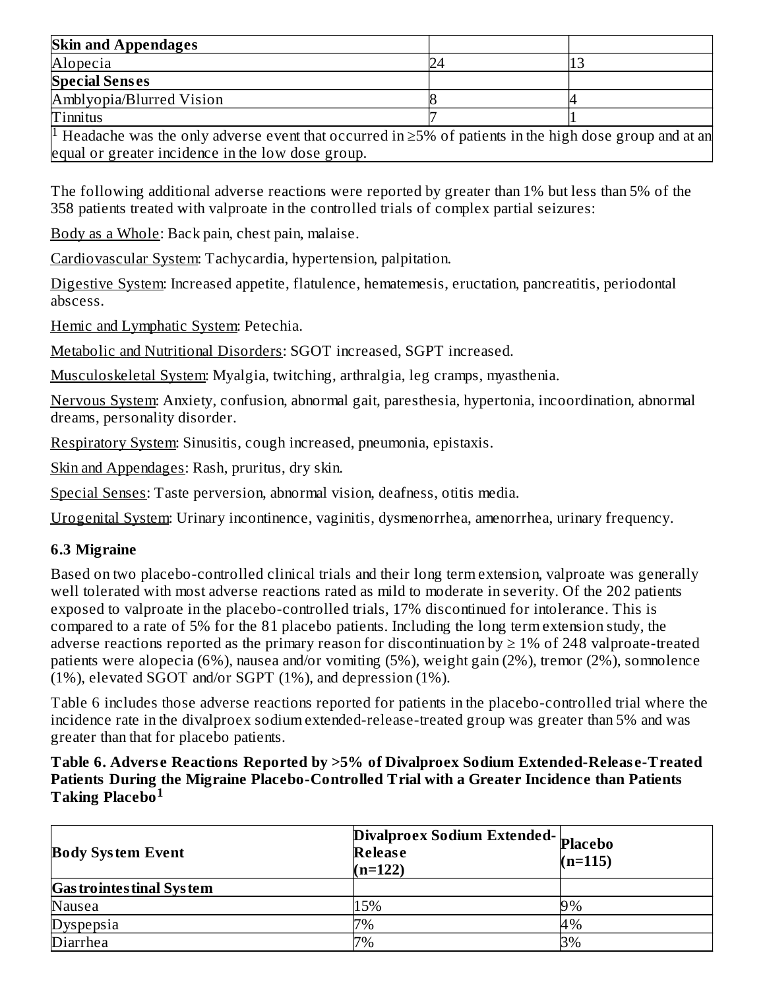| <b>Skin and Appendages</b>                                                                                      |  |
|-----------------------------------------------------------------------------------------------------------------|--|
| Alopecia                                                                                                        |  |
| <b>Special Senses</b>                                                                                           |  |
| Amblyopia/Blurred Vision                                                                                        |  |
| <b>Tinnitus</b>                                                                                                 |  |
| If IIandache was the only advance grap that occurred in $\Sigma_0$ of patients in the high dose group and at an |  |

Headache was the only adverse event that occurred in ≥5% of patients in the high dose group and at an equal or greater incidence in the low dose group. 1

The following additional adverse reactions were reported by greater than 1% but less than 5% of the 358 patients treated with valproate in the controlled trials of complex partial seizures:

Body as a Whole: Back pain, chest pain, malaise.

Cardiovascular System: Tachycardia, hypertension, palpitation.

Digestive System: Increased appetite, flatulence, hematemesis, eructation, pancreatitis, periodontal abscess.

Hemic and Lymphatic System: Petechia.

Metabolic and Nutritional Disorders: SGOT increased, SGPT increased.

Musculoskeletal System: Myalgia, twitching, arthralgia, leg cramps, myasthenia.

Nervous System: Anxiety, confusion, abnormal gait, paresthesia, hypertonia, incoordination, abnormal dreams, personality disorder.

Respiratory System: Sinusitis, cough increased, pneumonia, epistaxis.

Skin and Appendages: Rash, pruritus, dry skin.

Special Senses: Taste perversion, abnormal vision, deafness, otitis media.

Urogenital System: Urinary incontinence, vaginitis, dysmenorrhea, amenorrhea, urinary frequency.

### **6.3 Migraine**

Based on two placebo-controlled clinical trials and their long term extension, valproate was generally well tolerated with most adverse reactions rated as mild to moderate in severity. Of the 202 patients exposed to valproate in the placebo-controlled trials, 17% discontinued for intolerance. This is compared to a rate of 5% for the 81 placebo patients. Including the long term extension study, the adverse reactions reported as the primary reason for discontinuation by  $\geq 1\%$  of 248 valproate-treated patients were alopecia (6%), nausea and/or vomiting (5%), weight gain (2%), tremor (2%), somnolence (1%), elevated SGOT and/or SGPT (1%), and depression (1%).

Table 6 includes those adverse reactions reported for patients in the placebo-controlled trial where the incidence rate in the divalproex sodium extended-release-treated group was greater than 5% and was greater than that for placebo patients.

#### **Table 6. Advers e Reactions Reported by >5% of Divalproex Sodium Extended-Releas e-Treated Patients During the Migraine Placebo-Controlled Trial with a Greater Incidence than Patients Taking Placebo 1**

| <b>Body System Event</b>         | Divalproex Sodium Extended- Placebo<br><b>Release</b><br>$(n=122)$ | $(n=115)$ |
|----------------------------------|--------------------------------------------------------------------|-----------|
| <b>Gas trointes tinal System</b> |                                                                    |           |
| Nausea                           | 15%                                                                | 9%        |
| <b>Dyspepsia</b>                 | 7%                                                                 | 4%        |
| Diarrhea                         | 7%                                                                 | 3%        |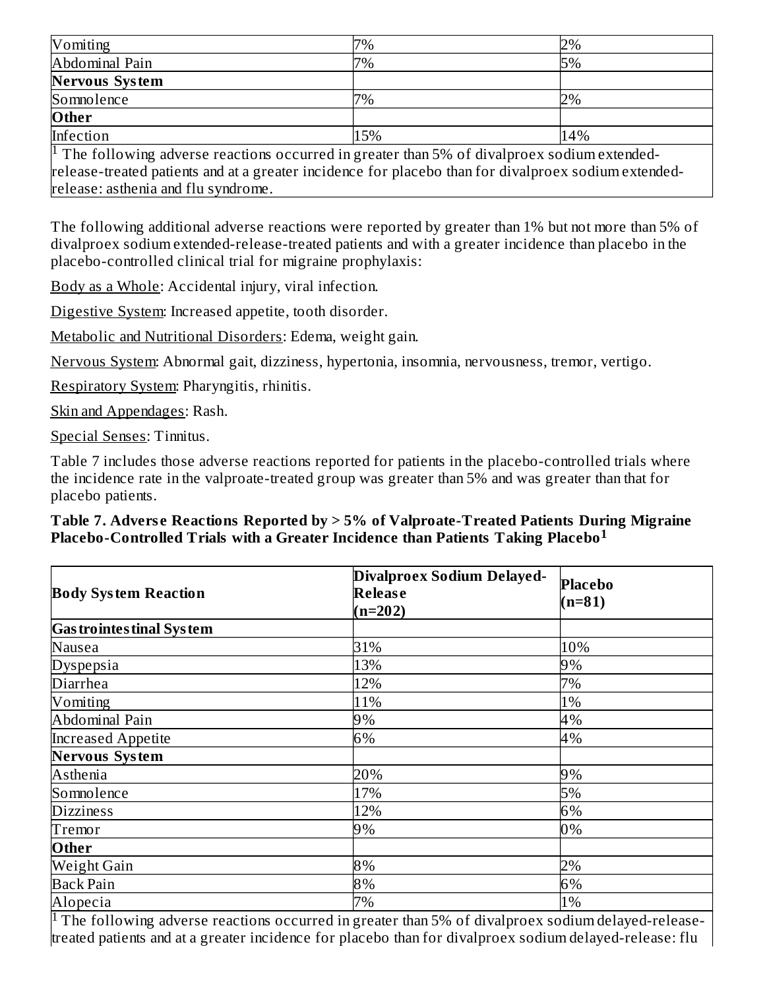| Vomiting                                                                                                                                                                                                                                               | 7%  | 2%  |  |
|--------------------------------------------------------------------------------------------------------------------------------------------------------------------------------------------------------------------------------------------------------|-----|-----|--|
| Abdominal Pain                                                                                                                                                                                                                                         | 7%  | 5%  |  |
| <b>Nervous System</b>                                                                                                                                                                                                                                  |     |     |  |
| Somnolence                                                                                                                                                                                                                                             | 7%  | 2%  |  |
| Other                                                                                                                                                                                                                                                  |     |     |  |
| Infection                                                                                                                                                                                                                                              | 15% | 14% |  |
| <sup>1</sup> The following adverse reactions occurred in greater than 5% of divalproex sodium extended-<br>release-treated patients and at a greater incidence for placebo than for divalproex sodium extended-<br>release: asthenia and flu syndrome. |     |     |  |

The following additional adverse reactions were reported by greater than 1% but not more than 5% of divalproex sodium extended-release-treated patients and with a greater incidence than placebo in the placebo-controlled clinical trial for migraine prophylaxis:

Body as a Whole: Accidental injury, viral infection.

Digestive System: Increased appetite, tooth disorder.

Metabolic and Nutritional Disorders: Edema, weight gain.

Nervous System: Abnormal gait, dizziness, hypertonia, insomnia, nervousness, tremor, vertigo.

Respiratory System: Pharyngitis, rhinitis.

Skin and Appendages: Rash.

Special Senses: Tinnitus.

Table 7 includes those adverse reactions reported for patients in the placebo-controlled trials where the incidence rate in the valproate-treated group was greater than 5% and was greater than that for placebo patients.

#### **Table 7. Advers e Reactions Reported by > 5% of Valproate-Treated Patients During Migraine Placebo-Controlled Trials with a Greater Incidence than Patients Taking Placebo 1**

| <b>Body System Reaction</b>      | Divalproex Sodium Delayed-<br>Release<br>$(n=202)$ | Placebo<br>$(n=81)$ |  |
|----------------------------------|----------------------------------------------------|---------------------|--|
| <b>Gas trointes tinal System</b> |                                                    |                     |  |
| Nausea                           | 31%                                                | 10%                 |  |
| <b>Dyspepsia</b>                 | 13%                                                | 9%                  |  |
| Diarrhea                         | 12%                                                | 7%                  |  |
| Vomiting                         | 11%                                                | 1%                  |  |
| Abdominal Pain                   | 9%                                                 | 4%                  |  |
| <b>Increased Appetite</b>        | 6%                                                 | 4%                  |  |
| <b>Nervous System</b>            |                                                    |                     |  |
| Asthenia                         | 20%                                                | 9%                  |  |
| Somnolence                       | 17%                                                | 5%                  |  |
| <b>Dizziness</b>                 | 12%                                                | 6%                  |  |
| Tremor                           | 9%                                                 | 0%                  |  |
| Other                            |                                                    |                     |  |
| Weight Gain                      | 8%                                                 | 2%                  |  |
| <b>Back Pain</b>                 | 8%                                                 | 6%                  |  |
| Alopecia                         | 7%                                                 | 1%                  |  |

 $1$  The following adverse reactions occurred in greater than 5% of divalproex sodium delayed-releasetreated patients and at a greater incidence for placebo than for divalproex sodium delayed-release: flu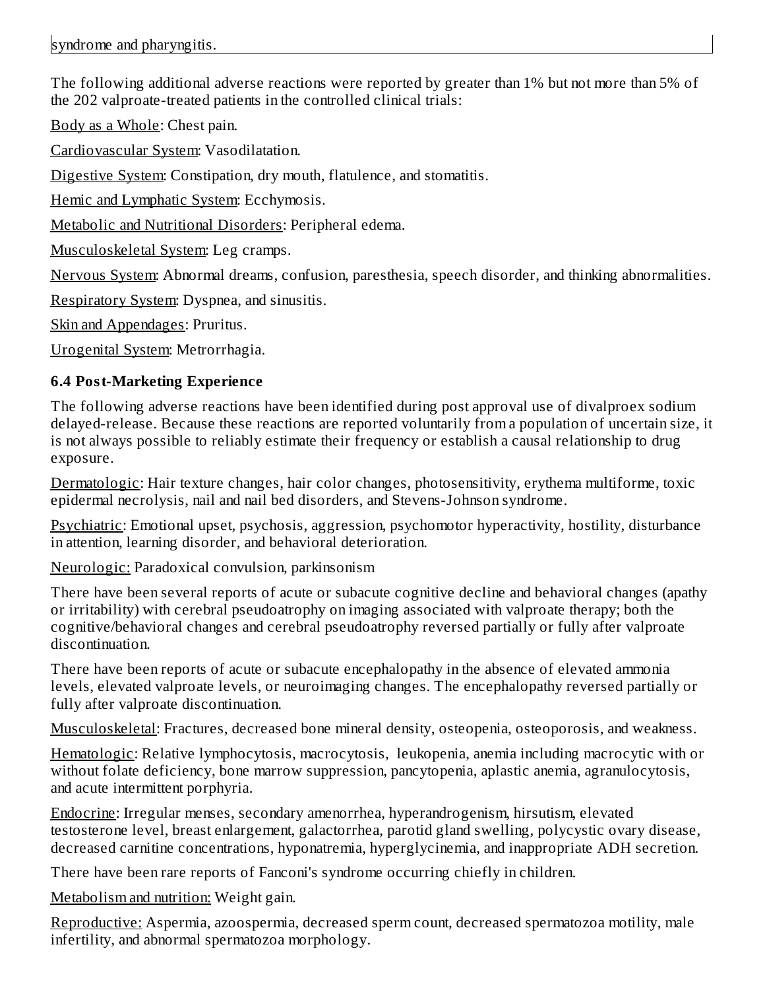The following additional adverse reactions were reported by greater than 1% but not more than 5% of the 202 valproate-treated patients in the controlled clinical trials:

Body as a Whole: Chest pain.

Cardiovascular System: Vasodilatation.

Digestive System: Constipation, dry mouth, flatulence, and stomatitis.

Hemic and Lymphatic System: Ecchymosis.

Metabolic and Nutritional Disorders: Peripheral edema.

Musculoskeletal System: Leg cramps.

Nervous System: Abnormal dreams, confusion, paresthesia, speech disorder, and thinking abnormalities.

Respiratory System: Dyspnea, and sinusitis.

Skin and Appendages: Pruritus.

Urogenital System: Metrorrhagia.

### **6.4 Post-Marketing Experience**

The following adverse reactions have been identified during post approval use of divalproex sodium delayed-release. Because these reactions are reported voluntarily from a population of uncertain size, it is not always possible to reliably estimate their frequency or establish a causal relationship to drug exposure.

Dermatologic: Hair texture changes, hair color changes, photosensitivity, erythema multiforme, toxic epidermal necrolysis, nail and nail bed disorders, and Stevens-Johnson syndrome.

Psychiatric: Emotional upset, psychosis, aggression, psychomotor hyperactivity, hostility, disturbance in attention, learning disorder, and behavioral deterioration.

Neurologic: Paradoxical convulsion, parkinsonism

There have been several reports of acute or subacute cognitive decline and behavioral changes (apathy or irritability) with cerebral pseudoatrophy on imaging associated with valproate therapy; both the cognitive/behavioral changes and cerebral pseudoatrophy reversed partially or fully after valproate discontinuation.

There have been reports of acute or subacute encephalopathy in the absence of elevated ammonia levels, elevated valproate levels, or neuroimaging changes. The encephalopathy reversed partially or fully after valproate discontinuation.

Musculoskeletal: Fractures, decreased bone mineral density, osteopenia, osteoporosis, and weakness.

Hematologic: Relative lymphocytosis, macrocytosis, leukopenia, anemia including macrocytic with or without folate deficiency, bone marrow suppression, pancytopenia, aplastic anemia, agranulocytosis, and acute intermittent porphyria.

Endocrine: Irregular menses, secondary amenorrhea, hyperandrogenism, hirsutism, elevated testosterone level, breast enlargement, galactorrhea, parotid gland swelling, polycystic ovary disease, decreased carnitine concentrations, hyponatremia, hyperglycinemia, and inappropriate ADH secretion.

There have been rare reports of Fanconi's syndrome occurring chiefly in children.

Metabolism and nutrition: Weight gain.

Reproductive: Aspermia, azoospermia, decreased sperm count, decreased spermatozoa motility, male infertility, and abnormal spermatozoa morphology.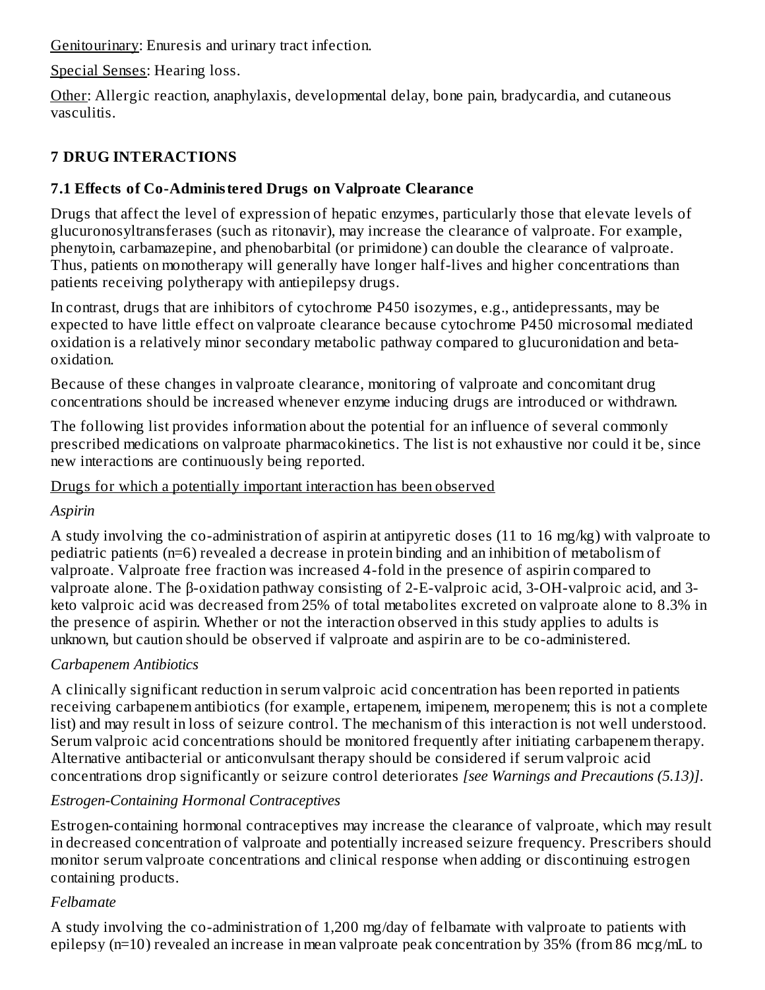Genitourinary: Enuresis and urinary tract infection.

Special Senses: Hearing loss.

Other: Allergic reaction, anaphylaxis, developmental delay, bone pain, bradycardia, and cutaneous vasculitis.

# **7 DRUG INTERACTIONS**

# **7.1 Effects of Co-Administered Drugs on Valproate Clearance**

Drugs that affect the level of expression of hepatic enzymes, particularly those that elevate levels of glucuronosyltransferases (such as ritonavir), may increase the clearance of valproate. For example, phenytoin, carbamazepine, and phenobarbital (or primidone) can double the clearance of valproate. Thus, patients on monotherapy will generally have longer half-lives and higher concentrations than patients receiving polytherapy with antiepilepsy drugs.

In contrast, drugs that are inhibitors of cytochrome P450 isozymes, e.g., antidepressants, may be expected to have little effect on valproate clearance because cytochrome P450 microsomal mediated oxidation is a relatively minor secondary metabolic pathway compared to glucuronidation and betaoxidation.

Because of these changes in valproate clearance, monitoring of valproate and concomitant drug concentrations should be increased whenever enzyme inducing drugs are introduced or withdrawn.

The following list provides information about the potential for an influence of several commonly prescribed medications on valproate pharmacokinetics. The list is not exhaustive nor could it be, since new interactions are continuously being reported.

### Drugs for which a potentially important interaction has been observed

*Aspirin*

A study involving the co-administration of aspirin at antipyretic doses (11 to 16 mg/kg) with valproate to pediatric patients (n=6) revealed a decrease in protein binding and an inhibition of metabolism of valproate. Valproate free fraction was increased 4-fold in the presence of aspirin compared to valproate alone. The β-oxidation pathway consisting of 2-E-valproic acid, 3-OH-valproic acid, and 3 keto valproic acid was decreased from 25% of total metabolites excreted on valproate alone to 8.3% in the presence of aspirin. Whether or not the interaction observed in this study applies to adults is unknown, but caution should be observed if valproate and aspirin are to be co-administered.

# *Carbapenem Antibiotics*

A clinically significant reduction in serum valproic acid concentration has been reported in patients receiving carbapenem antibiotics (for example, ertapenem, imipenem, meropenem; this is not a complete list) and may result in loss of seizure control. The mechanism of this interaction is not well understood. Serum valproic acid concentrations should be monitored frequently after initiating carbapenem therapy. Alternative antibacterial or anticonvulsant therapy should be considered if serum valproic acid concentrations drop significantly or seizure control deteriorates *[see Warnings and Precautions (5.13)]*.

# *Estrogen-Containing Hormonal Contraceptives*

Estrogen-containing hormonal contraceptives may increase the clearance of valproate, which may result in decreased concentration of valproate and potentially increased seizure frequency. Prescribers should monitor serum valproate concentrations and clinical response when adding or discontinuing estrogen containing products.

# *Felbamate*

A study involving the co-administration of 1,200 mg/day of felbamate with valproate to patients with epilepsy (n=10) revealed an increase in mean valproate peak concentration by 35% (from 86 mcg/mL to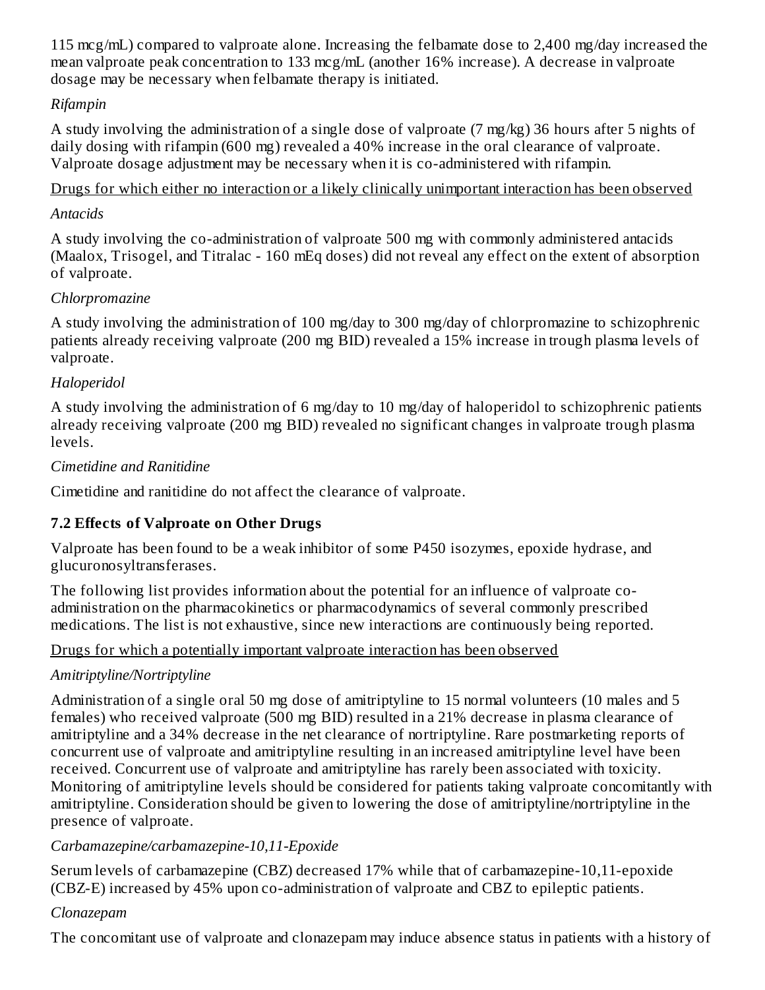115 mcg/mL) compared to valproate alone. Increasing the felbamate dose to 2,400 mg/day increased the mean valproate peak concentration to 133 mcg/mL (another 16% increase). A decrease in valproate dosage may be necessary when felbamate therapy is initiated.

### *Rifampin*

A study involving the administration of a single dose of valproate (7 mg/kg) 36 hours after 5 nights of daily dosing with rifampin (600 mg) revealed a 40% increase in the oral clearance of valproate. Valproate dosage adjustment may be necessary when it is co-administered with rifampin.

Drugs for which either no interaction or a likely clinically unimportant interaction has been observed

#### *Antacids*

A study involving the co-administration of valproate 500 mg with commonly administered antacids (Maalox, Trisogel, and Titralac - 160 mEq doses) did not reveal any effect on the extent of absorption of valproate.

#### *Chlorpromazine*

A study involving the administration of 100 mg/day to 300 mg/day of chlorpromazine to schizophrenic patients already receiving valproate (200 mg BID) revealed a 15% increase in trough plasma levels of valproate.

#### *Haloperidol*

A study involving the administration of 6 mg/day to 10 mg/day of haloperidol to schizophrenic patients already receiving valproate (200 mg BID) revealed no significant changes in valproate trough plasma levels.

#### *Cimetidine and Ranitidine*

Cimetidine and ranitidine do not affect the clearance of valproate.

### **7.2 Effects of Valproate on Other Drugs**

Valproate has been found to be a weak inhibitor of some P450 isozymes, epoxide hydrase, and glucuronosyltransferases.

The following list provides information about the potential for an influence of valproate coadministration on the pharmacokinetics or pharmacodynamics of several commonly prescribed medications. The list is not exhaustive, since new interactions are continuously being reported.

### Drugs for which a potentially important valproate interaction has been observed

### *Amitriptyline/Nortriptyline*

Administration of a single oral 50 mg dose of amitriptyline to 15 normal volunteers (10 males and 5 females) who received valproate (500 mg BID) resulted in a 21% decrease in plasma clearance of amitriptyline and a 34% decrease in the net clearance of nortriptyline. Rare postmarketing reports of concurrent use of valproate and amitriptyline resulting in an increased amitriptyline level have been received. Concurrent use of valproate and amitriptyline has rarely been associated with toxicity. Monitoring of amitriptyline levels should be considered for patients taking valproate concomitantly with amitriptyline. Consideration should be given to lowering the dose of amitriptyline/nortriptyline in the presence of valproate.

### *Carbamazepine/carbamazepine-10,11-Epoxide*

Serum levels of carbamazepine (CBZ) decreased 17% while that of carbamazepine-10,11-epoxide (CBZ-E) increased by 45% upon co-administration of valproate and CBZ to epileptic patients.

#### *Clonazepam*

The concomitant use of valproate and clonazepam may induce absence status in patients with a history of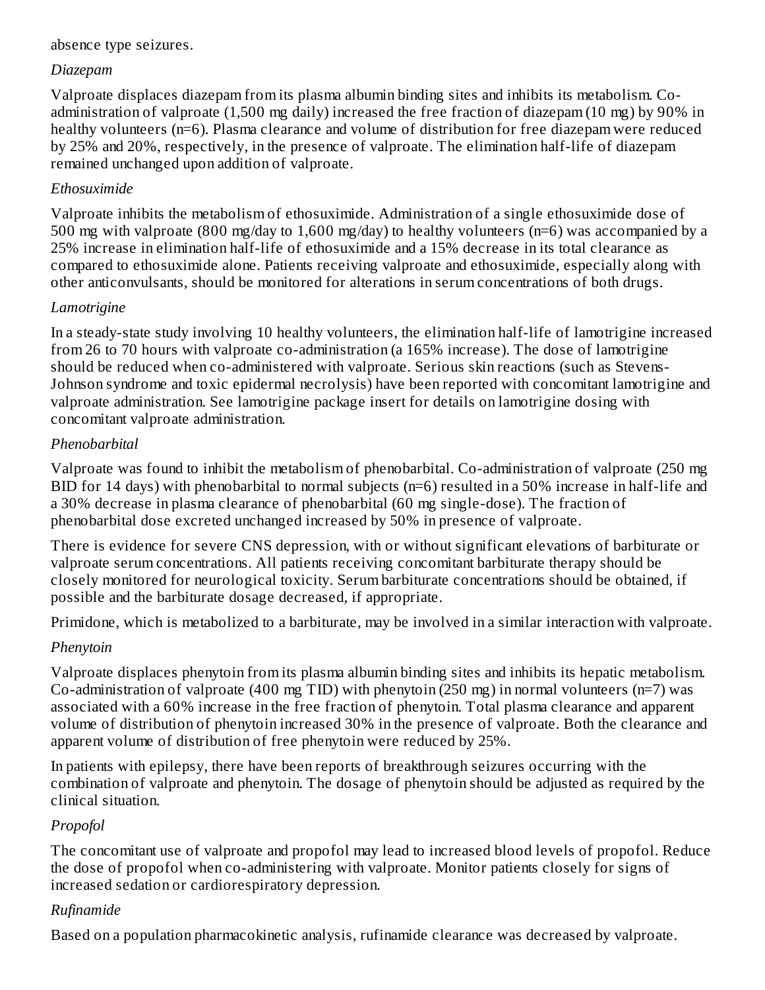#### absence type seizures.

#### *Diazepam*

Valproate displaces diazepam from its plasma albumin binding sites and inhibits its metabolism. Coadministration of valproate (1,500 mg daily) increased the free fraction of diazepam (10 mg) by 90% in healthy volunteers (n=6). Plasma clearance and volume of distribution for free diazepam were reduced by 25% and 20%, respectively, in the presence of valproate. The elimination half-life of diazepam remained unchanged upon addition of valproate.

#### *Ethosuximide*

Valproate inhibits the metabolism of ethosuximide. Administration of a single ethosuximide dose of 500 mg with valproate (800 mg/day to 1,600 mg/day) to healthy volunteers (n=6) was accompanied by a 25% increase in elimination half-life of ethosuximide and a 15% decrease in its total clearance as compared to ethosuximide alone. Patients receiving valproate and ethosuximide, especially along with other anticonvulsants, should be monitored for alterations in serum concentrations of both drugs.

#### *Lamotrigine*

In a steady-state study involving 10 healthy volunteers, the elimination half-life of lamotrigine increased from 26 to 70 hours with valproate co-administration (a 165% increase). The dose of lamotrigine should be reduced when co-administered with valproate. Serious skin reactions (such as Stevens-Johnson syndrome and toxic epidermal necrolysis) have been reported with concomitant lamotrigine and valproate administration. See lamotrigine package insert for details on lamotrigine dosing with concomitant valproate administration.

#### *Phenobarbital*

Valproate was found to inhibit the metabolism of phenobarbital. Co-administration of valproate (250 mg BID for 14 days) with phenobarbital to normal subjects (n=6) resulted in a 50% increase in half-life and a 30% decrease in plasma clearance of phenobarbital (60 mg single-dose). The fraction of phenobarbital dose excreted unchanged increased by 50% in presence of valproate.

There is evidence for severe CNS depression, with or without significant elevations of barbiturate or valproate serum concentrations. All patients receiving concomitant barbiturate therapy should be closely monitored for neurological toxicity. Serum barbiturate concentrations should be obtained, if possible and the barbiturate dosage decreased, if appropriate.

Primidone, which is metabolized to a barbiturate, may be involved in a similar interaction with valproate.

### *Phenytoin*

Valproate displaces phenytoin from its plasma albumin binding sites and inhibits its hepatic metabolism. Co-administration of valproate (400 mg TID) with phenytoin (250 mg) in normal volunteers (n=7) was associated with a 60% increase in the free fraction of phenytoin. Total plasma clearance and apparent volume of distribution of phenytoin increased 30% in the presence of valproate. Both the clearance and apparent volume of distribution of free phenytoin were reduced by 25%.

In patients with epilepsy, there have been reports of breakthrough seizures occurring with the combination of valproate and phenytoin. The dosage of phenytoin should be adjusted as required by the clinical situation.

### *Propofol*

The concomitant use of valproate and propofol may lead to increased blood levels of propofol. Reduce the dose of propofol when co-administering with valproate. Monitor patients closely for signs of increased sedation or cardiorespiratory depression.

#### *Rufinamide*

Based on a population pharmacokinetic analysis, rufinamide clearance was decreased by valproate.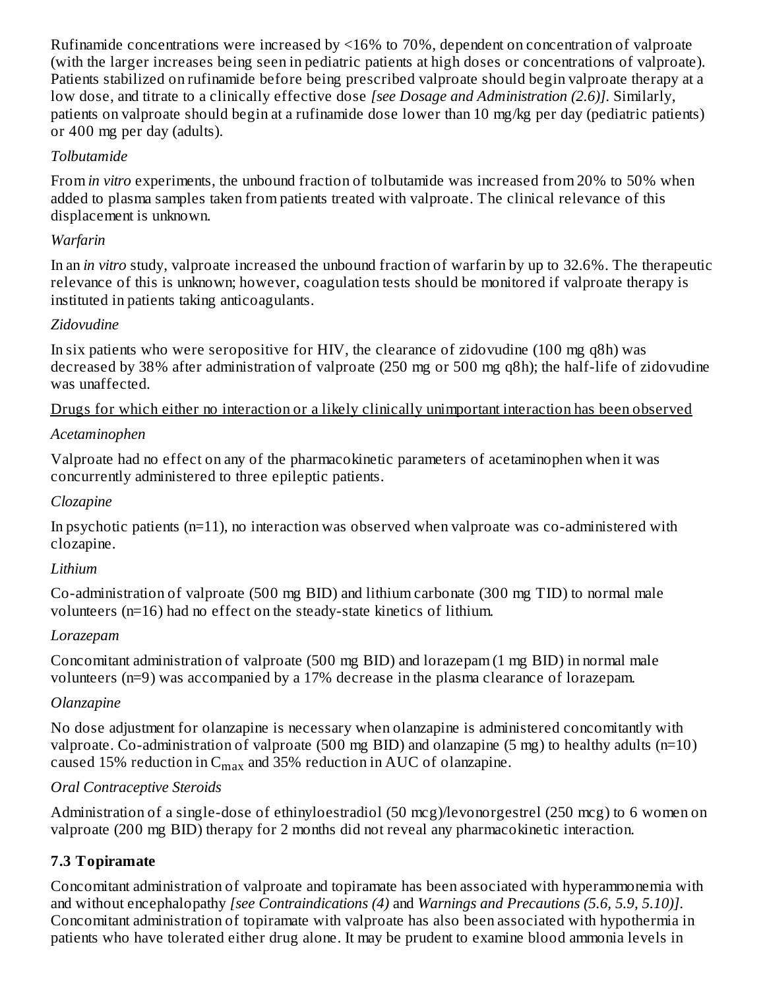Rufinamide concentrations were increased by <16% to 70%, dependent on concentration of valproate (with the larger increases being seen in pediatric patients at high doses or concentrations of valproate). Patients stabilized on rufinamide before being prescribed valproate should begin valproate therapy at a low dose, and titrate to a clinically effective dose *[see Dosage and Administration (2.6)]*. Similarly, patients on valproate should begin at a rufinamide dose lower than 10 mg/kg per day (pediatric patients) or 400 mg per day (adults).

### *Tolbutamide*

From *in vitro* experiments, the unbound fraction of tolbutamide was increased from 20% to 50% when added to plasma samples taken from patients treated with valproate. The clinical relevance of this displacement is unknown.

### *Warfarin*

In an *in vitro* study, valproate increased the unbound fraction of warfarin by up to 32.6%. The therapeutic relevance of this is unknown; however, coagulation tests should be monitored if valproate therapy is instituted in patients taking anticoagulants.

### *Zidovudine*

In six patients who were seropositive for HIV, the clearance of zidovudine (100 mg q8h) was decreased by 38% after administration of valproate (250 mg or 500 mg q8h); the half-life of zidovudine was unaffected.

Drugs for which either no interaction or a likely clinically unimportant interaction has been observed

### *Acetaminophen*

Valproate had no effect on any of the pharmacokinetic parameters of acetaminophen when it was concurrently administered to three epileptic patients.

### *Clozapine*

In psychotic patients (n=11), no interaction was observed when valproate was co-administered with clozapine.

# *Lithium*

Co-administration of valproate (500 mg BID) and lithium carbonate (300 mg TID) to normal male volunteers (n=16) had no effect on the steady-state kinetics of lithium.

### *Lorazepam*

Concomitant administration of valproate (500 mg BID) and lorazepam (1 mg BID) in normal male volunteers (n=9) was accompanied by a 17% decrease in the plasma clearance of lorazepam.

### *Olanzapine*

No dose adjustment for olanzapine is necessary when olanzapine is administered concomitantly with valproate. Co-administration of valproate (500 mg BID) and olanzapine (5 mg) to healthy adults (n=10) caused 15% reduction in  $C_{max}$  and 35% reduction in AUC of olanzapine.

### *Oral Contraceptive Steroids*

Administration of a single-dose of ethinyloestradiol (50 mcg)/levonorgestrel (250 mcg) to 6 women on valproate (200 mg BID) therapy for 2 months did not reveal any pharmacokinetic interaction.

# **7.3 Topiramate**

Concomitant administration of valproate and topiramate has been associated with hyperammonemia with and without encephalopathy *[see Contraindications (4)* and *Warnings and Precautions (5.6, 5.9, 5.10)]*. Concomitant administration of topiramate with valproate has also been associated with hypothermia in patients who have tolerated either drug alone. It may be prudent to examine blood ammonia levels in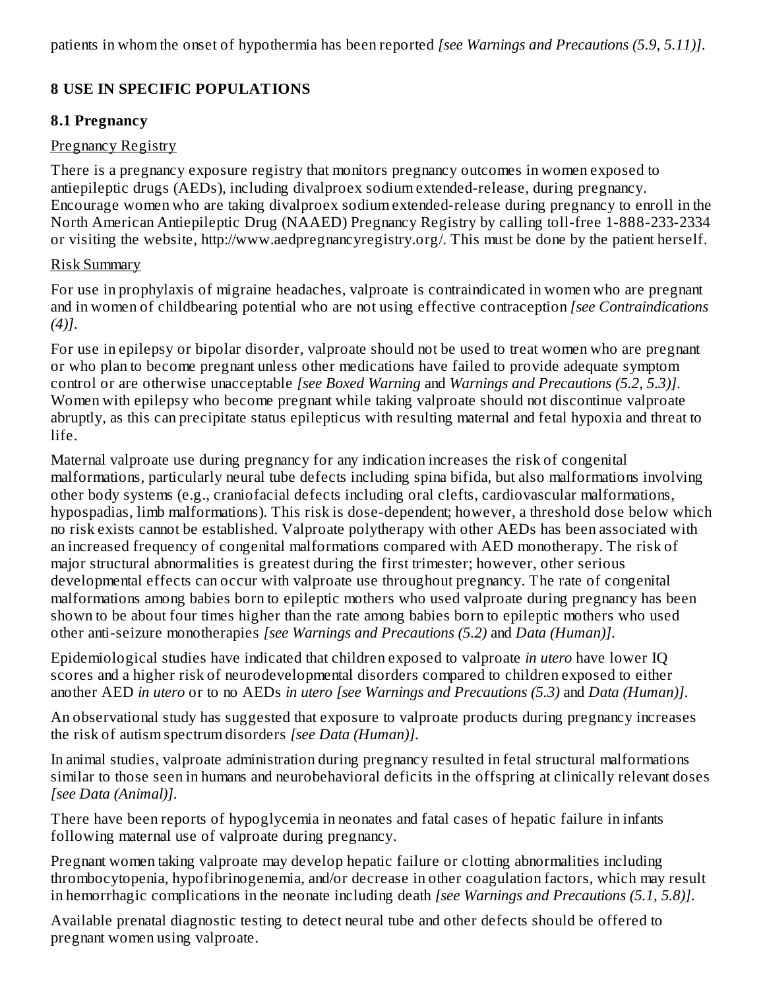patients in whom the onset of hypothermia has been reported *[see Warnings and Precautions (5.9, 5.11)]*.

### **8 USE IN SPECIFIC POPULATIONS**

#### **8.1 Pregnancy**

#### Pregnancy Registry

There is a pregnancy exposure registry that monitors pregnancy outcomes in women exposed to antiepileptic drugs (AEDs), including divalproex sodium extended-release, during pregnancy. Encourage women who are taking divalproex sodium extended-release during pregnancy to enroll in the North American Antiepileptic Drug (NAAED) Pregnancy Registry by calling toll-free 1-888-233-2334 or visiting the website, http://www.aedpregnancyregistry.org/. This must be done by the patient herself.

#### Risk Summary

For use in prophylaxis of migraine headaches, valproate is contraindicated in women who are pregnant and in women of childbearing potential who are not using effective contraception *[see Contraindications (4)]*.

For use in epilepsy or bipolar disorder, valproate should not be used to treat women who are pregnant or who plan to become pregnant unless other medications have failed to provide adequate symptom control or are otherwise unacceptable *[see Boxed Warning* and *Warnings and Precautions (5.2, 5.3)]*. Women with epilepsy who become pregnant while taking valproate should not discontinue valproate abruptly, as this can precipitate status epilepticus with resulting maternal and fetal hypoxia and threat to life.

Maternal valproate use during pregnancy for any indication increases the risk of congenital malformations, particularly neural tube defects including spina bifida, but also malformations involving other body systems (e.g., craniofacial defects including oral clefts, cardiovascular malformations, hypospadias, limb malformations). This risk is dose-dependent; however, a threshold dose below which no risk exists cannot be established. Valproate polytherapy with other AEDs has been associated with an increased frequency of congenital malformations compared with AED monotherapy. The risk of major structural abnormalities is greatest during the first trimester; however, other serious developmental effects can occur with valproate use throughout pregnancy. The rate of congenital malformations among babies born to epileptic mothers who used valproate during pregnancy has been shown to be about four times higher than the rate among babies born to epileptic mothers who used other anti-seizure monotherapies *[see Warnings and Precautions (5.2)* and *Data (Human)]*.

Epidemiological studies have indicated that children exposed to valproate *in utero* have lower IQ scores and a higher risk of neurodevelopmental disorders compared to children exposed to either another AED *in utero* or to no AEDs *in utero [see Warnings and Precautions (5.3)* and *Data (Human)]*.

An observational study has suggested that exposure to valproate products during pregnancy increases the risk of autism spectrum disorders *[see Data (Human)]*.

In animal studies, valproate administration during pregnancy resulted in fetal structural malformations similar to those seen in humans and neurobehavioral deficits in the offspring at clinically relevant doses *[see Data (Animal)]*.

There have been reports of hypoglycemia in neonates and fatal cases of hepatic failure in infants following maternal use of valproate during pregnancy.

Pregnant women taking valproate may develop hepatic failure or clotting abnormalities including thrombocytopenia, hypofibrinogenemia, and/or decrease in other coagulation factors, which may result in hemorrhagic complications in the neonate including death *[see Warnings and Precautions (5.1, 5.8)]*.

Available prenatal diagnostic testing to detect neural tube and other defects should be offered to pregnant women using valproate.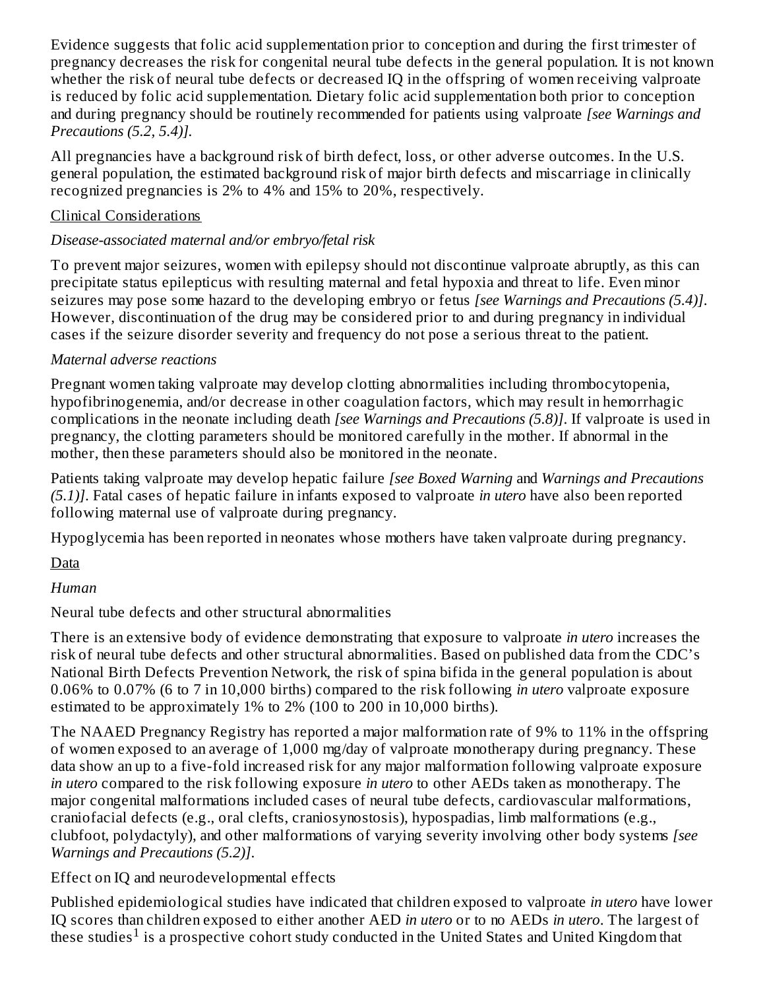Evidence suggests that folic acid supplementation prior to conception and during the first trimester of pregnancy decreases the risk for congenital neural tube defects in the general population. It is not known whether the risk of neural tube defects or decreased IQ in the offspring of women receiving valproate is reduced by folic acid supplementation. Dietary folic acid supplementation both prior to conception and during pregnancy should be routinely recommended for patients using valproate *[see Warnings and Precautions (5.2, 5.4)].*

All pregnancies have a background risk of birth defect, loss, or other adverse outcomes. In the U.S. general population, the estimated background risk of major birth defects and miscarriage in clinically recognized pregnancies is 2% to 4% and 15% to 20%, respectively.

### Clinical Considerations

### *Disease-associated maternal and/or embryo/fetal risk*

To prevent major seizures, women with epilepsy should not discontinue valproate abruptly, as this can precipitate status epilepticus with resulting maternal and fetal hypoxia and threat to life. Even minor seizures may pose some hazard to the developing embryo or fetus *[see Warnings and Precautions (5.4)]*. However, discontinuation of the drug may be considered prior to and during pregnancy in individual cases if the seizure disorder severity and frequency do not pose a serious threat to the patient.

### *Maternal adverse reactions*

Pregnant women taking valproate may develop clotting abnormalities including thrombocytopenia, hypofibrinogenemia, and/or decrease in other coagulation factors, which may result in hemorrhagic complications in the neonate including death *[see Warnings and Precautions (5.8)]*. If valproate is used in pregnancy, the clotting parameters should be monitored carefully in the mother. If abnormal in the mother, then these parameters should also be monitored in the neonate.

Patients taking valproate may develop hepatic failure *[see Boxed Warning* and *Warnings and Precautions (5.1)]*. Fatal cases of hepatic failure in infants exposed to valproate *in utero* have also been reported following maternal use of valproate during pregnancy.

Hypoglycemia has been reported in neonates whose mothers have taken valproate during pregnancy.

**D**ata

### *Human*

Neural tube defects and other structural abnormalities

There is an extensive body of evidence demonstrating that exposure to valproate *in utero* increases the risk of neural tube defects and other structural abnormalities. Based on published data from the CDC's National Birth Defects Prevention Network, the risk of spina bifida in the general population is about 0.06% to 0.07% (6 to 7 in 10,000 births) compared to the risk following *in utero* valproate exposure estimated to be approximately 1% to 2% (100 to 200 in 10,000 births).

The NAAED Pregnancy Registry has reported a major malformation rate of 9% to 11% in the offspring of women exposed to an average of 1,000 mg/day of valproate monotherapy during pregnancy. These data show an up to a five-fold increased risk for any major malformation following valproate exposure *in utero* compared to the risk following exposure *in utero* to other AEDs taken as monotherapy. The major congenital malformations included cases of neural tube defects, cardiovascular malformations, craniofacial defects (e.g., oral clefts, craniosynostosis), hypospadias, limb malformations (e.g., clubfoot, polydactyly), and other malformations of varying severity involving other body systems *[see Warnings and Precautions (5.2)]*.

Effect on IQ and neurodevelopmental effects

Published epidemiological studies have indicated that children exposed to valproate *in utero* have lower IQ scores than children exposed to either another AED *in utero* or to no AEDs *in utero*. The largest of these studies<sup>1</sup> is a prospective cohort study conducted in the United States and United Kingdom that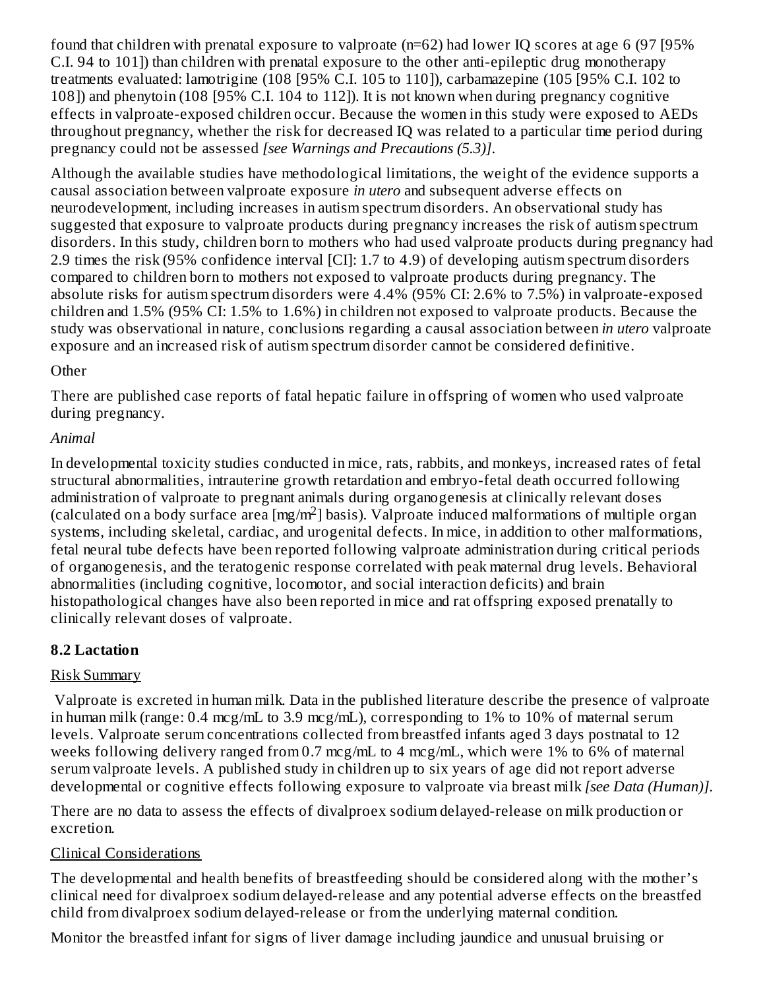found that children with prenatal exposure to valproate (n=62) had lower IQ scores at age 6 (97 [95% C.I. 94 to 101]) than children with prenatal exposure to the other anti-epileptic drug monotherapy treatments evaluated: lamotrigine (108 [95% C.I. 105 to 110]), carbamazepine (105 [95% C.I. 102 to 108]) and phenytoin (108 [95% C.I. 104 to 112]). It is not known when during pregnancy cognitive effects in valproate-exposed children occur. Because the women in this study were exposed to AEDs throughout pregnancy, whether the risk for decreased IQ was related to a particular time period during pregnancy could not be assessed *[see Warnings and Precautions (5.3)]*.

Although the available studies have methodological limitations, the weight of the evidence supports a causal association between valproate exposure *in utero* and subsequent adverse effects on neurodevelopment, including increases in autism spectrum disorders. An observational study has suggested that exposure to valproate products during pregnancy increases the risk of autism spectrum disorders. In this study, children born to mothers who had used valproate products during pregnancy had 2.9 times the risk (95% confidence interval [CI]: 1.7 to 4.9) of developing autism spectrum disorders compared to children born to mothers not exposed to valproate products during pregnancy. The absolute risks for autism spectrum disorders were 4.4% (95% CI: 2.6% to 7.5%) in valproate-exposed children and 1.5% (95% CI: 1.5% to 1.6%) in children not exposed to valproate products. Because the study was observational in nature, conclusions regarding a causal association between *in utero* valproate exposure and an increased risk of autism spectrum disorder cannot be considered definitive.

#### **Other**

There are published case reports of fatal hepatic failure in offspring of women who used valproate during pregnancy.

### *Animal*

In developmental toxicity studies conducted in mice, rats, rabbits, and monkeys, increased rates of fetal structural abnormalities, intrauterine growth retardation and embryo-fetal death occurred following administration of valproate to pregnant animals during organogenesis at clinically relevant doses (calculated on a body surface area [mg/m<sup>2</sup>] basis). Valproate induced malformations of multiple organ systems, including skeletal, cardiac, and urogenital defects. In mice, in addition to other malformations, fetal neural tube defects have been reported following valproate administration during critical periods of organogenesis, and the teratogenic response correlated with peak maternal drug levels. Behavioral abnormalities (including cognitive, locomotor, and social interaction deficits) and brain histopathological changes have also been reported in mice and rat offspring exposed prenatally to clinically relevant doses of valproate.

### **8.2 Lactation**

### Risk Summary

Valproate is excreted in human milk. Data in the published literature describe the presence of valproate in human milk (range:  $0.4 \text{ mcg/mL}$  to  $3.9 \text{ mcg/mL}$ ), corresponding to 1% to 10% of maternal serum levels. Valproate serum concentrations collected from breastfed infants aged 3 days postnatal to 12 weeks following delivery ranged from 0.7 mcg/mL to 4 mcg/mL, which were 1% to 6% of maternal serum valproate levels. A published study in children up to six years of age did not report adverse developmental or cognitive effects following exposure to valproate via breast milk *[see Data (Human)]*.

There are no data to assess the effects of divalproex sodium delayed-release on milk production or excretion.

### Clinical Considerations

The developmental and health benefits of breastfeeding should be considered along with the mother's clinical need for divalproex sodium delayed-release and any potential adverse effects on the breastfed child from divalproex sodium delayed-release or from the underlying maternal condition.

Monitor the breastfed infant for signs of liver damage including jaundice and unusual bruising or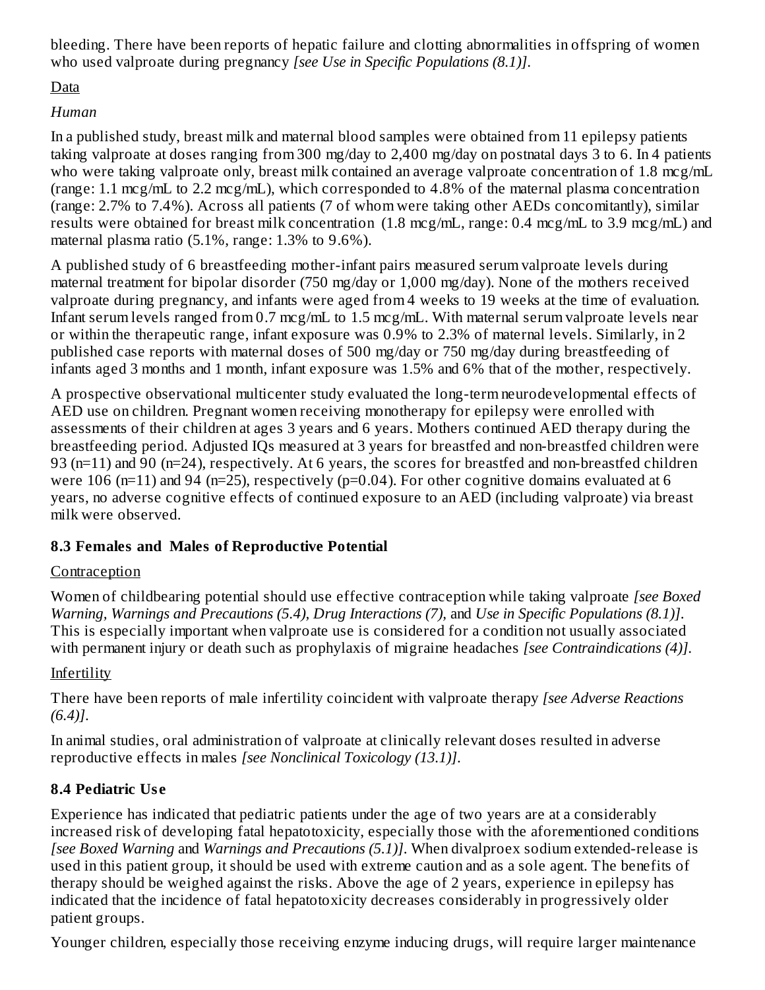bleeding. There have been reports of hepatic failure and clotting abnormalities in offspring of women who used valproate during pregnancy *[see Use in Specific Populations (8.1)]*.

### Data

### *Human*

In a published study, breast milk and maternal blood samples were obtained from 11 epilepsy patients taking valproate at doses ranging from 300 mg/day to 2,400 mg/day on postnatal days 3 to 6. In 4 patients who were taking valproate only, breast milk contained an average valproate concentration of 1.8 mcg/mL (range: 1.1 mcg/mL to 2.2 mcg/mL), which corresponded to 4.8% of the maternal plasma concentration (range: 2.7% to 7.4%). Across all patients (7 of whom were taking other AEDs concomitantly), similar results were obtained for breast milk concentration (1.8 mcg/mL, range: 0.4 mcg/mL to 3.9 mcg/mL) and maternal plasma ratio (5.1%, range: 1.3% to 9.6%).

A published study of 6 breastfeeding mother-infant pairs measured serum valproate levels during maternal treatment for bipolar disorder (750 mg/day or 1,000 mg/day). None of the mothers received valproate during pregnancy, and infants were aged from 4 weeks to 19 weeks at the time of evaluation. Infant serum levels ranged from 0.7 mcg/mL to 1.5 mcg/mL. With maternal serum valproate levels near or within the therapeutic range, infant exposure was 0.9% to 2.3% of maternal levels. Similarly, in 2 published case reports with maternal doses of 500 mg/day or 750 mg/day during breastfeeding of infants aged 3 months and 1 month, infant exposure was 1.5% and 6% that of the mother, respectively.

A prospective observational multicenter study evaluated the long-term neurodevelopmental effects of AED use on children. Pregnant women receiving monotherapy for epilepsy were enrolled with assessments of their children at ages 3 years and 6 years. Mothers continued AED therapy during the breastfeeding period. Adjusted IQs measured at 3 years for breastfed and non-breastfed children were 93 (n=11) and 90 (n=24), respectively. At 6 years, the scores for breastfed and non-breastfed children were 106 (n=11) and 94 (n=25), respectively (p=0.04). For other cognitive domains evaluated at 6 years, no adverse cognitive effects of continued exposure to an AED (including valproate) via breast milk were observed.

### **8.3 Females and Males of Reproductive Potential**

### Contraception

Women of childbearing potential should use effective contraception while taking valproate *[see Boxed Warning, Warnings and Precautions (5.4), Drug Interactions (7),* and *Use in Specific Populations (8.1)]*. This is especially important when valproate use is considered for a condition not usually associated with permanent injury or death such as prophylaxis of migraine headaches *[see Contraindications (4)]*.

### Infertility

There have been reports of male infertility coincident with valproate therapy *[see Adverse Reactions (6.4)]*.

In animal studies, oral administration of valproate at clinically relevant doses resulted in adverse reproductive effects in males *[see Nonclinical Toxicology (13.1)]*.

# **8.4 Pediatric Us e**

Experience has indicated that pediatric patients under the age of two years are at a considerably increased risk of developing fatal hepatotoxicity, especially those with the aforementioned conditions *[see Boxed Warning* and *Warnings and Precautions (5.1)]*. When divalproex sodium extended-release is used in this patient group, it should be used with extreme caution and as a sole agent. The benefits of therapy should be weighed against the risks. Above the age of 2 years, experience in epilepsy has indicated that the incidence of fatal hepatotoxicity decreases considerably in progressively older patient groups.

Younger children, especially those receiving enzyme inducing drugs, will require larger maintenance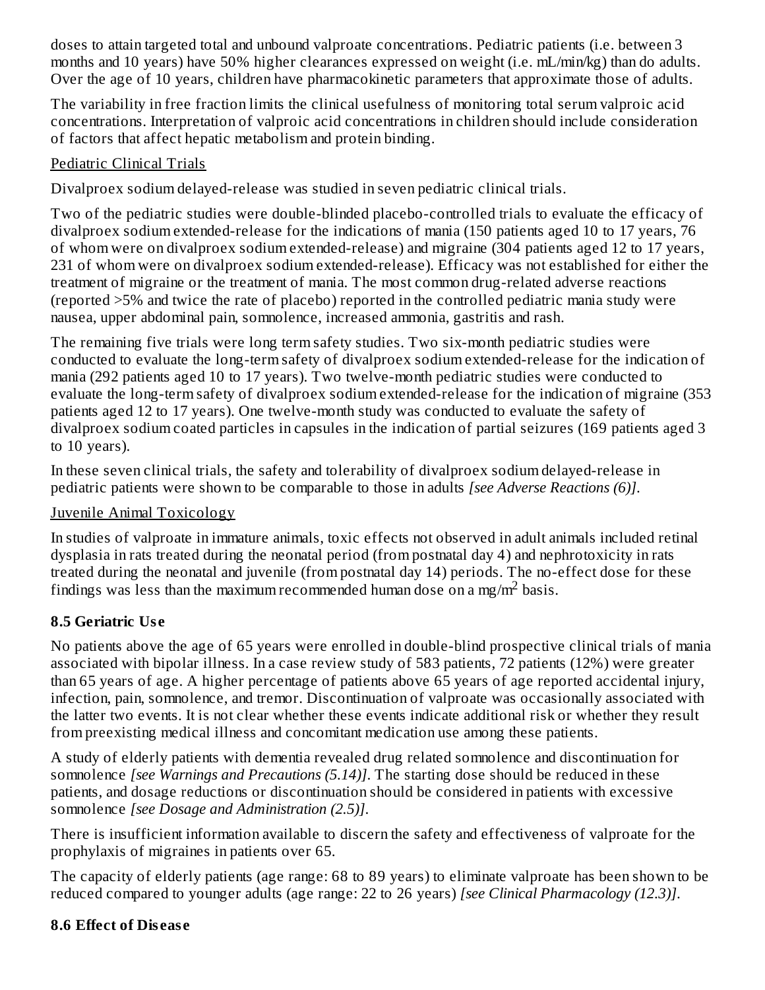doses to attain targeted total and unbound valproate concentrations. Pediatric patients (i.e. between 3 months and 10 years) have 50% higher clearances expressed on weight (i.e. mL/min/kg) than do adults. Over the age of 10 years, children have pharmacokinetic parameters that approximate those of adults.

The variability in free fraction limits the clinical usefulness of monitoring total serum valproic acid concentrations. Interpretation of valproic acid concentrations in children should include consideration of factors that affect hepatic metabolism and protein binding.

### Pediatric Clinical Trials

Divalproex sodium delayed-release was studied in seven pediatric clinical trials.

Two of the pediatric studies were double-blinded placebo-controlled trials to evaluate the efficacy of divalproex sodium extended-release for the indications of mania (150 patients aged 10 to 17 years, 76 of whom were on divalproex sodium extended-release) and migraine (304 patients aged 12 to 17 years, 231 of whom were on divalproex sodium extended-release). Efficacy was not established for either the treatment of migraine or the treatment of mania. The most common drug-related adverse reactions (reported >5% and twice the rate of placebo) reported in the controlled pediatric mania study were nausea, upper abdominal pain, somnolence, increased ammonia, gastritis and rash.

The remaining five trials were long term safety studies. Two six-month pediatric studies were conducted to evaluate the long-term safety of divalproex sodium extended-release for the indication of mania (292 patients aged 10 to 17 years). Two twelve-month pediatric studies were conducted to evaluate the long-term safety of divalproex sodium extended-release for the indication of migraine (353 patients aged 12 to 17 years). One twelve-month study was conducted to evaluate the safety of divalproex sodium coated particles in capsules in the indication of partial seizures (169 patients aged 3 to 10 years).

In these seven clinical trials, the safety and tolerability of divalproex sodium delayed-release in pediatric patients were shown to be comparable to those in adults *[see Adverse Reactions (6)]*.

# Juvenile Animal Toxicology

In studies of valproate in immature animals, toxic effects not observed in adult animals included retinal dysplasia in rats treated during the neonatal period (from postnatal day 4) and nephrotoxicity in rats treated during the neonatal and juvenile (from postnatal day 14) periods. The no-effect dose for these findings was less than the maximum recommended human dose on a mg/m<sup>2</sup> basis.

# **8.5 Geriatric Us e**

No patients above the age of 65 years were enrolled in double-blind prospective clinical trials of mania associated with bipolar illness. In a case review study of 583 patients, 72 patients (12%) were greater than 65 years of age. A higher percentage of patients above 65 years of age reported accidental injury, infection, pain, somnolence, and tremor. Discontinuation of valproate was occasionally associated with the latter two events. It is not clear whether these events indicate additional risk or whether they result from preexisting medical illness and concomitant medication use among these patients.

A study of elderly patients with dementia revealed drug related somnolence and discontinuation for somnolence *[see Warnings and Precautions (5.14)]*. The starting dose should be reduced in these patients, and dosage reductions or discontinuation should be considered in patients with excessive somnolence *[see Dosage and Administration (2.5)]*.

There is insufficient information available to discern the safety and effectiveness of valproate for the prophylaxis of migraines in patients over 65.

The capacity of elderly patients (age range: 68 to 89 years) to eliminate valproate has been shown to be reduced compared to younger adults (age range: 22 to 26 years) *[see Clinical Pharmacology (12.3)]*.

# **8.6 Effect of Dis eas e**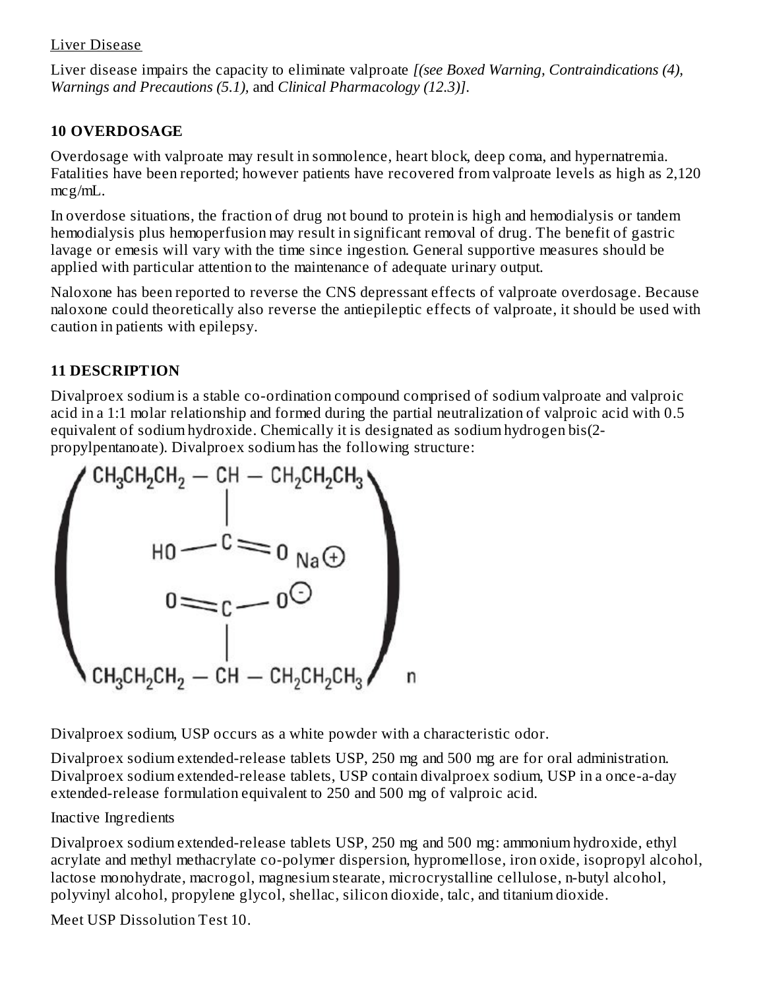#### Liver Disease

Liver disease impairs the capacity to eliminate valproate *[(see Boxed Warning, Contraindications (4), Warnings and Precautions (5.1),* and *Clinical Pharmacology (12.3)]*.

#### **10 OVERDOSAGE**

Overdosage with valproate may result in somnolence, heart block, deep coma, and hypernatremia. Fatalities have been reported; however patients have recovered from valproate levels as high as 2,120 mcg/mL.

In overdose situations, the fraction of drug not bound to protein is high and hemodialysis or tandem hemodialysis plus hemoperfusion may result in significant removal of drug. The benefit of gastric lavage or emesis will vary with the time since ingestion. General supportive measures should be applied with particular attention to the maintenance of adequate urinary output.

Naloxone has been reported to reverse the CNS depressant effects of valproate overdosage. Because naloxone could theoretically also reverse the antiepileptic effects of valproate, it should be used with caution in patients with epilepsy.

### **11 DESCRIPTION**

Divalproex sodium is a stable co-ordination compound comprised of sodium valproate and valproic acid in a 1:1 molar relationship and formed during the partial neutralization of valproic acid with 0.5 equivalent of sodium hydroxide. Chemically it is designated as sodium hydrogen bis(2 propylpentanoate). Divalproex sodium has the following structure:



Divalproex sodium, USP occurs as a white powder with a characteristic odor.

Divalproex sodium extended-release tablets USP, 250 mg and 500 mg are for oral administration. Divalproex sodium extended-release tablets, USP contain divalproex sodium, USP in a once-a-day extended-release formulation equivalent to 250 and 500 mg of valproic acid.

### Inactive Ingredients

Divalproex sodium extended-release tablets USP, 250 mg and 500 mg: ammonium hydroxide, ethyl acrylate and methyl methacrylate co-polymer dispersion, hypromellose, iron oxide, isopropyl alcohol, lactose monohydrate, macrogol, magnesium stearate, microcrystalline cellulose, n-butyl alcohol, polyvinyl alcohol, propylene glycol, shellac, silicon dioxide, talc, and titanium dioxide.

Meet USP Dissolution Test 10.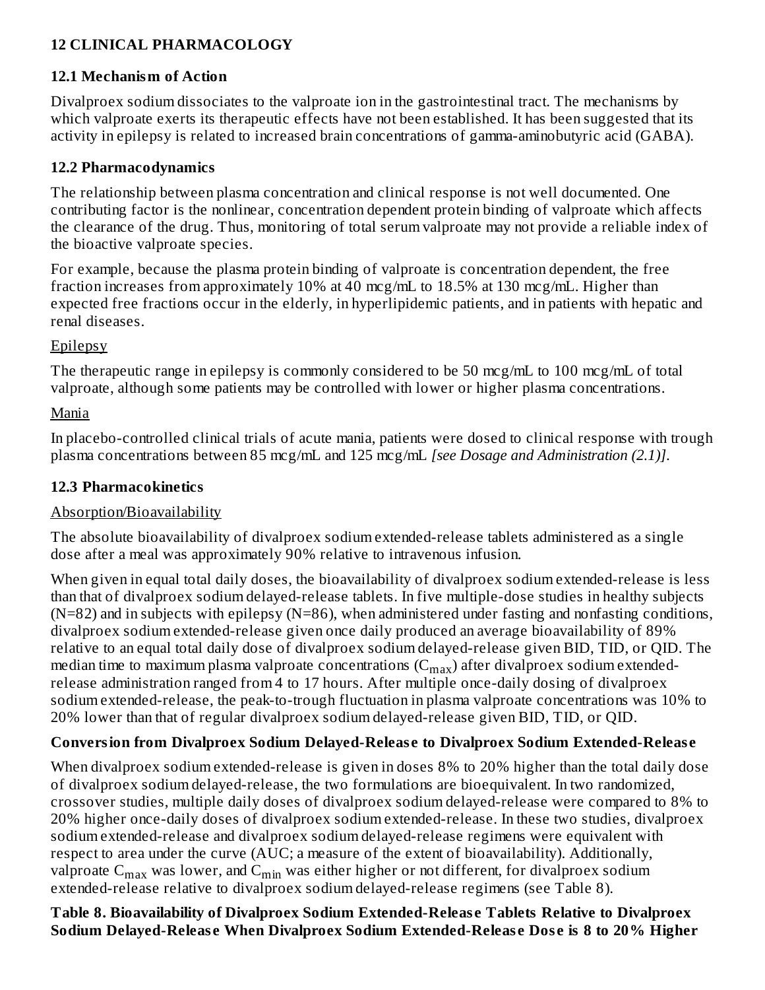### **12 CLINICAL PHARMACOLOGY**

#### **12.1 Mechanism of Action**

Divalproex sodium dissociates to the valproate ion in the gastrointestinal tract. The mechanisms by which valproate exerts its therapeutic effects have not been established. It has been suggested that its activity in epilepsy is related to increased brain concentrations of gamma-aminobutyric acid (GABA).

#### **12.2 Pharmacodynamics**

The relationship between plasma concentration and clinical response is not well documented. One contributing factor is the nonlinear, concentration dependent protein binding of valproate which affects the clearance of the drug. Thus, monitoring of total serum valproate may not provide a reliable index of the bioactive valproate species.

For example, because the plasma protein binding of valproate is concentration dependent, the free fraction increases from approximately 10% at 40 mcg/mL to 18.5% at 130 mcg/mL. Higher than expected free fractions occur in the elderly, in hyperlipidemic patients, and in patients with hepatic and renal diseases.

#### **Epilepsy**

The therapeutic range in epilepsy is commonly considered to be 50 mcg/mL to 100 mcg/mL of total valproate, although some patients may be controlled with lower or higher plasma concentrations.

#### Mania

In placebo-controlled clinical trials of acute mania, patients were dosed to clinical response with trough plasma concentrations between 85 mcg/mL and 125 mcg/mL *[see Dosage and Administration (2.1)]*.

#### **12.3 Pharmacokinetics**

#### Absorption/Bioavailability

The absolute bioavailability of divalproex sodium extended-release tablets administered as a single dose after a meal was approximately 90% relative to intravenous infusion.

When given in equal total daily doses, the bioavailability of divalproex sodium extended-release is less than that of divalproex sodium delayed-release tablets. In five multiple-dose studies in healthy subjects  $(N=82)$  and in subjects with epilepsy  $(N=86)$ , when administered under fasting and nonfasting conditions, divalproex sodium extended-release given once daily produced an average bioavailability of 89% relative to an equal total daily dose of divalproex sodium delayed-release given BID, TID, or QID. The median time to maximum plasma valproate concentrations ( $\rm C_{max}$ ) after divalproex sodium extendedrelease administration ranged from 4 to 17 hours. After multiple once-daily dosing of divalproex sodium extended-release, the peak-to-trough fluctuation in plasma valproate concentrations was 10% to 20% lower than that of regular divalproex sodium delayed-release given BID, TID, or QID.

#### **Conversion from Divalproex Sodium Delayed-Releas e to Divalproex Sodium Extended-Releas e**

When divalproex sodium extended-release is given in doses 8% to 20% higher than the total daily dose of divalproex sodium delayed-release, the two formulations are bioequivalent. In two randomized, crossover studies, multiple daily doses of divalproex sodium delayed-release were compared to 8% to 20% higher once-daily doses of divalproex sodium extended-release. In these two studies, divalproex sodium extended-release and divalproex sodium delayed-release regimens were equivalent with respect to area under the curve (AUC; a measure of the extent of bioavailability). Additionally, valproate  $\mathsf{C_{max}}$  was lower, and  $\mathsf{C_{min}}$  was either higher or not different, for divalproex sodium extended-release relative to divalproex sodium delayed-release regimens (see Table 8).

**Table 8. Bioavailability of Divalproex Sodium Extended-Releas e Tablets Relative to Divalproex Sodium Delayed-Releas e When Divalproex Sodium Extended-Releas e Dos e is 8 to 20% Higher**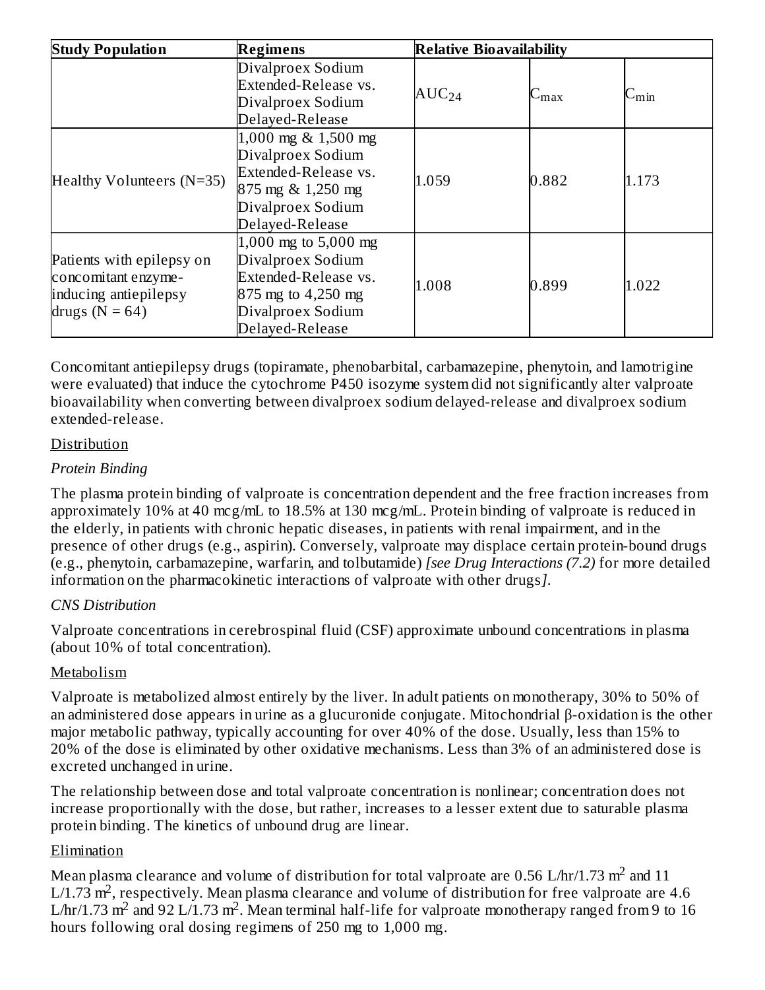| <b>Study Population</b>                                                                         | Regimens                                                                                                                          | <b>Relative Bioavailability</b> |               |            |
|-------------------------------------------------------------------------------------------------|-----------------------------------------------------------------------------------------------------------------------------------|---------------------------------|---------------|------------|
|                                                                                                 | Divalproex Sodium<br>Extended-Release vs.<br>Divalproex Sodium<br>Delayed-Release                                                 | $AUC_{24}$                      | $\cup_{\max}$ | $C_{\min}$ |
| Healthy Volunteers (N=35)                                                                       | 1,000 mg & 1,500 mg<br>Divalproex Sodium<br>Extended-Release vs.<br>875 mg & 1,250 mg<br>Divalproex Sodium<br>Delayed-Release     | 1.059                           | 0.882         | 1.173      |
| Patients with epilepsy on<br>concomitant enzyme-<br>inducing antiepilepsy<br>drugs ( $N = 64$ ) | 1,000 mg to $5,000$ mg<br>Divalproex Sodium<br>Extended-Release vs.<br>875 mg to 4,250 mg<br>Divalproex Sodium<br>Delayed-Release | 1.008                           | 0.899         | 1.022      |

Concomitant antiepilepsy drugs (topiramate, phenobarbital, carbamazepine, phenytoin, and lamotrigine were evaluated) that induce the cytochrome P450 isozyme system did not significantly alter valproate bioavailability when converting between divalproex sodium delayed-release and divalproex sodium extended-release.

#### Distribution

#### *Protein Binding*

The plasma protein binding of valproate is concentration dependent and the free fraction increases from approximately 10% at 40 mcg/mL to 18.5% at 130 mcg/mL. Protein binding of valproate is reduced in the elderly, in patients with chronic hepatic diseases, in patients with renal impairment, and in the presence of other drugs (e.g., aspirin). Conversely, valproate may displace certain protein-bound drugs (e.g., phenytoin, carbamazepine, warfarin, and tolbutamide) *[see Drug Interactions (7.2)* for more detailed information on the pharmacokinetic interactions of valproate with other drugs*]*.

### *CNS Distribution*

Valproate concentrations in cerebrospinal fluid (CSF) approximate unbound concentrations in plasma (about 10% of total concentration).

### Metabolism

Valproate is metabolized almost entirely by the liver. In adult patients on monotherapy, 30% to 50% of an administered dose appears in urine as a glucuronide conjugate. Mitochondrial β-oxidation is the other major metabolic pathway, typically accounting for over 40% of the dose. Usually, less than 15% to 20% of the dose is eliminated by other oxidative mechanisms. Less than 3% of an administered dose is excreted unchanged in urine.

The relationship between dose and total valproate concentration is nonlinear; concentration does not increase proportionally with the dose, but rather, increases to a lesser extent due to saturable plasma protein binding. The kinetics of unbound drug are linear.

### Elimination

Mean plasma clearance and volume of distribution for total valproate are 0.56 L/hr/1.73  $m^2$  and 11 L/1.73  $\mathrm{m}^2$ , respectively. Mean plasma clearance and volume of distribution for free valproate are 4.6 L/hr/1.73 m<sup>2</sup> and 92 L/1.73 m<sup>2</sup>. Mean terminal half-life for valproate monotherapy ranged from 9 to 16 hours following oral dosing regimens of 250 mg to 1,000 mg.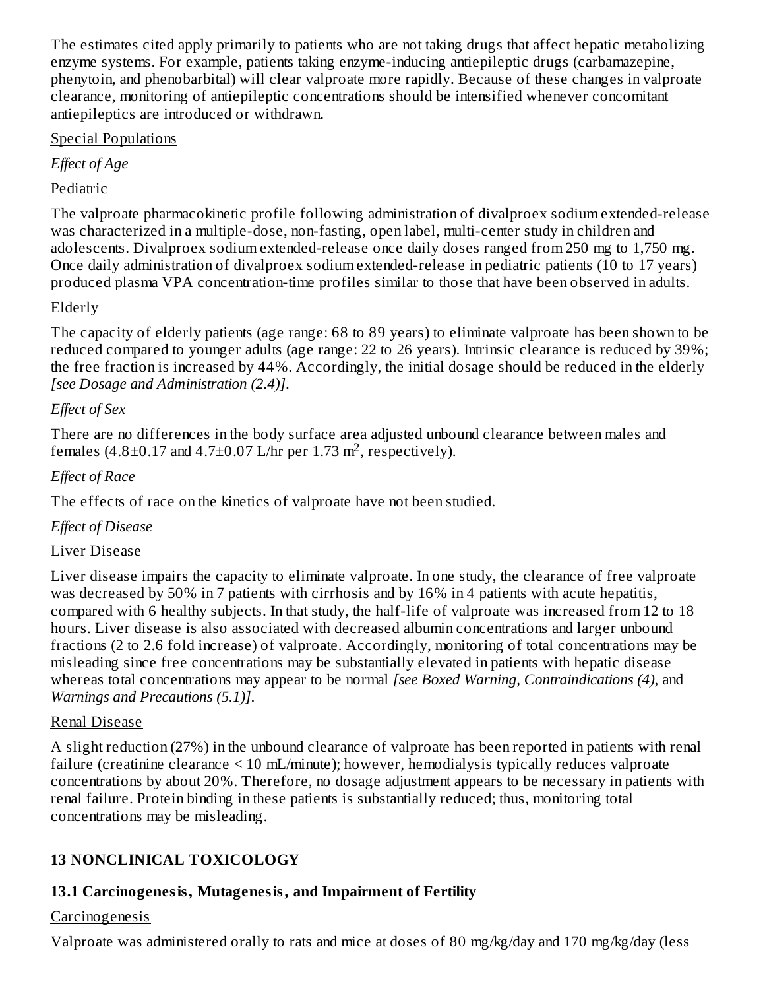The estimates cited apply primarily to patients who are not taking drugs that affect hepatic metabolizing enzyme systems. For example, patients taking enzyme-inducing antiepileptic drugs (carbamazepine, phenytoin, and phenobarbital) will clear valproate more rapidly. Because of these changes in valproate clearance, monitoring of antiepileptic concentrations should be intensified whenever concomitant antiepileptics are introduced or withdrawn.

### Special Populations

*Effect of Age*

# Pediatric

The valproate pharmacokinetic profile following administration of divalproex sodium extended-release was characterized in a multiple-dose, non-fasting, open label, multi-center study in children and adolescents. Divalproex sodium extended-release once daily doses ranged from 250 mg to 1,750 mg. Once daily administration of divalproex sodium extended-release in pediatric patients (10 to 17 years) produced plasma VPA concentration-time profiles similar to those that have been observed in adults.

### Elderly

The capacity of elderly patients (age range: 68 to 89 years) to eliminate valproate has been shown to be reduced compared to younger adults (age range: 22 to 26 years). Intrinsic clearance is reduced by 39%; the free fraction is increased by 44%. Accordingly, the initial dosage should be reduced in the elderly *[see Dosage and Administration (2.4)]*.

### *Effect of Sex*

There are no differences in the body surface area adjusted unbound clearance between males and females  $(4.8\pm0.17$  and  $4.7\pm0.07$  L/hr per 1.73 m<sup>2</sup>, respectively).

### *Effect of Race*

The effects of race on the kinetics of valproate have not been studied.

### *Effect of Disease*

#### Liver Disease

Liver disease impairs the capacity to eliminate valproate. In one study, the clearance of free valproate was decreased by 50% in 7 patients with cirrhosis and by 16% in 4 patients with acute hepatitis, compared with 6 healthy subjects. In that study, the half-life of valproate was increased from 12 to 18 hours. Liver disease is also associated with decreased albumin concentrations and larger unbound fractions (2 to 2.6 fold increase) of valproate. Accordingly, monitoring of total concentrations may be misleading since free concentrations may be substantially elevated in patients with hepatic disease whereas total concentrations may appear to be normal *[see Boxed Warning, Contraindications (4)*, and *Warnings and Precautions (5.1)]*.

#### Renal Disease

A slight reduction (27%) in the unbound clearance of valproate has been reported in patients with renal failure (creatinine clearance < 10 mL/minute); however, hemodialysis typically reduces valproate concentrations by about 20%. Therefore, no dosage adjustment appears to be necessary in patients with renal failure. Protein binding in these patients is substantially reduced; thus, monitoring total concentrations may be misleading.

# **13 NONCLINICAL TOXICOLOGY**

# **13.1 Carcinogenesis, Mutagenesis, and Impairment of Fertility**

#### **Carcinogenesis**

Valproate was administered orally to rats and mice at doses of 80 mg/kg/day and 170 mg/kg/day (less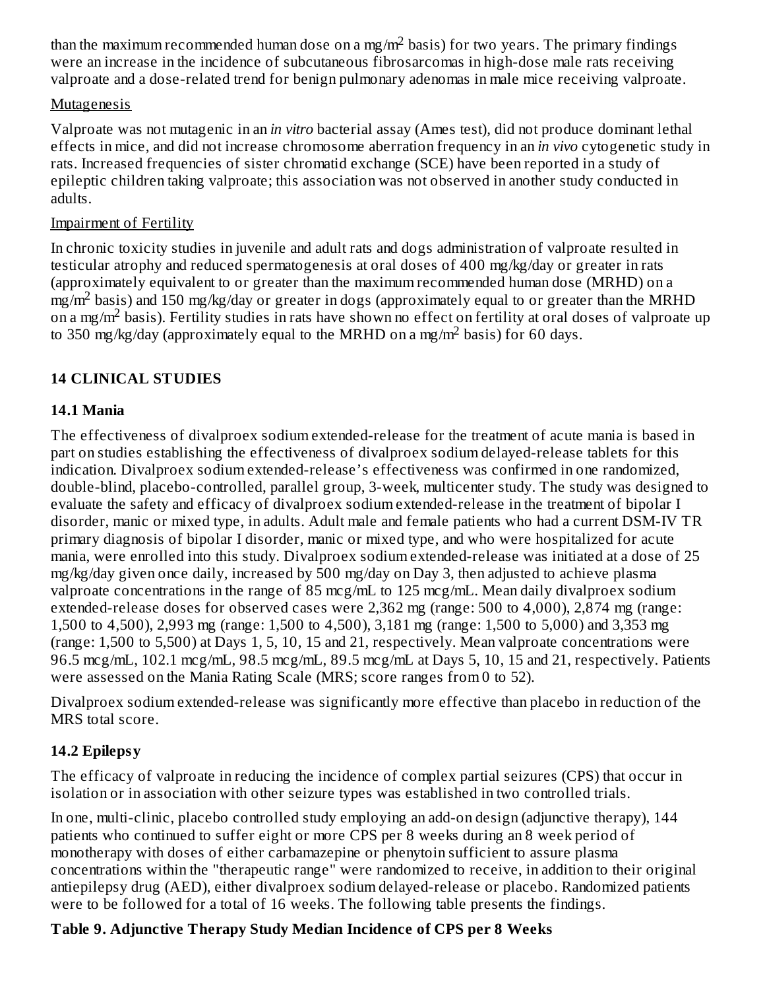than the maximum recommended human dose on a mg/m<sup>2</sup> basis) for two years. The primary findings were an increase in the incidence of subcutaneous fibrosarcomas in high-dose male rats receiving valproate and a dose-related trend for benign pulmonary adenomas in male mice receiving valproate.

#### **Mutagenesis**

Valproate was not mutagenic in an *in vitro* bacterial assay (Ames test), did not produce dominant lethal effects in mice, and did not increase chromosome aberration frequency in an *in vivo* cytogenetic study in rats. Increased frequencies of sister chromatid exchange (SCE) have been reported in a study of epileptic children taking valproate; this association was not observed in another study conducted in adults.

### Impairment of Fertility

In chronic toxicity studies in juvenile and adult rats and dogs administration of valproate resulted in testicular atrophy and reduced spermatogenesis at oral doses of 400 mg/kg/day or greater in rats (approximately equivalent to or greater than the maximum recommended human dose (MRHD) on a  $\frac{m^2}{m^2}$  basis) and 150 mg/kg/day or greater in dogs (approximately equal to or greater than the MRHD on a mg/m<sup>2</sup> basis). Fertility studies in rats have shown no effect on fertility at oral doses of valproate up to 350 mg/kg/day (approximately equal to the MRHD on a mg/m<sup>2</sup> basis) for 60 days.

# **14 CLINICAL STUDIES**

### **14.1 Mania**

The effectiveness of divalproex sodium extended-release for the treatment of acute mania is based in part on studies establishing the effectiveness of divalproex sodium delayed-release tablets for this indication. Divalproex sodium extended-release's effectiveness was confirmed in one randomized, double-blind, placebo-controlled, parallel group, 3-week, multicenter study. The study was designed to evaluate the safety and efficacy of divalproex sodium extended-release in the treatment of bipolar I disorder, manic or mixed type, in adults. Adult male and female patients who had a current DSM-IV TR primary diagnosis of bipolar I disorder, manic or mixed type, and who were hospitalized for acute mania, were enrolled into this study. Divalproex sodium extended-release was initiated at a dose of 25 mg/kg/day given once daily, increased by 500 mg/day on Day 3, then adjusted to achieve plasma valproate concentrations in the range of 85 mcg/mL to 125 mcg/mL. Mean daily divalproex sodium extended-release doses for observed cases were 2,362 mg (range: 500 to 4,000), 2,874 mg (range: 1,500 to 4,500), 2,993 mg (range: 1,500 to 4,500), 3,181 mg (range: 1,500 to 5,000) and 3,353 mg (range: 1,500 to 5,500) at Days 1, 5, 10, 15 and 21, respectively. Mean valproate concentrations were 96.5 mcg/mL, 102.1 mcg/mL, 98.5 mcg/mL, 89.5 mcg/mL at Days 5, 10, 15 and 21, respectively. Patients were assessed on the Mania Rating Scale (MRS; score ranges from 0 to 52).

Divalproex sodium extended-release was significantly more effective than placebo in reduction of the MRS total score.

### **14.2 Epilepsy**

The efficacy of valproate in reducing the incidence of complex partial seizures (CPS) that occur in isolation or in association with other seizure types was established in two controlled trials.

In one, multi-clinic, placebo controlled study employing an add-on design (adjunctive therapy), 144 patients who continued to suffer eight or more CPS per 8 weeks during an 8 week period of monotherapy with doses of either carbamazepine or phenytoin sufficient to assure plasma concentrations within the "therapeutic range" were randomized to receive, in addition to their original antiepilepsy drug (AED), either divalproex sodium delayed-release or placebo. Randomized patients were to be followed for a total of 16 weeks. The following table presents the findings.

### **Table 9. Adjunctive Therapy Study Median Incidence of CPS per 8 Weeks**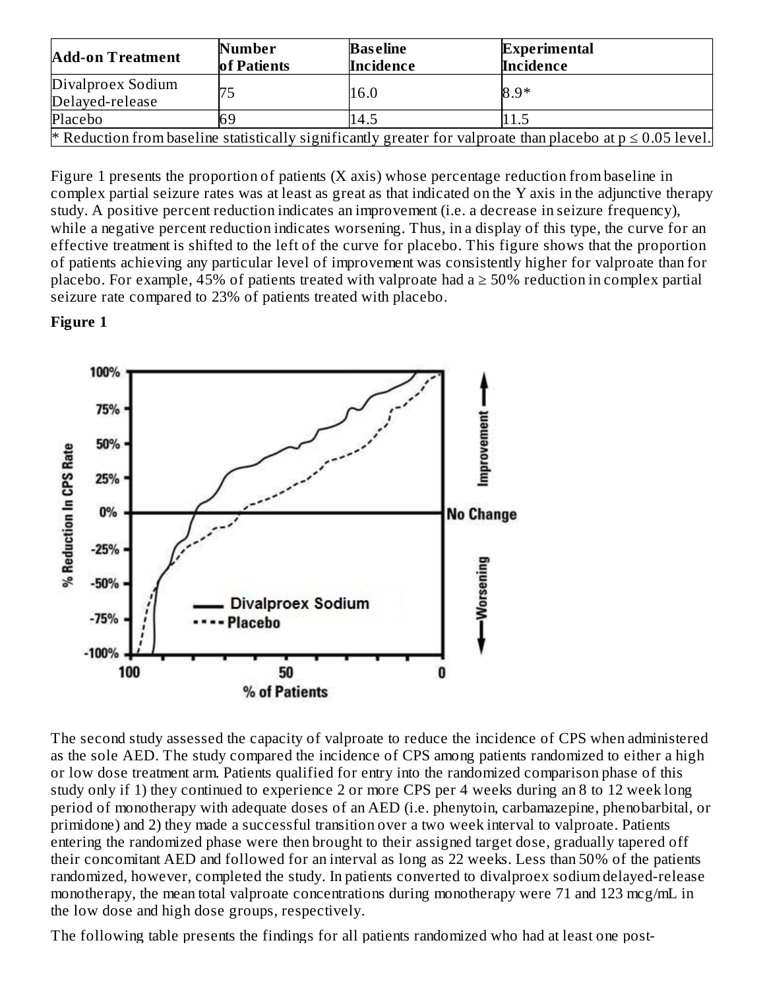| <b>Add-on Treatment</b>              | Number<br>of Patients | <b>Baseline</b><br>Incidence | <b>Experimental</b><br>Incidence                                                                                |
|--------------------------------------|-----------------------|------------------------------|-----------------------------------------------------------------------------------------------------------------|
| Divalproex Sodium<br>Delayed-release | 75                    | 16.0                         | $8.9*$                                                                                                          |
| Placebo                              | 69                    | 14.5                         | 11.5                                                                                                            |
|                                      |                       |                              | * Reduction from baseline statistically significantly greater for valproate than placebo at $p \le 0.05$ level. |

Figure 1 presents the proportion of patients (X axis) whose percentage reduction from baseline in complex partial seizure rates was at least as great as that indicated on the Y axis in the adjunctive therapy study. A positive percent reduction indicates an improvement (i.e. a decrease in seizure frequency), while a negative percent reduction indicates worsening. Thus, in a display of this type, the curve for an effective treatment is shifted to the left of the curve for placebo. This figure shows that the proportion of patients achieving any particular level of improvement was consistently higher for valproate than for placebo. For example, 45% of patients treated with valproate had a  $\geq$  50% reduction in complex partial seizure rate compared to 23% of patients treated with placebo.

#### **Figure 1**



The second study assessed the capacity of valproate to reduce the incidence of CPS when administered as the sole AED. The study compared the incidence of CPS among patients randomized to either a high or low dose treatment arm. Patients qualified for entry into the randomized comparison phase of this study only if 1) they continued to experience 2 or more CPS per 4 weeks during an 8 to 12 week long period of monotherapy with adequate doses of an AED (i.e. phenytoin, carbamazepine, phenobarbital, or primidone) and 2) they made a successful transition over a two week interval to valproate. Patients entering the randomized phase were then brought to their assigned target dose, gradually tapered off their concomitant AED and followed for an interval as long as 22 weeks. Less than 50% of the patients randomized, however, completed the study. In patients converted to divalproex sodium delayed-release monotherapy, the mean total valproate concentrations during monotherapy were 71 and 123 mcg/mL in the low dose and high dose groups, respectively.

The following table presents the findings for all patients randomized who had at least one post-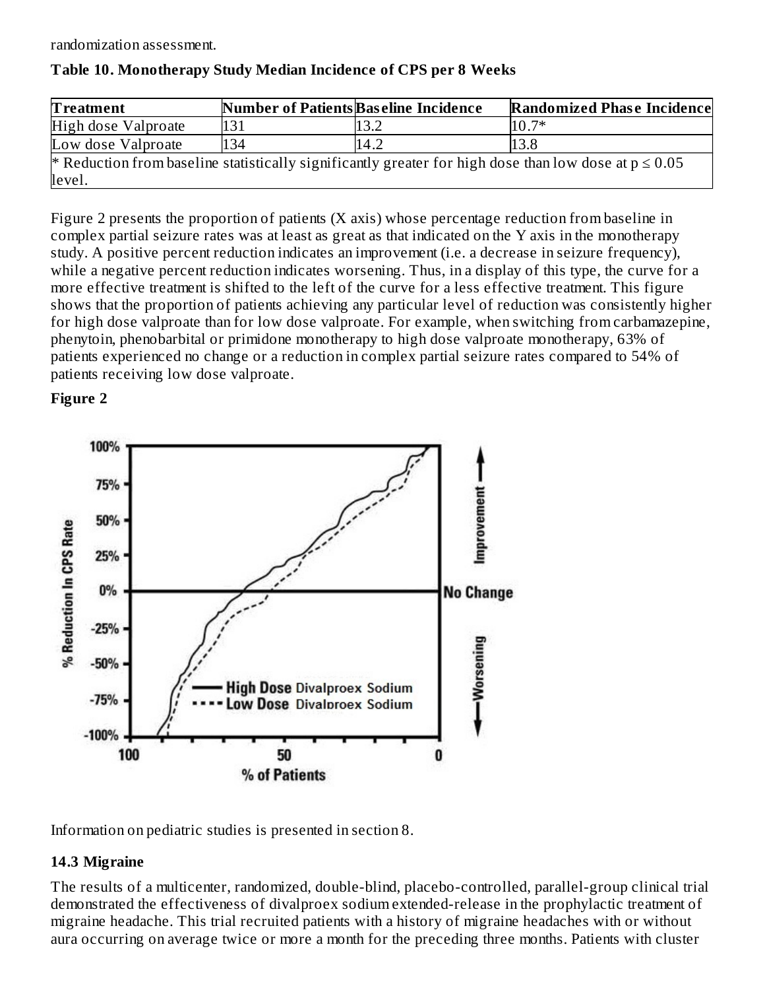randomization assessment.

| <b>Treatment</b>    | <b>Number of Patients Baseline Incidence</b> |      | <b>Randomized Phase Incidence</b>                                                                         |
|---------------------|----------------------------------------------|------|-----------------------------------------------------------------------------------------------------------|
| High dose Valproate | 131                                          | l3.2 | $10.7*$                                                                                                   |
| Low dose Valproate  | 134                                          | 14.2 | 13.8                                                                                                      |
|                     |                                              |      | * Reduction from baseline statistically significantly greater for high dose than low dose at $p \le 0.05$ |
| level.              |                                              |      |                                                                                                           |

#### **Table 10. Monotherapy Study Median Incidence of CPS per 8 Weeks**

Figure 2 presents the proportion of patients (X axis) whose percentage reduction from baseline in complex partial seizure rates was at least as great as that indicated on the Y axis in the monotherapy study. A positive percent reduction indicates an improvement (i.e. a decrease in seizure frequency), while a negative percent reduction indicates worsening. Thus, in a display of this type, the curve for a more effective treatment is shifted to the left of the curve for a less effective treatment. This figure shows that the proportion of patients achieving any particular level of reduction was consistently higher for high dose valproate than for low dose valproate. For example, when switching from carbamazepine, phenytoin, phenobarbital or primidone monotherapy to high dose valproate monotherapy, 63% of patients experienced no change or a reduction in complex partial seizure rates compared to 54% of patients receiving low dose valproate.

#### **Figure 2**



Information on pediatric studies is presented in section 8.

### **14.3 Migraine**

The results of a multicenter, randomized, double-blind, placebo-controlled, parallel-group clinical trial demonstrated the effectiveness of divalproex sodium extended-release in the prophylactic treatment of migraine headache. This trial recruited patients with a history of migraine headaches with or without aura occurring on average twice or more a month for the preceding three months. Patients with cluster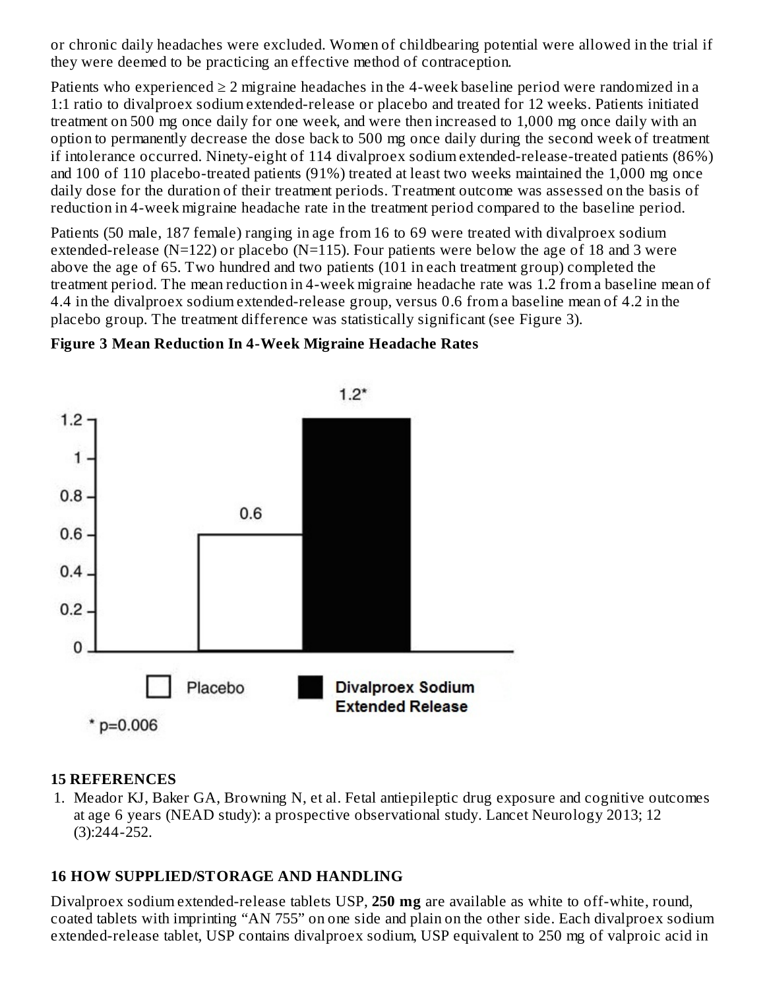or chronic daily headaches were excluded. Women of childbearing potential were allowed in the trial if they were deemed to be practicing an effective method of contraception.

Patients who experienced  $\geq 2$  migraine headaches in the 4-week baseline period were randomized in a 1:1 ratio to divalproex sodium extended-release or placebo and treated for 12 weeks. Patients initiated treatment on 500 mg once daily for one week, and were then increased to 1,000 mg once daily with an option to permanently decrease the dose back to 500 mg once daily during the second week of treatment if intolerance occurred. Ninety-eight of 114 divalproex sodium extended-release-treated patients (86%) and 100 of 110 placebo-treated patients (91%) treated at least two weeks maintained the 1,000 mg once daily dose for the duration of their treatment periods. Treatment outcome was assessed on the basis of reduction in 4-week migraine headache rate in the treatment period compared to the baseline period.

Patients (50 male, 187 female) ranging in age from 16 to 69 were treated with divalproex sodium extended-release ( $N=122$ ) or placebo ( $N=115$ ). Four patients were below the age of 18 and 3 were above the age of 65. Two hundred and two patients (101 in each treatment group) completed the treatment period. The mean reduction in 4-week migraine headache rate was 1.2 from a baseline mean of 4.4 in the divalproex sodium extended-release group, versus 0.6 from a baseline mean of 4.2 in the placebo group. The treatment difference was statistically significant (see Figure 3).



#### **Figure 3 Mean Reduction In 4-Week Migraine Headache Rates**

#### **15 REFERENCES**

1. Meador KJ, Baker GA, Browning N, et al. Fetal antiepileptic drug exposure and cognitive outcomes at age 6 years (NEAD study): a prospective observational study. Lancet Neurology 2013; 12 (3):244-252.

#### **16 HOW SUPPLIED/STORAGE AND HANDLING**

Divalproex sodium extended-release tablets USP, **250 mg** are available as white to off-white, round, coated tablets with imprinting "AN 755" on one side and plain on the other side. Each divalproex sodium extended-release tablet, USP contains divalproex sodium, USP equivalent to 250 mg of valproic acid in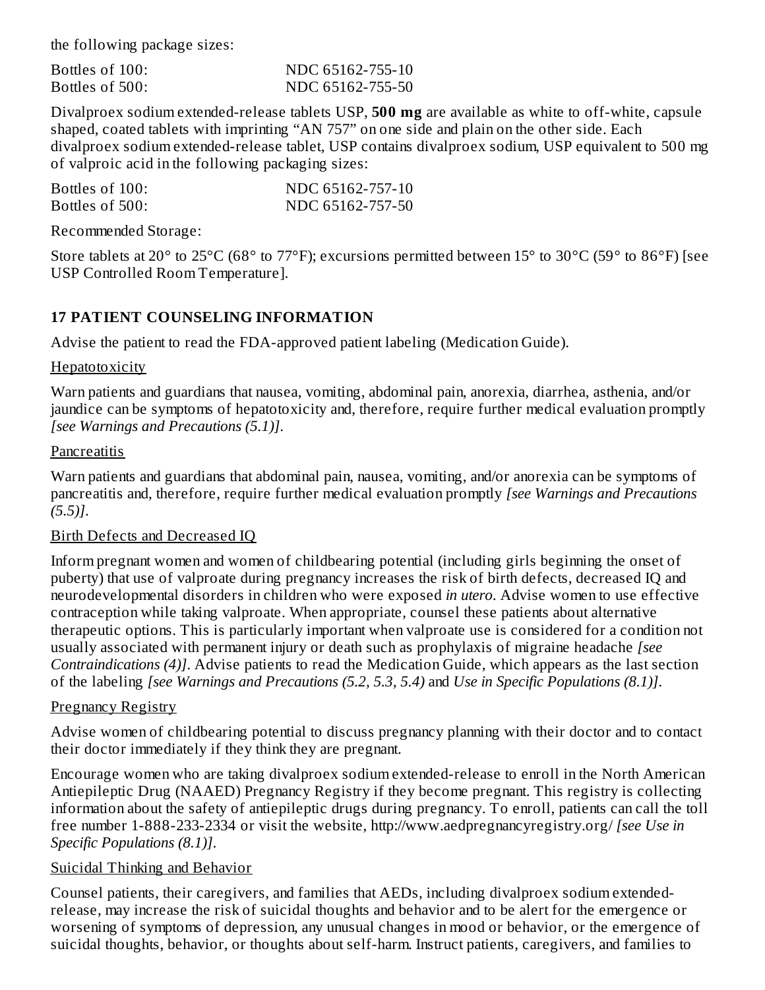the following package sizes:

Bottles of 100: NDC 65162-755-10 Bottles of 500: NDC 65162-755-50

Divalproex sodium extended-release tablets USP, **500 mg** are available as white to off-white, capsule shaped, coated tablets with imprinting "AN 757" on one side and plain on the other side. Each divalproex sodium extended-release tablet, USP contains divalproex sodium, USP equivalent to 500 mg of valproic acid in the following packaging sizes:

| Bottles of 100: | NDC 65162-757-10 |
|-----------------|------------------|
| Bottles of 500: | NDC 65162-757-50 |

Recommended Storage:

Store tablets at 20° to 25°C (68° to 77°F); excursions permitted between 15° to 30°C (59° to 86°F) [see USP Controlled Room Temperature].

#### **17 PATIENT COUNSELING INFORMATION**

Advise the patient to read the FDA-approved patient labeling (Medication Guide).

#### **Hepatotoxicity**

Warn patients and guardians that nausea, vomiting, abdominal pain, anorexia, diarrhea, asthenia, and/or jaundice can be symptoms of hepatotoxicity and, therefore, require further medical evaluation promptly *[see Warnings and Precautions (5.1)]*.

#### **Pancreatitis**

Warn patients and guardians that abdominal pain, nausea, vomiting, and/or anorexia can be symptoms of pancreatitis and, therefore, require further medical evaluation promptly *[see Warnings and Precautions (5.5)]*.

#### Birth Defects and Decreased IQ

Inform pregnant women and women of childbearing potential (including girls beginning the onset of puberty) that use of valproate during pregnancy increases the risk of birth defects, decreased IQ and neurodevelopmental disorders in children who were exposed *in utero*. Advise women to use effective contraception while taking valproate. When appropriate, counsel these patients about alternative therapeutic options. This is particularly important when valproate use is considered for a condition not usually associated with permanent injury or death such as prophylaxis of migraine headache *[see Contraindications (4)]*. Advise patients to read the Medication Guide, which appears as the last section of the labeling *[see Warnings and Precautions (5.2, 5.3, 5.4)* and *Use in Specific Populations (8.1)]*.

#### Pregnancy Registry

Advise women of childbearing potential to discuss pregnancy planning with their doctor and to contact their doctor immediately if they think they are pregnant.

Encourage women who are taking divalproex sodium extended-release to enroll in the North American Antiepileptic Drug (NAAED) Pregnancy Registry if they become pregnant. This registry is collecting information about the safety of antiepileptic drugs during pregnancy. To enroll, patients can call the toll free number 1-888-233-2334 or visit the website, http://www.aedpregnancyregistry.org/ *[see Use in Specific Populations (8.1)]*.

#### Suicidal Thinking and Behavior

Counsel patients, their caregivers, and families that AEDs, including divalproex sodium extendedrelease, may increase the risk of suicidal thoughts and behavior and to be alert for the emergence or worsening of symptoms of depression, any unusual changes in mood or behavior, or the emergence of suicidal thoughts, behavior, or thoughts about self-harm. Instruct patients, caregivers, and families to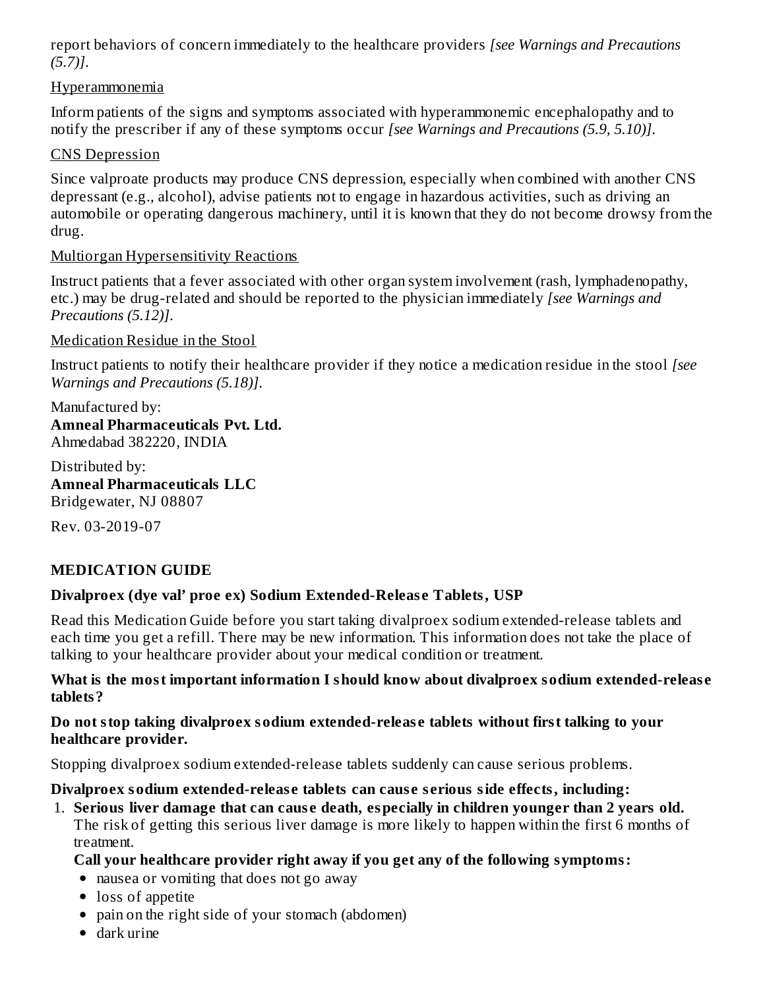report behaviors of concern immediately to the healthcare providers *[see Warnings and Precautions (5.7)]*.

#### Hyperammonemia

Inform patients of the signs and symptoms associated with hyperammonemic encephalopathy and to notify the prescriber if any of these symptoms occur *[see Warnings and Precautions (5.9, 5.10)]*.

#### CNS Depression

Since valproate products may produce CNS depression, especially when combined with another CNS depressant (e.g., alcohol), advise patients not to engage in hazardous activities, such as driving an automobile or operating dangerous machinery, until it is known that they do not become drowsy from the drug.

#### Multiorgan Hypersensitivity Reactions

Instruct patients that a fever associated with other organ system involvement (rash, lymphadenopathy, etc.) may be drug-related and should be reported to the physician immediately *[see Warnings and Precautions (5.12)]*.

Medication Residue in the Stool

Instruct patients to notify their healthcare provider if they notice a medication residue in the stool *[see Warnings and Precautions (5.18)]*.

Manufactured by: **Amneal Pharmaceuticals Pvt. Ltd.** Ahmedabad 382220, INDIA

Distributed by: **Amneal Pharmaceuticals LLC** Bridgewater, NJ 08807

Rev. 03-2019-07

### **MEDICATION GUIDE**

#### **Divalproex (dye val' proe ex) Sodium Extended-Releas e Tablets, USP**

Read this Medication Guide before you start taking divalproex sodium extended-release tablets and each time you get a refill. There may be new information. This information does not take the place of talking to your healthcare provider about your medical condition or treatment.

#### **What is the most important information I should know about divalproex sodium extended-releas e tablets?**

#### **Do not stop taking divalproex sodium extended-releas e tablets without first talking to your healthcare provider.**

Stopping divalproex sodium extended-release tablets suddenly can cause serious problems.

#### **Divalproex sodium extended-releas e tablets can caus e s erious side effects, including:**

1. **Serious liver damage that can caus e death, especially in children younger than 2 years old.** The risk of getting this serious liver damage is more likely to happen within the first 6 months of treatment.

#### **Call your healthcare provider right away if you get any of the following symptoms:**

- nausea or vomiting that does not go away
- loss of appetite
- pain on the right side of your stomach (abdomen)
- dark urine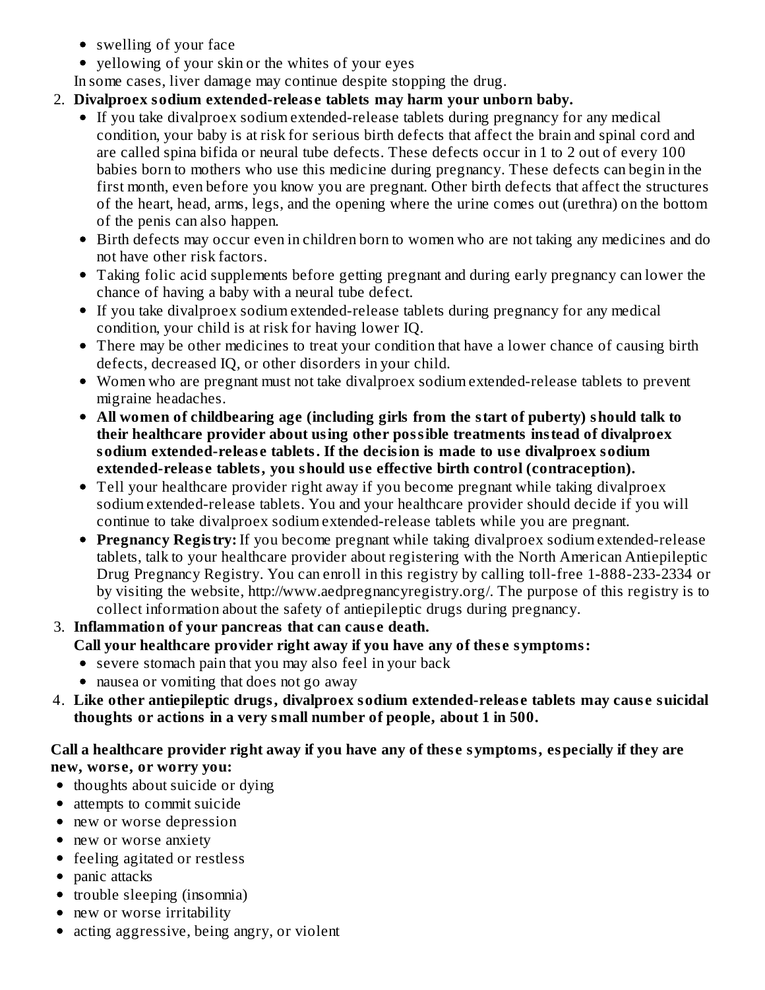- swelling of your face
- yellowing of your skin or the whites of your eyes
- In some cases, liver damage may continue despite stopping the drug.

# 2. **Divalproex sodium extended-releas e tablets may harm your unborn baby.**

- If you take divalproex sodium extended-release tablets during pregnancy for any medical condition, your baby is at risk for serious birth defects that affect the brain and spinal cord and are called spina bifida or neural tube defects. These defects occur in 1 to 2 out of every 100 babies born to mothers who use this medicine during pregnancy. These defects can begin in the first month, even before you know you are pregnant. Other birth defects that affect the structures of the heart, head, arms, legs, and the opening where the urine comes out (urethra) on the bottom of the penis can also happen.
- Birth defects may occur even in children born to women who are not taking any medicines and do not have other risk factors.
- Taking folic acid supplements before getting pregnant and during early pregnancy can lower the chance of having a baby with a neural tube defect.
- If you take divalproex sodium extended-release tablets during pregnancy for any medical condition, your child is at risk for having lower IQ.
- There may be other medicines to treat your condition that have a lower chance of causing birth defects, decreased IQ, or other disorders in your child.
- Women who are pregnant must not take divalproex sodium extended-release tablets to prevent migraine headaches.
- **All women of childbearing age (including girls from the start of puberty) should talk to their healthcare provider about using other possible treatments instead of divalproex sodium extended-releas e tablets. If the decision is made to us e divalproex sodium extended-releas e tablets, you should us e effective birth control (contraception).**
- Tell your healthcare provider right away if you become pregnant while taking divalproex sodium extended-release tablets. You and your healthcare provider should decide if you will continue to take divalproex sodium extended-release tablets while you are pregnant.
- **Pregnancy Registry:** If you become pregnant while taking divalproex sodium extended-release tablets, talk to your healthcare provider about registering with the North American Antiepileptic Drug Pregnancy Registry. You can enroll in this registry by calling toll-free 1-888-233-2334 or by visiting the website, http://www.aedpregnancyregistry.org/. The purpose of this registry is to collect information about the safety of antiepileptic drugs during pregnancy.

# 3. **Inflammation of your pancreas that can caus e death.**

# **Call your healthcare provider right away if you have any of thes e symptoms:**

- severe stomach pain that you may also feel in your back
- nausea or vomiting that does not go away
- 4. **Like other antiepileptic drugs, divalproex sodium extended-releas e tablets may caus e suicidal thoughts or actions in a very small number of people, about 1 in 500.**

# **Call a healthcare provider right away if you have any of thes e symptoms, especially if they are new, wors e, or worry you:**

- thoughts about suicide or dying
- attempts to commit suicide
- new or worse depression
- new or worse anxiety
- **•** feeling agitated or restless
- panic attacks
- trouble sleeping (insomnia)
- new or worse irritability
- acting aggressive, being angry, or violent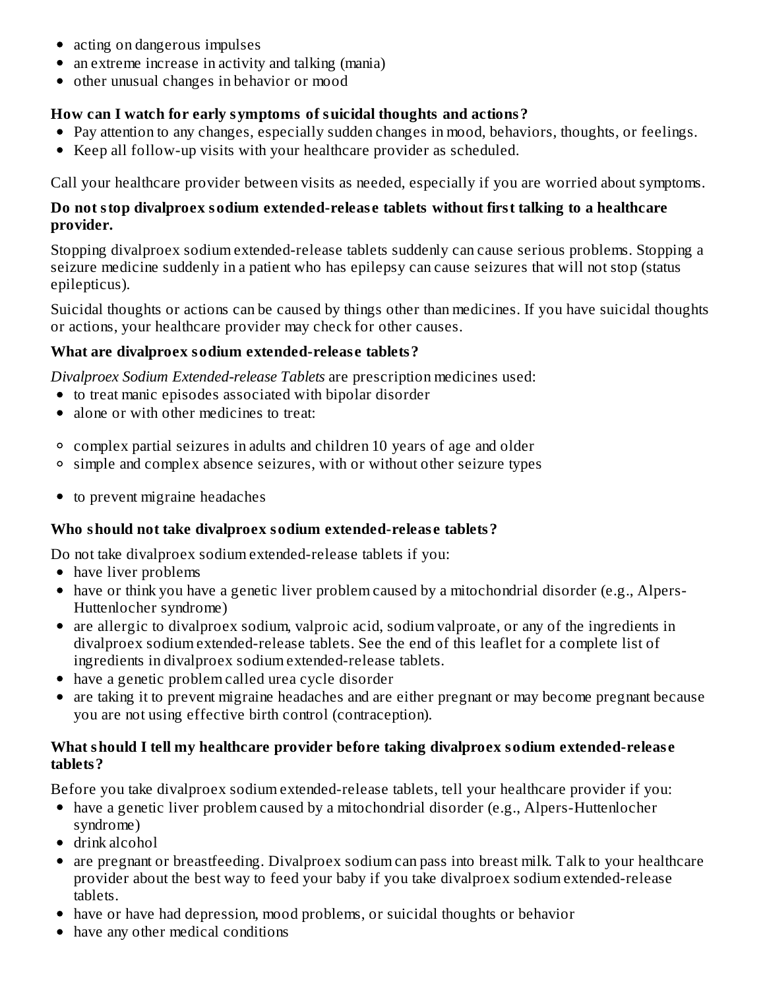- acting on dangerous impulses
- an extreme increase in activity and talking (mania)
- other unusual changes in behavior or mood

#### **How can I watch for early symptoms of suicidal thoughts and actions?**

- Pay attention to any changes, especially sudden changes in mood, behaviors, thoughts, or feelings.
- Keep all follow-up visits with your healthcare provider as scheduled.

Call your healthcare provider between visits as needed, especially if you are worried about symptoms.

#### **Do not stop divalproex sodium extended-releas e tablets without first talking to a healthcare provider.**

Stopping divalproex sodium extended-release tablets suddenly can cause serious problems. Stopping a seizure medicine suddenly in a patient who has epilepsy can cause seizures that will not stop (status epilepticus).

Suicidal thoughts or actions can be caused by things other than medicines. If you have suicidal thoughts or actions, your healthcare provider may check for other causes.

#### **What are divalproex sodium extended-releas e tablets?**

*Divalproex Sodium Extended-release Tablets* are prescription medicines used:

- to treat manic episodes associated with bipolar disorder
- alone or with other medicines to treat:
- $\circ$  complex partial seizures in adults and children 10 years of age and older
- simple and complex absence seizures, with or without other seizure types
- to prevent migraine headaches  $\bullet$

### **Who should not take divalproex sodium extended-releas e tablets?**

Do not take divalproex sodium extended-release tablets if you:

- have liver problems
- have or think you have a genetic liver problem caused by a mitochondrial disorder (e.g., Alpers-Huttenlocher syndrome)
- are allergic to divalproex sodium, valproic acid, sodium valproate, or any of the ingredients in divalproex sodium extended-release tablets. See the end of this leaflet for a complete list of ingredients in divalproex sodium extended-release tablets.
- have a genetic problem called urea cycle disorder
- are taking it to prevent migraine headaches and are either pregnant or may become pregnant because you are not using effective birth control (contraception).

#### **What should I tell my healthcare provider before taking divalproex sodium extended-releas e tablets?**

Before you take divalproex sodium extended-release tablets, tell your healthcare provider if you:

- have a genetic liver problem caused by a mitochondrial disorder (e.g., Alpers-Huttenlocher syndrome)
- drink alcohol
- are pregnant or breastfeeding. Divalproex sodium can pass into breast milk. Talk to your healthcare provider about the best way to feed your baby if you take divalproex sodium extended-release tablets.
- have or have had depression, mood problems, or suicidal thoughts or behavior
- have any other medical conditions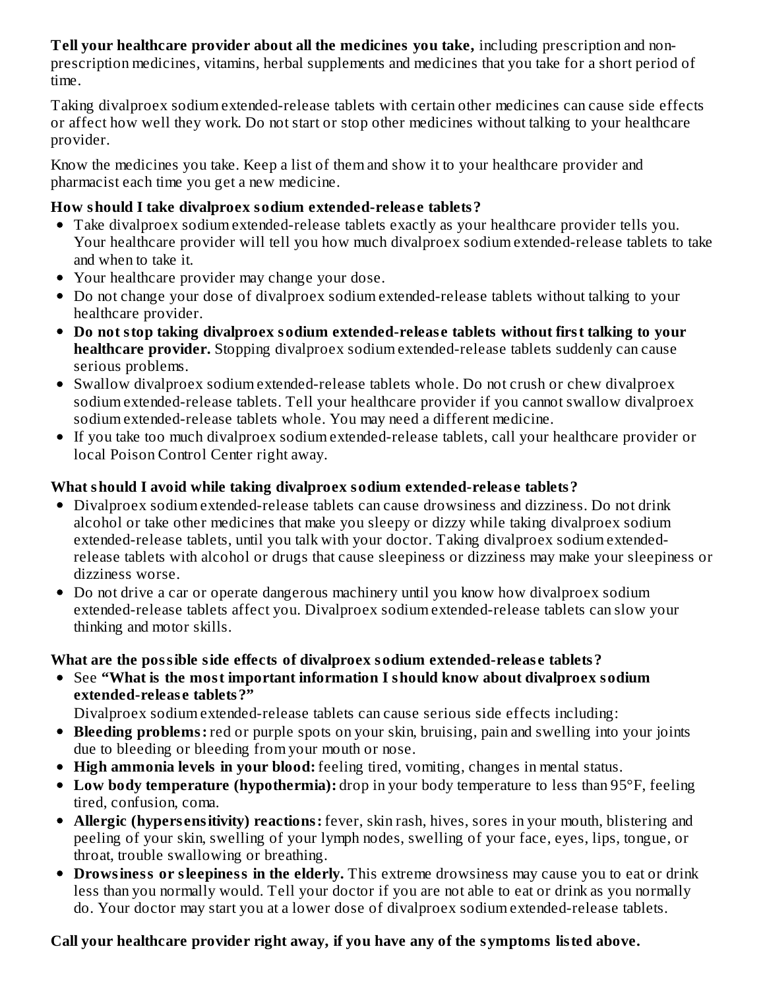**Tell your healthcare provider about all the medicines you take,** including prescription and nonprescription medicines, vitamins, herbal supplements and medicines that you take for a short period of time.

Taking divalproex sodium extended-release tablets with certain other medicines can cause side effects or affect how well they work. Do not start or stop other medicines without talking to your healthcare provider.

Know the medicines you take. Keep a list of them and show it to your healthcare provider and pharmacist each time you get a new medicine.

#### **How should I take divalproex sodium extended-releas e tablets?**

- Take divalproex sodium extended-release tablets exactly as your healthcare provider tells you. Your healthcare provider will tell you how much divalproex sodium extended-release tablets to take and when to take it.
- Your healthcare provider may change your dose.
- Do not change your dose of divalproex sodium extended-release tablets without talking to your healthcare provider.
- **Do not stop taking divalproex sodium extended-releas e tablets without first talking to your healthcare provider.** Stopping divalproex sodium extended-release tablets suddenly can cause serious problems.
- Swallow divalproex sodium extended-release tablets whole. Do not crush or chew divalproex sodium extended-release tablets. Tell your healthcare provider if you cannot swallow divalproex sodium extended-release tablets whole. You may need a different medicine.
- If you take too much divalproex sodium extended-release tablets, call your healthcare provider or local Poison Control Center right away.

#### **What should I avoid while taking divalproex sodium extended-releas e tablets?**

- Divalproex sodium extended-release tablets can cause drowsiness and dizziness. Do not drink alcohol or take other medicines that make you sleepy or dizzy while taking divalproex sodium extended-release tablets, until you talk with your doctor. Taking divalproex sodium extendedrelease tablets with alcohol or drugs that cause sleepiness or dizziness may make your sleepiness or dizziness worse.
- Do not drive a car or operate dangerous machinery until you know how divalproex sodium extended-release tablets affect you. Divalproex sodium extended-release tablets can slow your thinking and motor skills.

### **What are the possible side effects of divalproex sodium extended-releas e tablets?**

See **"What is the most important information I should know about divalproex sodium extended-releas e tablets?"**

Divalproex sodium extended-release tablets can cause serious side effects including:

- **Bleeding problems:** red or purple spots on your skin, bruising, pain and swelling into your joints due to bleeding or bleeding from your mouth or nose.
- **High ammonia levels in your blood:** feeling tired, vomiting, changes in mental status.
- **Low body temperature (hypothermia):** drop in your body temperature to less than 95°F, feeling tired, confusion, coma.
- **Allergic (hypers ensitivity) reactions:** fever, skin rash, hives, sores in your mouth, blistering and peeling of your skin, swelling of your lymph nodes, swelling of your face, eyes, lips, tongue, or throat, trouble swallowing or breathing.
- **Drowsiness or sleepiness in the elderly.** This extreme drowsiness may cause you to eat or drink less than you normally would. Tell your doctor if you are not able to eat or drink as you normally do. Your doctor may start you at a lower dose of divalproex sodium extended-release tablets.

### **Call your healthcare provider right away, if you have any of the symptoms listed above.**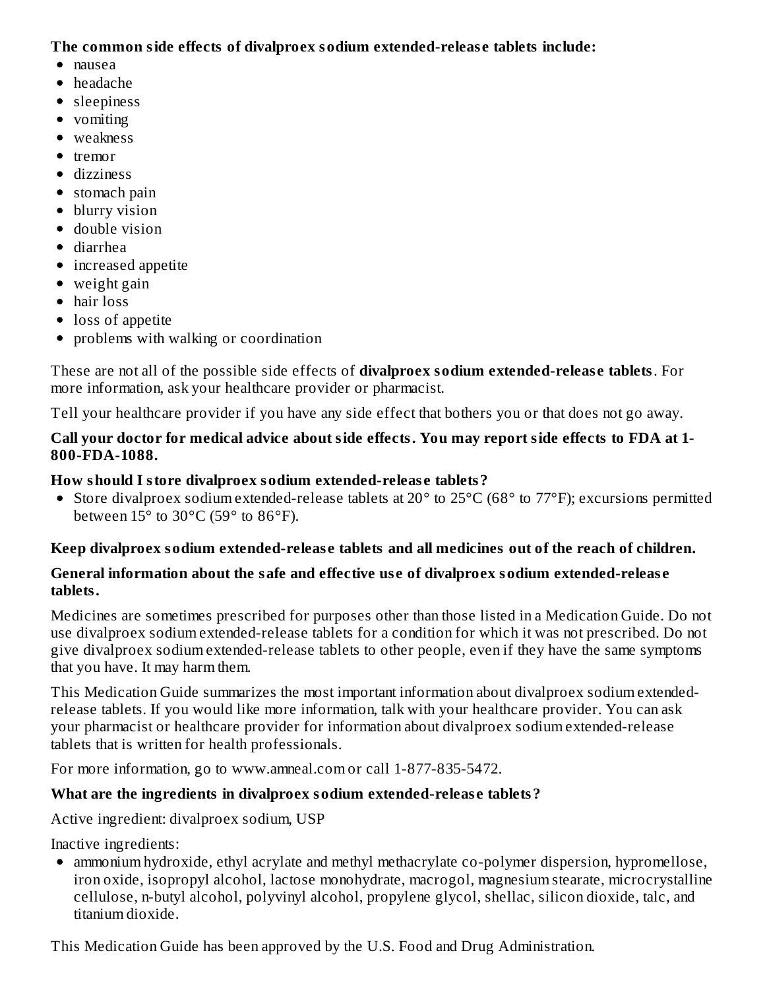**The common side effects of divalproex sodium extended-releas e tablets include:**

- nausea
- headache
- sleepiness
- vomiting
- weakness
- $\bullet$  tremor
- dizziness
- stomach pain
- blurry vision
- double vision
- diarrhea
- increased appetite
- weight gain
- hair loss
- loss of appetite
- problems with walking or coordination

These are not all of the possible side effects of **divalproex sodium extended-releas e tablets**. For more information, ask your healthcare provider or pharmacist.

Tell your healthcare provider if you have any side effect that bothers you or that does not go away.

#### **Call your doctor for medical advice about side effects. You may report side effects to FDA at 1- 800-FDA-1088.**

# **How should I store divalproex sodium extended-releas e tablets?**

• Store divalproex sodium extended-release tablets at 20° to 25°C (68° to 77°F); excursions permitted between  $15^{\circ}$  to  $30^{\circ}$ C (59 $^{\circ}$  to  $86^{\circ}$ F).

# **Keep divalproex sodium extended-releas e tablets and all medicines out of the reach of children.**

### **General information about the safe and effective us e of divalproex sodium extended-releas e tablets.**

Medicines are sometimes prescribed for purposes other than those listed in a Medication Guide. Do not use divalproex sodium extended-release tablets for a condition for which it was not prescribed. Do not give divalproex sodium extended-release tablets to other people, even if they have the same symptoms that you have. It may harm them.

This Medication Guide summarizes the most important information about divalproex sodium extendedrelease tablets. If you would like more information, talk with your healthcare provider. You can ask your pharmacist or healthcare provider for information about divalproex sodium extended-release tablets that is written for health professionals.

For more information, go to www.amneal.com or call 1-877-835-5472.

# **What are the ingredients in divalproex sodium extended-releas e tablets?**

Active ingredient: divalproex sodium, USP

Inactive ingredients:

ammonium hydroxide, ethyl acrylate and methyl methacrylate co-polymer dispersion, hypromellose, iron oxide, isopropyl alcohol, lactose monohydrate, macrogol, magnesium stearate, microcrystalline cellulose, n-butyl alcohol, polyvinyl alcohol, propylene glycol, shellac, silicon dioxide, talc, and titanium dioxide.

This Medication Guide has been approved by the U.S. Food and Drug Administration.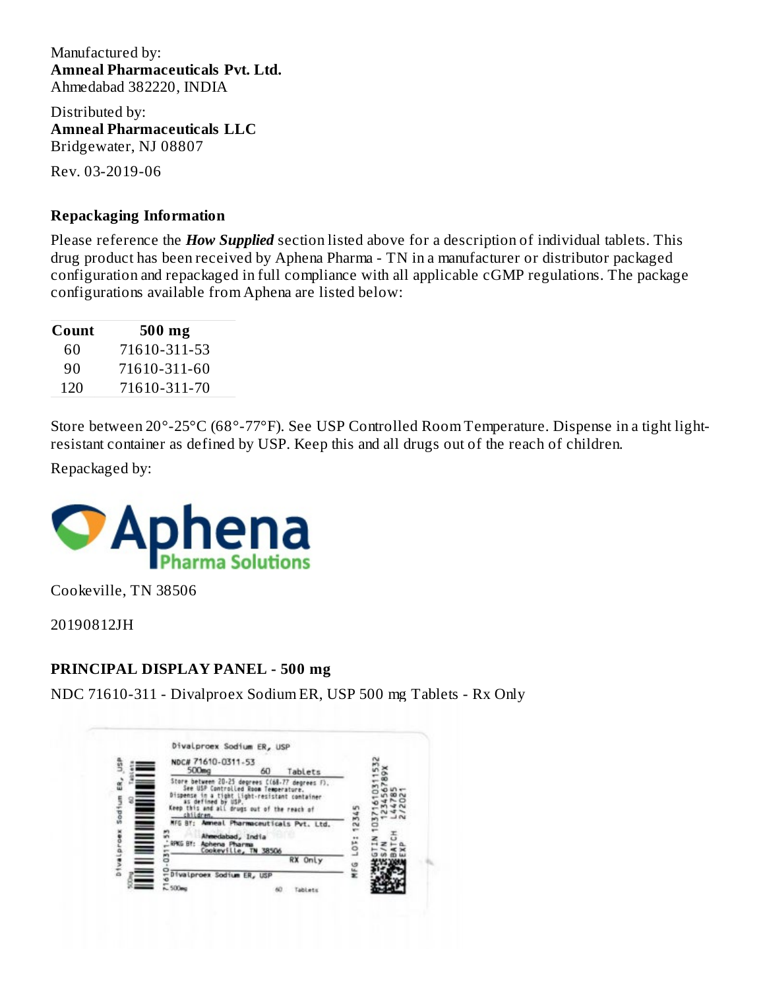Manufactured by: **Amneal Pharmaceuticals Pvt. Ltd.** Ahmedabad 382220, INDIA

Distributed by: **Amneal Pharmaceuticals LLC** Bridgewater, NJ 08807

Rev. 03-2019-06

#### **Repackaging Information**

Please reference the *How Supplied* section listed above for a description of individual tablets. This drug product has been received by Aphena Pharma - TN in a manufacturer or distributor packaged configuration and repackaged in full compliance with all applicable cGMP regulations. The package configurations available from Aphena are listed below:

| Count | 500 mg       |
|-------|--------------|
| 60    | 71610-311-53 |
| 90    | 71610-311-60 |
| 120   | 71610-311-70 |

Store between 20°-25°C (68°-77°F). See USP Controlled Room Temperature. Dispense in a tight lightresistant container as defined by USP. Keep this and all drugs out of the reach of children.

Repackaged by:



Cookeville, TN 38506

20190812JH

#### **PRINCIPAL DISPLAY PANEL - 500 mg**

NDC 71610-311 - Divalproex Sodium ER, USP 500 mg Tablets - Rx Only

| 500mg                             | NDC# 71610-0311-53<br>60<br>Tablets                                                                                                                                                                                                                                        |     |  |
|-----------------------------------|----------------------------------------------------------------------------------------------------------------------------------------------------------------------------------------------------------------------------------------------------------------------------|-----|--|
| Dispense<br>children.<br>RPKG BY: | Store between 20-25 degrees C(68-77 degrees F).<br>See USP Controlled Room Temperature.<br>tight light-resistant container<br>Keep this and all drugs out of the reach of<br>Ammeal Pharmaceuticals Pvt. Ltd.<br>Ahmedabad, India<br>Aphena Pharma<br>Cookeville, TN 38506 | GF: |  |
|                                   | RX Only<br>Divalproex Sodium ER, USP                                                                                                                                                                                                                                       | ဖ   |  |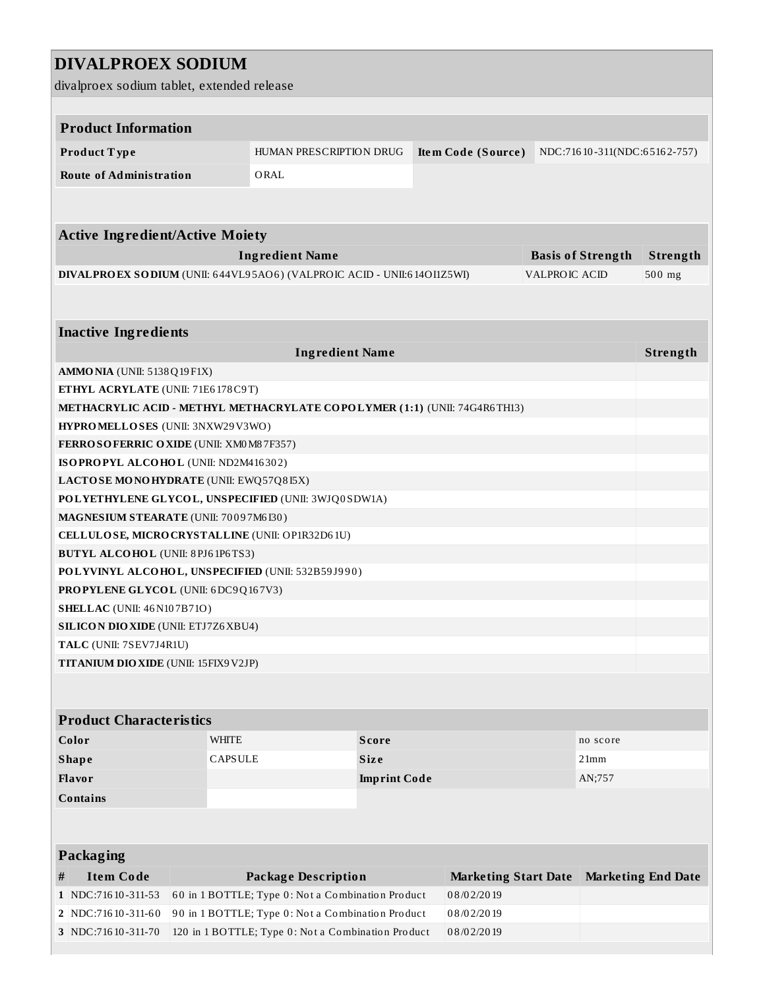# **DIVALPROEX SODIUM**

divalproex sodium tablet, extended release

| <b>Product Information</b>                                                        |  |                                                                           |                               |                             |                      |                              |                           |
|-----------------------------------------------------------------------------------|--|---------------------------------------------------------------------------|-------------------------------|-----------------------------|----------------------|------------------------------|---------------------------|
| Product Type                                                                      |  | <b>HUMAN PRESCRIPTION DRUG</b>                                            |                               | Item Code (Source)          |                      | NDC:71610-311(NDC:65162-757) |                           |
| <b>Route of Administration</b>                                                    |  | ORAL                                                                      |                               |                             |                      |                              |                           |
|                                                                                   |  |                                                                           |                               |                             |                      |                              |                           |
|                                                                                   |  |                                                                           |                               |                             |                      |                              |                           |
| <b>Active Ingredient/Active Moiety</b>                                            |  |                                                                           |                               |                             |                      |                              |                           |
|                                                                                   |  | <b>Ingredient Name</b>                                                    |                               |                             |                      | <b>Basis of Strength</b>     | Strength                  |
|                                                                                   |  | DIVALPROEX SODIUM (UNII: 644VL95AO6) (VALPROIC ACID - UNII:614OI1Z5WI)    |                               |                             | <b>VALPROIC ACID</b> |                              | 500 mg                    |
|                                                                                   |  |                                                                           |                               |                             |                      |                              |                           |
|                                                                                   |  |                                                                           |                               |                             |                      |                              |                           |
| <b>Inactive Ingredients</b>                                                       |  |                                                                           |                               |                             |                      |                              |                           |
|                                                                                   |  |                                                                           | <b>Ingredient Name</b>        |                             |                      |                              | Strength                  |
| <b>AMMO NIA</b> (UNII: 5138Q19F1X)                                                |  |                                                                           |                               |                             |                      |                              |                           |
| ETHYL ACRYLATE (UNII: 71E6178C9T)                                                 |  |                                                                           |                               |                             |                      |                              |                           |
|                                                                                   |  | METHACRYLIC ACID - METHYL METHACRYLATE COPOLYMER (1:1) (UNII: 74G4R6TH13) |                               |                             |                      |                              |                           |
| HYPROMELLOSES (UNII: 3NXW29V3WO)                                                  |  |                                                                           |                               |                             |                      |                              |                           |
| FERROSOFERRIC OXIDE (UNII: XM0M87F357)                                            |  |                                                                           |                               |                             |                      |                              |                           |
| ISOPROPYL ALCOHOL (UNII: ND2M416302)                                              |  |                                                                           |                               |                             |                      |                              |                           |
|                                                                                   |  | LACTOSE MONOHYDRATE (UNII: EWQ57Q8I5X)                                    |                               |                             |                      |                              |                           |
|                                                                                   |  | POLYETHYLENE GLYCOL, UNSPECIFIED (UNII: 3WJQ0SDW1A)                       |                               |                             |                      |                              |                           |
| MAGNESIUM STEARATE (UNII: 70097M6I30)                                             |  |                                                                           |                               |                             |                      |                              |                           |
|                                                                                   |  | CELLULOSE, MICRO CRYSTALLINE (UNII: OP1R32D61U)                           |                               |                             |                      |                              |                           |
| <b>BUTYL ALCOHOL</b> (UNII: 8 PJ6 1P6 TS3)                                        |  |                                                                           |                               |                             |                      |                              |                           |
|                                                                                   |  | POLYVINYL ALCOHOL, UNSPECIFIED (UNII: 532B59J990)                         |                               |                             |                      |                              |                           |
| PROPYLENE GLYCOL (UNII: 6DC9Q167V3)                                               |  |                                                                           |                               |                             |                      |                              |                           |
| <b>SHELLAC</b> (UNII: 46 N107B71O)<br><b>SILICON DIO XIDE (UNII: ETJ7Z6 XBU4)</b> |  |                                                                           |                               |                             |                      |                              |                           |
| TALC (UNII: 7SEV7J4R1U)                                                           |  |                                                                           |                               |                             |                      |                              |                           |
| TITANIUM DIO XIDE (UNII: 15FIX9 V2JP)                                             |  |                                                                           |                               |                             |                      |                              |                           |
|                                                                                   |  |                                                                           |                               |                             |                      |                              |                           |
|                                                                                   |  |                                                                           |                               |                             |                      |                              |                           |
| <b>Product Characteristics</b>                                                    |  |                                                                           |                               |                             |                      |                              |                           |
| Color                                                                             |  | <b>WHITE</b>                                                              | <b>Score</b>                  |                             |                      | no score                     |                           |
| <b>Shape</b>                                                                      |  | <b>CAPSULE</b>                                                            | <b>Size</b><br>21mm           |                             |                      |                              |                           |
| Flavor                                                                            |  |                                                                           | <b>Imprint Code</b><br>AN;757 |                             |                      |                              |                           |
| <b>Contains</b>                                                                   |  |                                                                           |                               |                             |                      |                              |                           |
|                                                                                   |  |                                                                           |                               |                             |                      |                              |                           |
|                                                                                   |  |                                                                           |                               |                             |                      |                              |                           |
| <b>Packaging</b>                                                                  |  |                                                                           |                               |                             |                      |                              |                           |
| <b>Item Code</b><br>$\#$                                                          |  | <b>Package Description</b>                                                |                               | <b>Marketing Start Date</b> |                      |                              | <b>Marketing End Date</b> |
| 1 NDC:71610-311-53                                                                |  | 60 in 1 BOTTLE; Type 0: Not a Combination Product                         |                               | 08/02/2019                  |                      |                              |                           |
| 2   NDC:716 10-311-60                                                             |  | 90 in 1 BOTTLE; Type 0: Not a Combination Product                         |                               | 08/02/2019                  |                      |                              |                           |
| 3 NDC:716 10-311-70                                                               |  | 120 in 1 BOTTLE; Type 0: Not a Combination Product                        |                               | 08/02/2019                  |                      |                              |                           |